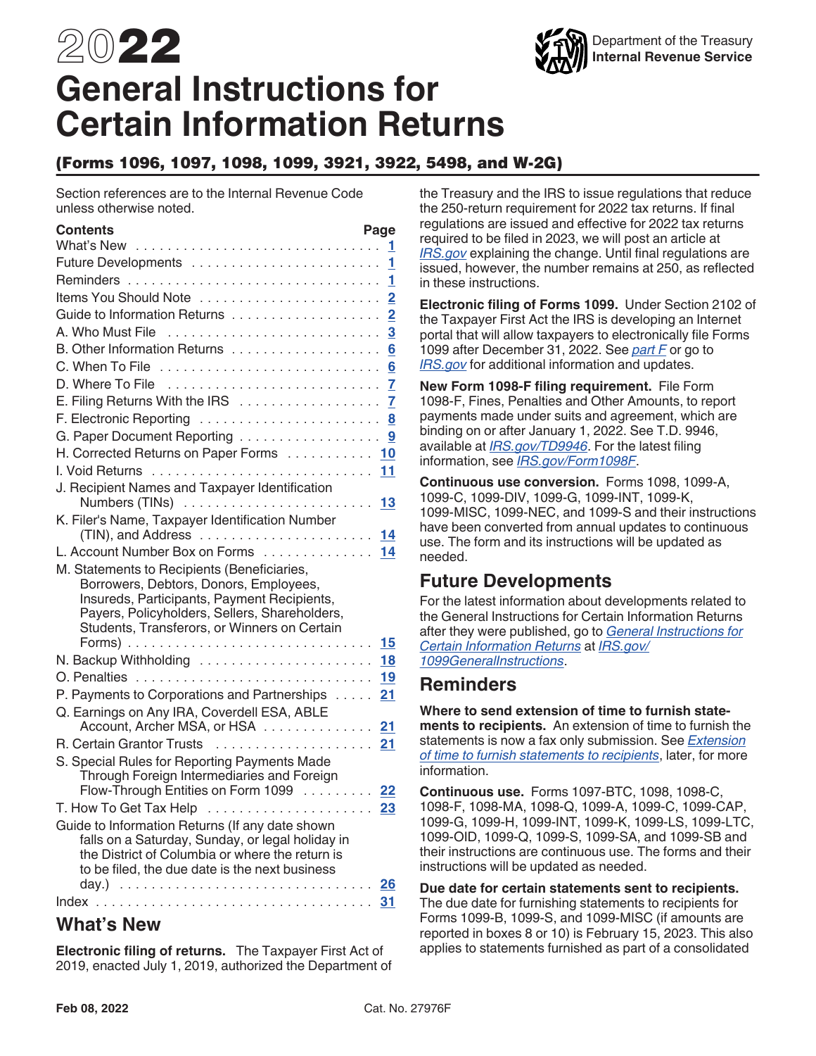# 2022 **General Instructions for Certain Information Returns**

### (Forms 1096, 1097, 1098, 1099, 3921, 3922, 5498, and W-2G)

Section references are to the Internal Revenue Code unless otherwise noted.

| Contents<br>What's New                                                                | Page                    |
|---------------------------------------------------------------------------------------|-------------------------|
|                                                                                       | 1<br>1                  |
|                                                                                       | 1                       |
| Items You Should Note                                                                 | $\overline{2}$          |
|                                                                                       | $\overline{2}$          |
|                                                                                       | $\overline{\mathbf{3}}$ |
| B. Other Information Returns                                                          | $6\phantom{1}6$         |
|                                                                                       |                         |
|                                                                                       | 6<br>7                  |
| E. Filing Returns With the IRS                                                        | 7                       |
|                                                                                       | 8                       |
| F. Electronic Reporting<br>G. Paper Document Reporting                                | 9                       |
| H. Corrected Returns on Paper Forms 10                                                |                         |
|                                                                                       |                         |
| J. Recipient Names and Taxpayer Identification                                        |                         |
|                                                                                       |                         |
| K. Filer's Name, Taxpayer Identification Number                                       |                         |
| L. Account Number Box on Forms 14                                                     |                         |
|                                                                                       |                         |
| M. Statements to Recipients (Beneficiaries,<br>Borrowers, Debtors, Donors, Employees, |                         |
| Insureds, Participants, Payment Recipients,                                           |                         |
| Payers, Policyholders, Sellers, Shareholders,                                         |                         |
| Students, Transferors, or Winners on Certain                                          |                         |
|                                                                                       |                         |
|                                                                                       | 18                      |
|                                                                                       | 19                      |
| P. Payments to Corporations and Partnerships                                          | 21                      |
| Q. Earnings on Any IRA, Coverdell ESA, ABLE                                           |                         |
| Account, Archer MSA, or HSA                                                           | 21                      |
| R. Certain Grantor Trusts                                                             | 21                      |
| S. Special Rules for Reporting Payments Made                                          |                         |
| Through Foreign Intermediaries and Foreign<br>Flow-Through Entities on Form 1099      | 22                      |
| T. How To Get Tax Help                                                                |                         |
| Guide to Information Returns (If any date shown                                       |                         |
| falls on a Saturday, Sunday, or legal holiday in                                      |                         |
| the District of Columbia or where the return is                                       |                         |
| to be filed, the due date is the next business                                        |                         |
|                                                                                       |                         |
|                                                                                       | 31                      |

### **What's New**

**Electronic filing of returns.** The Taxpayer First Act of 2019, enacted July 1, 2019, authorized the Department of the Treasury and the IRS to issue regulations that reduce the 250-return requirement for 2022 tax returns. If final regulations are issued and effective for 2022 tax returns required to be filed in 2023, we will post an article at *[IRS.gov](https://www.irs.gov)* explaining the change. Until final regulations are issued, however, the number remains at 250, as reflected in these instructions.

**Electronic filing of Forms 1099.** Under Section 2102 of the Taxpayer First Act the IRS is developing an Internet portal that will allow taxpayers to electronically file Forms 1099 after December 31, 2022. See *[part F](#page-7-0)* or go to *[IRS.gov](https://www.irs.gov)* for additional information and updates.

**New Form 1098-F filing requirement.** File Form 1098-F, Fines, Penalties and Other Amounts, to report payments made under suits and agreement, which are binding on or after January 1, 2022. See T.D. 9946, available at *[IRS.gov/TD9946](https://www.irs.gov/pub/irs-drop/td-9946.pdf)*. For the latest filing information, see *[IRS.gov/Form1098F](https://www.irs.gov/Form1098F)*.

**Continuous use conversion.** Forms 1098, 1099-A, 1099-C, 1099-DIV, 1099-G, 1099-INT, 1099-K, 1099-MISC, 1099-NEC, and 1099-S and their instructions have been converted from annual updates to continuous use. The form and its instructions will be updated as needed.

### **Future Developments**

For the latest information about developments related to the General Instructions for Certain Information Returns after they were published, go to *[General Instructions for](https://www.irs.gov/uac/About-Form-1099)  [Certain Information Returns](https://www.irs.gov/uac/About-Form-1099)* at *[IRS.gov/](https://www.irs.gov/uac/About-Form-1099) [1099GeneralInstructions](https://www.irs.gov/uac/About-Form-1099)*.

### **Reminders**

**Where to send extension of time to furnish statements to recipients.** An extension of time to furnish the statements is now a fax only submission. See *[Extension](#page-17-0)  [of time to furnish statements to recipients](#page-17-0)*, later, for more information.

**Continuous use.** Forms 1097-BTC, 1098, 1098-C, 1098-F, 1098-MA, 1098-Q, 1099-A, 1099-C, 1099-CAP, 1099-G, 1099-H, 1099-INT, 1099-K, 1099-LS, 1099-LTC, 1099-OID, 1099-Q, 1099-S, 1099-SA, and 1099-SB and their instructions are continuous use. The forms and their instructions will be updated as needed.

**Due date for certain statements sent to recipients.**  The due date for furnishing statements to recipients for Forms 1099-B, 1099-S, and 1099-MISC (if amounts are reported in boxes 8 or 10) is February 15, 2023. This also applies to statements furnished as part of a consolidated

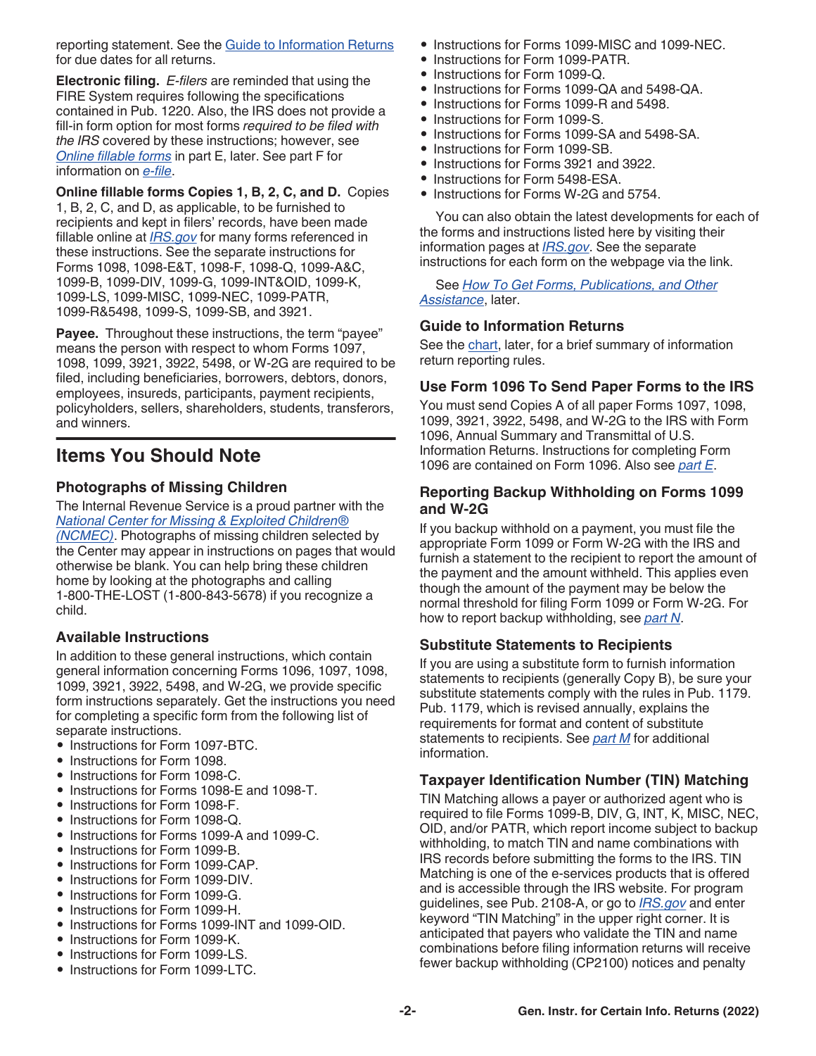<span id="page-1-0"></span>reporting statement. See the [Guide to Information Returns](#page-25-0)  for due dates for all returns.

**Electronic filing.** *E-filers* are reminded that using the FIRE System requires following the specifications contained in Pub. 1220. Also, the IRS does not provide a fill-in form option for most forms *required to be filed with the IRS* covered by these instructions; however, see *[Online fillable forms](#page-7-0)* in part E, later. See part F for information on *[e-file](#page-7-0)*.

**Online fillable forms Copies 1, B, 2, C, and D.** Copies 1, B, 2, C, and D, as applicable, to be furnished to recipients and kept in filers' records, have been made fillable online at *[IRS.gov](https://www.irs.gov)* for many forms referenced in these instructions. See the separate instructions for Forms 1098, 1098-E&T, 1098-F, 1098-Q, 1099-A&C, 1099-B, 1099-DIV, 1099-G, 1099-INT&OID, 1099-K, 1099-LS, 1099-MISC, 1099-NEC, 1099-PATR, 1099-R&5498, 1099-S, 1099-SB, and 3921.

**Payee.** Throughout these instructions, the term "payee" means the person with respect to whom Forms 1097, 1098, 1099, 3921, 3922, 5498, or W-2G are required to be filed, including beneficiaries, borrowers, debtors, donors, employees, insureds, participants, payment recipients, policyholders, sellers, shareholders, students, transferors, and winners.

### **Items You Should Note**

### **Photographs of Missing Children**

The Internal Revenue Service is a proud partner with the *[National Center for Missing & Exploited Children®](http://www.missingkids.com/) [\(NCMEC\)](http://www.missingkids.com/)*. Photographs of missing children selected by the Center may appear in instructions on pages that would otherwise be blank. You can help bring these children home by looking at the photographs and calling 1-800-THE-LOST (1-800-843-5678) if you recognize a child.

#### **Available Instructions**

In addition to these general instructions, which contain general information concerning Forms 1096, 1097, 1098, 1099, 3921, 3922, 5498, and W-2G, we provide specific form instructions separately. Get the instructions you need for completing a specific form from the following list of separate instructions.

- Instructions for Form 1097-BTC.
- Instructions for Form 1098.
- Instructions for Form 1098-C.
- Instructions for Forms 1098-E and 1098-T.
- Instructions for Form 1098-F.
- Instructions for Form 1098-Q.
- Instructions for Forms 1099-A and 1099-C.
- Instructions for Form 1099-B.
- Instructions for Form 1099-CAP.
- Instructions for Form 1099-DIV.
- Instructions for Form 1099-G.
- Instructions for Form 1099-H.
- Instructions for Forms 1099-INT and 1099-OID.
- Instructions for Form 1099-K.
- Instructions for Form 1099-LS.
- Instructions for Form 1099-LTC.
- Instructions for Forms 1099-MISC and 1099-NEC.
- Instructions for Form 1099-PATR.
- Instructions for Form 1099-Q.
- Instructions for Forms 1099-QA and 5498-QA.
- Instructions for Forms 1099-R and 5498.
- Instructions for Form 1099-S.
- Instructions for Forms 1099-SA and 5498-SA.
- Instructions for Form 1099-SB.
- Instructions for Forms 3921 and 3922.
- Instructions for Form 5498-ESA.
- Instructions for Forms W-2G and 5754.

You can also obtain the latest developments for each of the forms and instructions listed here by visiting their information pages at *[IRS.gov](https://www.irs.gov)*. See the separate instructions for each form on the webpage via the link.

See *[How To Get Forms, Publications, and Other](#page-23-0)  [Assistance](#page-23-0)*, later.

### **Guide to Information Returns**

See the [chart,](#page-25-0) later, for a brief summary of information return reporting rules.

### **Use Form 1096 To Send Paper Forms to the IRS**

You must send Copies A of all paper Forms 1097, 1098, 1099, 3921, 3922, 5498, and W-2G to the IRS with Form 1096, Annual Summary and Transmittal of U.S. Information Returns. Instructions for completing Form 1096 are contained on Form 1096. Also see *[part E](#page-6-0)*.

### **Reporting Backup Withholding on Forms 1099 and W-2G**

If you backup withhold on a payment, you must file the appropriate Form 1099 or Form W-2G with the IRS and furnish a statement to the recipient to report the amount of the payment and the amount withheld. This applies even though the amount of the payment may be below the normal threshold for filing Form 1099 or Form W-2G. For how to report backup withholding, see *[part N](#page-17-0)*.

### **Substitute Statements to Recipients**

If you are using a substitute form to furnish information statements to recipients (generally Copy B), be sure your substitute statements comply with the rules in Pub. 1179. Pub. 1179, which is revised annually, explains the requirements for format and content of substitute statements to recipients. See *[part M](#page-14-0)* for additional information.

### **Taxpayer Identification Number (TIN) Matching**

TIN Matching allows a payer or authorized agent who is required to file Forms 1099-B, DIV, G, INT, K, MISC, NEC, OID, and/or PATR, which report income subject to backup withholding, to match TIN and name combinations with IRS records before submitting the forms to the IRS. TIN Matching is one of the e-services products that is offered and is accessible through the IRS website. For program guidelines, see Pub. 2108-A, or go to *[IRS.gov](https://www.irs.gov)* and enter keyword "TIN Matching" in the upper right corner. It is anticipated that payers who validate the TIN and name combinations before filing information returns will receive fewer backup withholding (CP2100) notices and penalty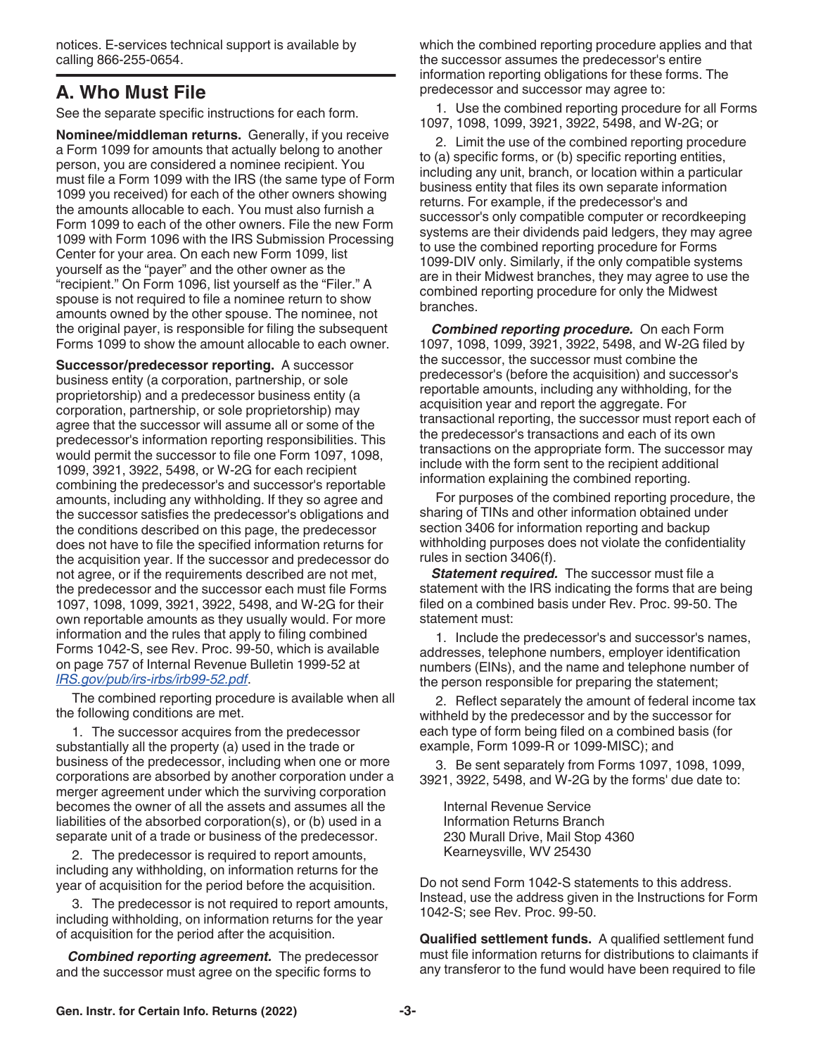<span id="page-2-0"></span>notices. E-services technical support is available by calling 866-255-0654.

# **A. Who Must File**

See the separate specific instructions for each form.

**Nominee/middleman returns.** Generally, if you receive a Form 1099 for amounts that actually belong to another person, you are considered a nominee recipient. You must file a Form 1099 with the IRS (the same type of Form 1099 you received) for each of the other owners showing the amounts allocable to each. You must also furnish a Form 1099 to each of the other owners. File the new Form 1099 with Form 1096 with the IRS Submission Processing Center for your area. On each new Form 1099, list yourself as the "payer" and the other owner as the "recipient." On Form 1096, list yourself as the "Filer." A spouse is not required to file a nominee return to show amounts owned by the other spouse. The nominee, not the original payer, is responsible for filing the subsequent Forms 1099 to show the amount allocable to each owner.

**Successor/predecessor reporting.** A successor business entity (a corporation, partnership, or sole proprietorship) and a predecessor business entity (a corporation, partnership, or sole proprietorship) may agree that the successor will assume all or some of the predecessor's information reporting responsibilities. This would permit the successor to file one Form 1097, 1098, 1099, 3921, 3922, 5498, or W-2G for each recipient combining the predecessor's and successor's reportable amounts, including any withholding. If they so agree and the successor satisfies the predecessor's obligations and the conditions described on this page, the predecessor does not have to file the specified information returns for the acquisition year. If the successor and predecessor do not agree, or if the requirements described are not met, the predecessor and the successor each must file Forms 1097, 1098, 1099, 3921, 3922, 5498, and W-2G for their own reportable amounts as they usually would. For more information and the rules that apply to filing combined Forms 1042-S, see Rev. Proc. 99-50, which is available on page 757 of Internal Revenue Bulletin 1999-52 at *[IRS.gov/pub/irs-irbs/irb99-52.pdf](https://www.irs.gov/pub/irs-irbs/irb99-52.pdf)*.

The combined reporting procedure is available when all the following conditions are met.

1. The successor acquires from the predecessor substantially all the property (a) used in the trade or business of the predecessor, including when one or more corporations are absorbed by another corporation under a merger agreement under which the surviving corporation becomes the owner of all the assets and assumes all the liabilities of the absorbed corporation(s), or (b) used in a separate unit of a trade or business of the predecessor.

2. The predecessor is required to report amounts, including any withholding, on information returns for the year of acquisition for the period before the acquisition.

3. The predecessor is not required to report amounts, including withholding, on information returns for the year of acquisition for the period after the acquisition.

*Combined reporting agreement.* The predecessor and the successor must agree on the specific forms to

which the combined reporting procedure applies and that the successor assumes the predecessor's entire information reporting obligations for these forms. The predecessor and successor may agree to:

1. Use the combined reporting procedure for all Forms 1097, 1098, 1099, 3921, 3922, 5498, and W-2G; or

2. Limit the use of the combined reporting procedure to (a) specific forms, or (b) specific reporting entities, including any unit, branch, or location within a particular business entity that files its own separate information returns. For example, if the predecessor's and successor's only compatible computer or recordkeeping systems are their dividends paid ledgers, they may agree to use the combined reporting procedure for Forms 1099-DIV only. Similarly, if the only compatible systems are in their Midwest branches, they may agree to use the combined reporting procedure for only the Midwest branches.

*Combined reporting procedure.* On each Form 1097, 1098, 1099, 3921, 3922, 5498, and W-2G filed by the successor, the successor must combine the predecessor's (before the acquisition) and successor's reportable amounts, including any withholding, for the acquisition year and report the aggregate. For transactional reporting, the successor must report each of the predecessor's transactions and each of its own transactions on the appropriate form. The successor may include with the form sent to the recipient additional information explaining the combined reporting.

For purposes of the combined reporting procedure, the sharing of TINs and other information obtained under section 3406 for information reporting and backup withholding purposes does not violate the confidentiality rules in section 3406(f).

**Statement required.** The successor must file a statement with the IRS indicating the forms that are being filed on a combined basis under Rev. Proc. 99-50. The statement must:

1. Include the predecessor's and successor's names, addresses, telephone numbers, employer identification numbers (EINs), and the name and telephone number of the person responsible for preparing the statement;

2. Reflect separately the amount of federal income tax withheld by the predecessor and by the successor for each type of form being filed on a combined basis (for example, Form 1099-R or 1099-MISC); and

3. Be sent separately from Forms 1097, 1098, 1099, 3921, 3922, 5498, and W-2G by the forms' due date to:

Internal Revenue Service Information Returns Branch 230 Murall Drive, Mail Stop 4360 Kearneysville, WV 25430

Do not send Form 1042-S statements to this address. Instead, use the address given in the Instructions for Form 1042-S; see Rev. Proc. 99-50.

**Qualified settlement funds.** A qualified settlement fund must file information returns for distributions to claimants if any transferor to the fund would have been required to file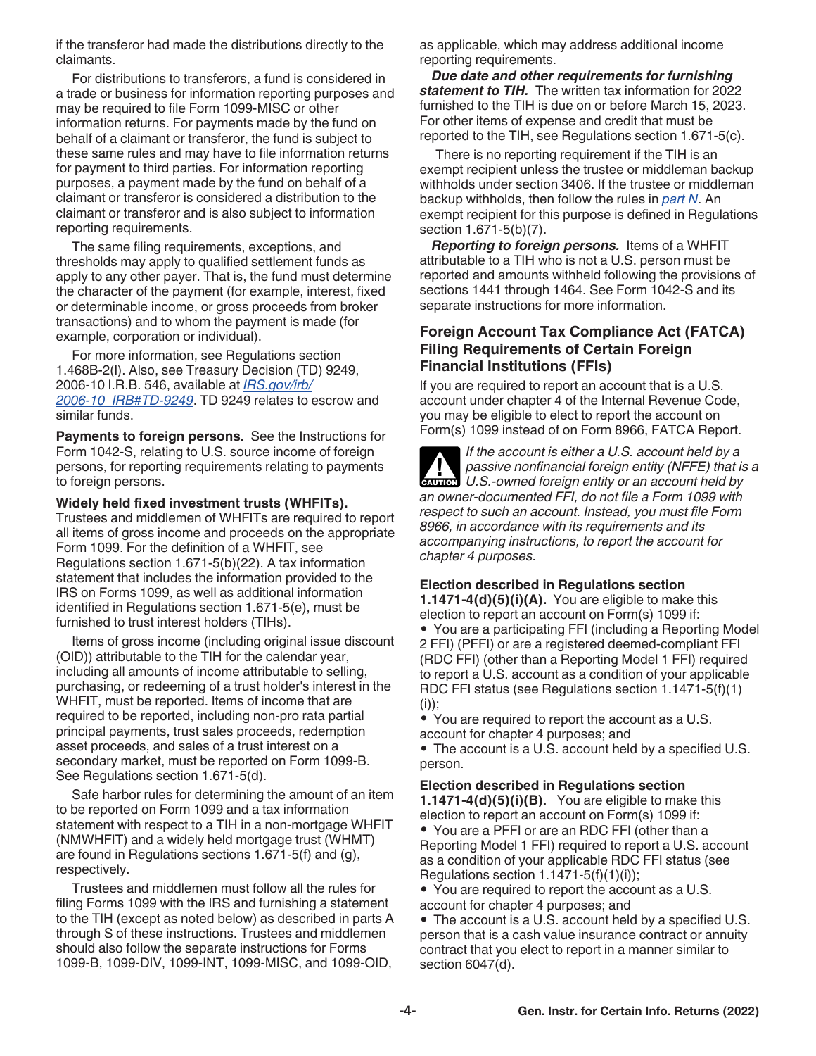<span id="page-3-0"></span>if the transferor had made the distributions directly to the claimants.

For distributions to transferors, a fund is considered in a trade or business for information reporting purposes and may be required to file Form 1099-MISC or other information returns. For payments made by the fund on behalf of a claimant or transferor, the fund is subject to these same rules and may have to file information returns for payment to third parties. For information reporting purposes, a payment made by the fund on behalf of a claimant or transferor is considered a distribution to the claimant or transferor and is also subject to information reporting requirements.

The same filing requirements, exceptions, and thresholds may apply to qualified settlement funds as apply to any other payer. That is, the fund must determine the character of the payment (for example, interest, fixed or determinable income, or gross proceeds from broker transactions) and to whom the payment is made (for example, corporation or individual).

For more information, see Regulations section 1.468B-2(l). Also, see Treasury Decision (TD) 9249, 2006-10 I.R.B. 546, available at *[IRS.gov/irb/](https://www.irs.gov/irb/2006-10_IRB#TD-9249) [2006-10\\_IRB#TD-9249](https://www.irs.gov/irb/2006-10_IRB#TD-9249)*. TD 9249 relates to escrow and similar funds.

**Payments to foreign persons.** See the Instructions for Form 1042-S, relating to U.S. source income of foreign persons, for reporting requirements relating to payments to foreign persons.

#### **Widely held fixed investment trusts (WHFITs).**

Trustees and middlemen of WHFITs are required to report all items of gross income and proceeds on the appropriate Form 1099. For the definition of a WHFIT, see Regulations section 1.671-5(b)(22). A tax information statement that includes the information provided to the IRS on Forms 1099, as well as additional information identified in Regulations section 1.671-5(e), must be furnished to trust interest holders (TIHs).

Items of gross income (including original issue discount (OID)) attributable to the TIH for the calendar year, including all amounts of income attributable to selling, purchasing, or redeeming of a trust holder's interest in the WHFIT, must be reported. Items of income that are required to be reported, including non-pro rata partial principal payments, trust sales proceeds, redemption asset proceeds, and sales of a trust interest on a secondary market, must be reported on Form 1099-B. See Regulations section 1.671-5(d).

Safe harbor rules for determining the amount of an item to be reported on Form 1099 and a tax information statement with respect to a TIH in a non-mortgage WHFIT (NMWHFIT) and a widely held mortgage trust (WHMT) are found in Regulations sections 1.671-5(f) and (g), respectively.

Trustees and middlemen must follow all the rules for filing Forms 1099 with the IRS and furnishing a statement to the TIH (except as noted below) as described in parts A through S of these instructions. Trustees and middlemen should also follow the separate instructions for Forms 1099-B, 1099-DIV, 1099-INT, 1099-MISC, and 1099-OID,

as applicable, which may address additional income reporting requirements.

*Due date and other requirements for furnishing statement to TIH.* The written tax information for 2022 furnished to the TIH is due on or before March 15, 2023. For other items of expense and credit that must be reported to the TIH, see Regulations section 1.671-5(c).

There is no reporting requirement if the TIH is an exempt recipient unless the trustee or middleman backup withholds under section 3406. If the trustee or middleman backup withholds, then follow the rules in *[part N](#page-17-0)*. An exempt recipient for this purpose is defined in Regulations section 1.671-5(b)(7).

*Reporting to foreign persons.* Items of a WHFIT attributable to a TIH who is not a U.S. person must be reported and amounts withheld following the provisions of sections 1441 through 1464. See Form 1042-S and its separate instructions for more information.

#### **Foreign Account Tax Compliance Act (FATCA) Filing Requirements of Certain Foreign Financial Institutions (FFIs)**

If you are required to report an account that is a U.S. account under chapter 4 of the Internal Revenue Code, you may be eligible to elect to report the account on Form(s) 1099 instead of on Form 8966, FATCA Report.

*If the account is either a U.S. account held by a passive nonfinancial foreign entity (NFFE) that is a*  **P** passive nonfinancial foreign entity (NFFE) that is **caution** U.S.-owned foreign entity or an account held by *an owner-documented FFI, do not file a Form 1099 with respect to such an account. Instead, you must file Form 8966, in accordance with its requirements and its accompanying instructions, to report the account for chapter 4 purposes.*

#### **Election described in Regulations section**

**1.1471-4(d)(5)(i)(A).** You are eligible to make this election to report an account on Form(s) 1099 if: • You are a participating FFI (including a Reporting Model 2 FFI) (PFFI) or are a registered deemed-compliant FFI (RDC FFI) (other than a Reporting Model 1 FFI) required to report a U.S. account as a condition of your applicable RDC FFI status (see Regulations section 1.1471-5(f)(1)  $(i))$ ;

• You are required to report the account as a U.S. account for chapter 4 purposes; and

• The account is a U.S. account held by a specified U.S. person.

#### **Election described in Regulations section**

**1.1471-4(d)(5)(i)(B).** You are eligible to make this election to report an account on Form(s) 1099 if: • You are a PFFI or are an RDC FFI (other than a Reporting Model 1 FFI) required to report a U.S. account as a condition of your applicable RDC FFI status (see Regulations section  $1.1471-5(f)(1)(i)$ ;

• You are required to report the account as a U.S. account for chapter 4 purposes; and

• The account is a U.S. account held by a specified U.S. person that is a cash value insurance contract or annuity contract that you elect to report in a manner similar to section 6047(d).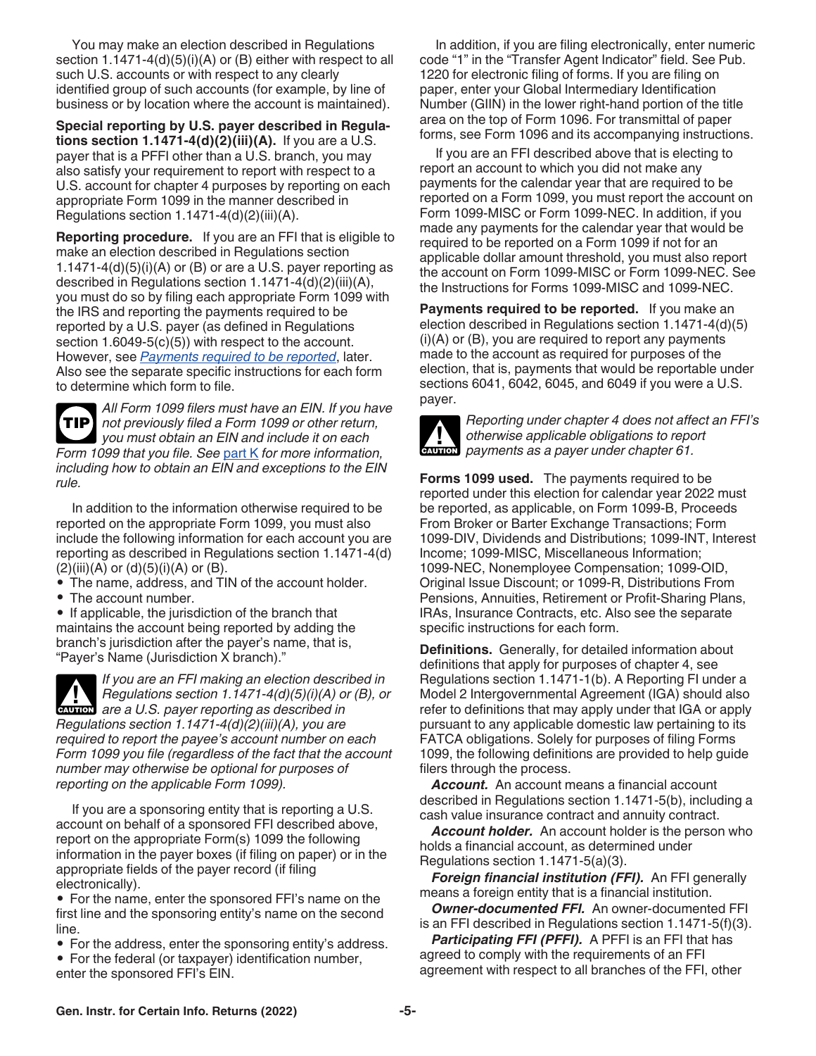You may make an election described in Regulations section 1.1471-4(d)(5)(i)(A) or (B) either with respect to all such U.S. accounts or with respect to any clearly identified group of such accounts (for example, by line of business or by location where the account is maintained).

**Special reporting by U.S. payer described in Regulations section 1.1471-4(d)(2)(iii)(A).** If you are a U.S. payer that is a PFFI other than a U.S. branch, you may also satisfy your requirement to report with respect to a U.S. account for chapter 4 purposes by reporting on each appropriate Form 1099 in the manner described in Regulations section 1.1471-4(d)(2)(iii)(A).

**Reporting procedure.** If you are an FFI that is eligible to make an election described in Regulations section 1.1471-4 $(d)(5)(i)(A)$  or  $(B)$  or are a U.S. payer reporting as described in Regulations section 1.1471-4(d)(2)(iii)(A), you must do so by filing each appropriate Form 1099 with the IRS and reporting the payments required to be reported by a U.S. payer (as defined in Regulations section 1.6049-5(c)(5)) with respect to the account. However, see *Payments required to be reported*, later. Also see the separate specific instructions for each form to determine which form to file.

*All Form 1099 filers must have an EIN. If you have not previously filed a Form 1099 or other return, you must obtain an EIN and include it on each Form 1099 that you file. See* [part K](#page-13-0) *for more information, including how to obtain an EIN and exceptions to the EIN rule.* **TIP**

In addition to the information otherwise required to be reported on the appropriate Form 1099, you must also include the following information for each account you are reporting as described in Regulations section 1.1471-4(d)  $(2)(iii)(A)$  or  $(d)(5)(i)(A)$  or  $(B)$ .

• The name, address, and TIN of the account holder.

• The account number.

• If applicable, the jurisdiction of the branch that

maintains the account being reported by adding the branch's jurisdiction after the payer's name, that is, "Payer's Name (Jurisdiction X branch)."

*If you are an FFI making an election described in Regulations section 1.1471-4(d)(5)(i)(A) or (B), or*  **Regulations section 1.1471-4(d)(5)(i)(A) of a union are a U.S. payer reporting as described in** *Regulations section 1.1471-4(d)(2)(iii)(A), you are required to report the payee's account number on each Form 1099 you file (regardless of the fact that the account number may otherwise be optional for purposes of reporting on the applicable Form 1099).*

If you are a sponsoring entity that is reporting a U.S. account on behalf of a sponsored FFI described above, report on the appropriate Form(s) 1099 the following information in the payer boxes (if filing on paper) or in the appropriate fields of the payer record (if filing electronically).

• For the name, enter the sponsored FFI's name on the first line and the sponsoring entity's name on the second line.

- For the address, enter the sponsoring entity's address.
- For the federal (or taxpayer) identification number,
- enter the sponsored FFI's EIN.

In addition, if you are filing electronically, enter numeric code "1" in the "Transfer Agent Indicator" field. See Pub. 1220 for electronic filing of forms. If you are filing on paper, enter your Global Intermediary Identification Number (GIIN) in the lower right-hand portion of the title area on the top of Form 1096. For transmittal of paper forms, see Form 1096 and its accompanying instructions.

If you are an FFI described above that is electing to report an account to which you did not make any payments for the calendar year that are required to be reported on a Form 1099, you must report the account on Form 1099-MISC or Form 1099-NEC. In addition, if you made any payments for the calendar year that would be required to be reported on a Form 1099 if not for an applicable dollar amount threshold, you must also report the account on Form 1099-MISC or Form 1099-NEC. See the Instructions for Forms 1099-MISC and 1099-NEC.

**Payments required to be reported.** If you make an election described in Regulations section 1.1471-4(d)(5)  $(i)(A)$  or  $(B)$ , you are required to report any payments made to the account as required for purposes of the election, that is, payments that would be reportable under sections 6041, 6042, 6045, and 6049 if you were a U.S. payer.



*Reporting under chapter 4 does not affect an FFI's otherwise applicable obligations to report*  otherwise applicable obligations to reposition of the payments as a payer under chapter 61.

**Forms 1099 used.** The payments required to be reported under this election for calendar year 2022 must be reported, as applicable, on Form 1099-B, Proceeds From Broker or Barter Exchange Transactions; Form 1099-DIV, Dividends and Distributions; 1099-INT, Interest Income; 1099-MISC, Miscellaneous Information; 1099-NEC, Nonemployee Compensation; 1099-OID, Original Issue Discount; or 1099-R, Distributions From Pensions, Annuities, Retirement or Profit-Sharing Plans, IRAs, Insurance Contracts, etc. Also see the separate specific instructions for each form.

**Definitions.** Generally, for detailed information about definitions that apply for purposes of chapter 4, see Regulations section 1.1471-1(b). A Reporting FI under a Model 2 Intergovernmental Agreement (IGA) should also refer to definitions that may apply under that IGA or apply pursuant to any applicable domestic law pertaining to its FATCA obligations. Solely for purposes of filing Forms 1099, the following definitions are provided to help guide filers through the process.

*Account.* An account means a financial account described in Regulations section 1.1471-5(b), including a cash value insurance contract and annuity contract.

*Account holder.* An account holder is the person who holds a financial account, as determined under Regulations section 1.1471-5(a)(3).

*Foreign financial institution (FFI).* An FFI generally means a foreign entity that is a financial institution.

*Owner-documented FFI.* An owner-documented FFI is an FFI described in Regulations section 1.1471-5(f)(3).

*Participating FFI (PFFI).* A PFFI is an FFI that has agreed to comply with the requirements of an FFI agreement with respect to all branches of the FFI, other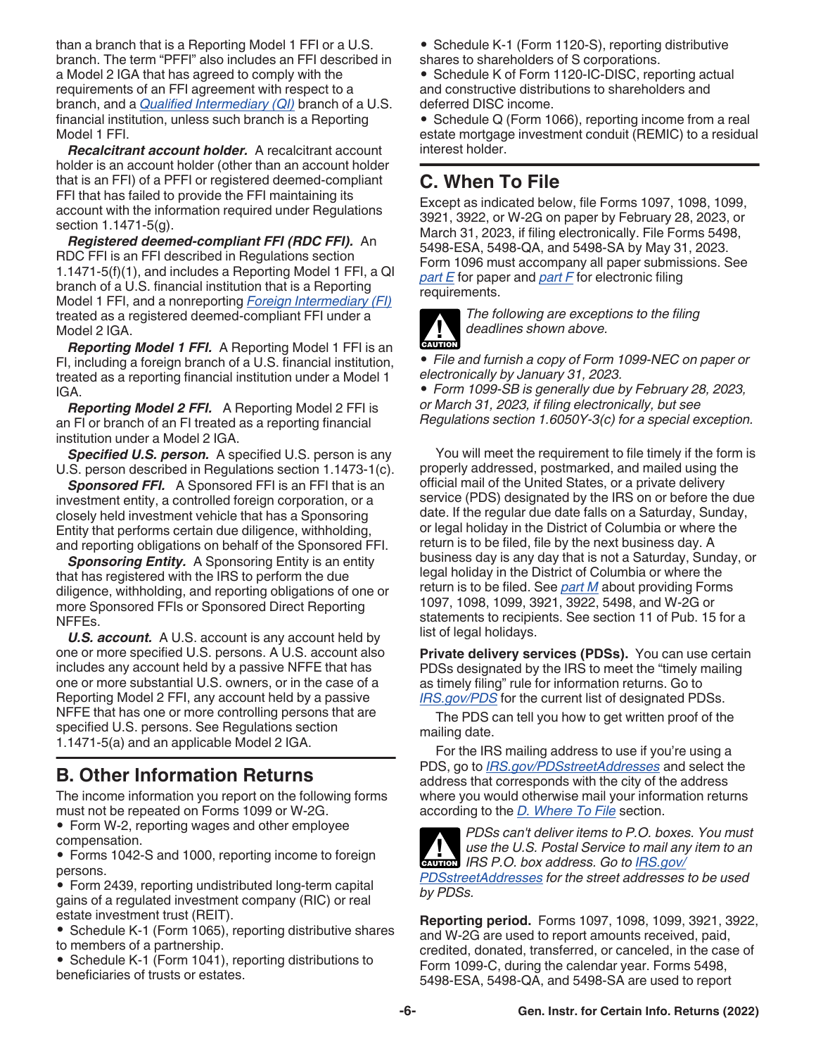<span id="page-5-0"></span>than a branch that is a Reporting Model 1 FFI or a U.S. branch. The term "PFFI" also includes an FFI described in a Model 2 IGA that has agreed to comply with the requirements of an FFI agreement with respect to a branch, and a *[Qualified Intermediary \(QI\)](#page-21-0)* branch of a U.S. financial institution, unless such branch is a Reporting Model 1 FFI.

*Recalcitrant account holder.* A recalcitrant account holder is an account holder (other than an account holder that is an FFI) of a PFFI or registered deemed-compliant FFI that has failed to provide the FFI maintaining its account with the information required under Regulations section 1.1471-5(g).

*Registered deemed-compliant FFI (RDC FFI).* An RDC FFI is an FFI described in Regulations section 1.1471-5(f)(1), and includes a Reporting Model 1 FFI, a QI branch of a U.S. financial institution that is a Reporting Model 1 FFI, and a nonreporting *[Foreign Intermediary \(FI\)](#page-21-0)*  treated as a registered deemed-compliant FFI under a Model 2 IGA.

*Reporting Model 1 FFI.* A Reporting Model 1 FFI is an FI, including a foreign branch of a U.S. financial institution, treated as a reporting financial institution under a Model 1 IGA.

*Reporting Model 2 FFI.* A Reporting Model 2 FFI is an FI or branch of an FI treated as a reporting financial institution under a Model 2 IGA.

*Specified U.S. person.* A specified U.S. person is any U.S. person described in Regulations section 1.1473-1(c).

*Sponsored FFI.* A Sponsored FFI is an FFI that is an investment entity, a controlled foreign corporation, or a closely held investment vehicle that has a Sponsoring Entity that performs certain due diligence, withholding, and reporting obligations on behalf of the Sponsored FFI.

**Sponsoring Entity.** A Sponsoring Entity is an entity that has registered with the IRS to perform the due diligence, withholding, and reporting obligations of one or more Sponsored FFIs or Sponsored Direct Reporting NFFEs.

*U.S. account.* A U.S. account is any account held by one or more specified U.S. persons. A U.S. account also includes any account held by a passive NFFE that has one or more substantial U.S. owners, or in the case of a Reporting Model 2 FFI, any account held by a passive NFFE that has one or more controlling persons that are specified U.S. persons. See Regulations section 1.1471-5(a) and an applicable Model 2 IGA.

# **B. Other Information Returns**

The income information you report on the following forms must not be repeated on Forms 1099 or W-2G.

• Form W-2, reporting wages and other employee compensation.

• Forms 1042-S and 1000, reporting income to foreign persons.

- Form 2439, reporting undistributed long-term capital gains of a regulated investment company (RIC) or real estate investment trust (REIT).
- Schedule K-1 (Form 1065), reporting distributive shares to members of a partnership.
- Schedule K-1 (Form 1041), reporting distributions to beneficiaries of trusts or estates.

• Schedule K-1 (Form 1120-S), reporting distributive shares to shareholders of S corporations.

• Schedule K of Form 1120-IC-DISC, reporting actual and constructive distributions to shareholders and deferred DISC income.

• Schedule Q (Form 1066), reporting income from a real estate mortgage investment conduit (REMIC) to a residual interest holder.

# **C. When To File**

Except as indicated below, file Forms 1097, 1098, 1099, 3921, 3922, or W-2G on paper by February 28, 2023, or March 31, 2023, if filing electronically. File Forms 5498, 5498-ESA, 5498-QA, and 5498-SA by May 31, 2023. Form 1096 must accompany all paper submissions. See *[part E](#page-6-0)* for paper and *[part F](#page-7-0)* for electronic filing requirements.



*The following are exceptions to the filing deadlines shown above.*

*• File and furnish a copy of Form 1099-NEC on paper or electronically by January 31, 2023.*

*• Form 1099-SB is generally due by February 28, 2023, or March 31, 2023, if filing electronically, but see Regulations section 1.6050Y-3(c) for a special exception.*

You will meet the requirement to file timely if the form is properly addressed, postmarked, and mailed using the official mail of the United States, or a private delivery service (PDS) designated by the IRS on or before the due date. If the regular due date falls on a Saturday, Sunday, or legal holiday in the District of Columbia or where the return is to be filed, file by the next business day. A business day is any day that is not a Saturday, Sunday, or legal holiday in the District of Columbia or where the return is to be filed. See *[part M](#page-14-0)* about providing Forms 1097, 1098, 1099, 3921, 3922, 5498, and W-2G or statements to recipients. See section 11 of Pub. 15 for a list of legal holidays.

**Private delivery services (PDSs).** You can use certain PDSs designated by the IRS to meet the "timely mailing as timely filing" rule for information returns. Go to *[IRS.gov/PDS](https://www.irs.gov/PDS)* for the current list of designated PDSs.

The PDS can tell you how to get written proof of the mailing date.

For the IRS mailing address to use if you're using a PDS, go to *[IRS.gov/PDSstreetAddresses](https://www.irs.gov/PDSstreetAddresses)* and select the address that corresponds with the city of the address where you would otherwise mail your information returns according to the *[D. Where To File](#page-6-0)* section.



*PDSs can't deliver items to P.O. boxes. You must use the U.S. Postal Service to mail any item to an*  **IRS P.O. box address. Go to** *[IRS.gov/](https://www.irs.gov/PDSstreetAddresses)* 

*[PDSstreetAddresses](https://www.irs.gov/PDSstreetAddresses) for the street addresses to be used by PDSs.*

**Reporting period.** Forms 1097, 1098, 1099, 3921, 3922, and W-2G are used to report amounts received, paid, credited, donated, transferred, or canceled, in the case of Form 1099-C, during the calendar year. Forms 5498, 5498-ESA, 5498-QA, and 5498-SA are used to report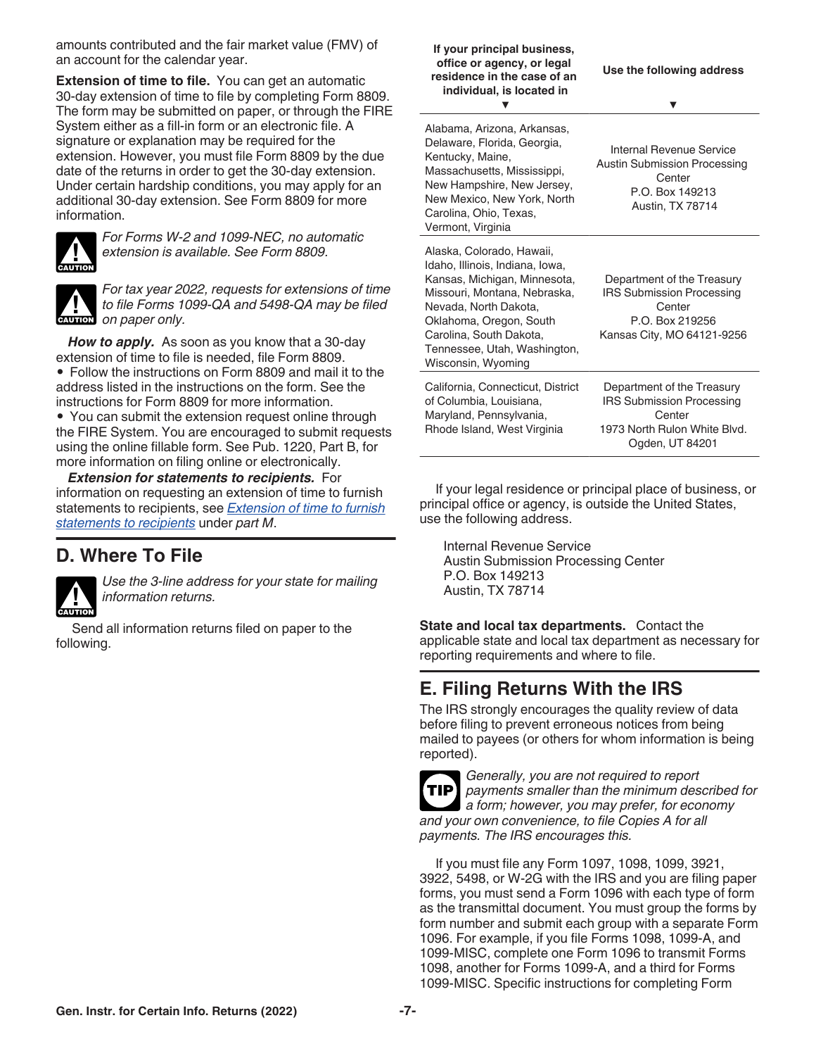<span id="page-6-0"></span>amounts contributed and the fair market value (FMV) of an account for the calendar year.

**Extension of time to file.** You can get an automatic 30-day extension of time to file by completing Form 8809. The form may be submitted on paper, or through the FIRE System either as a fill-in form or an electronic file. A signature or explanation may be required for the extension. However, you must file Form 8809 by the due date of the returns in order to get the 30-day extension. Under certain hardship conditions, you may apply for an additional 30-day extension. See Form 8809 for more information.



*For Forms W-2 and 1099-NEC, no automatic extension is available. See Form 8809.*



*For tax year 2022, requests for extensions of time to file Forms 1099-QA and 5498-QA may be filed on paper only.*

*How to apply.* As soon as you know that a 30-day extension of time to file is needed, file Form 8809.

• Follow the instructions on Form 8809 and mail it to the address listed in the instructions on the form. See the instructions for Form 8809 for more information.

• You can submit the extension request online through the FIRE System. You are encouraged to submit requests using the online fillable form. See Pub. 1220, Part B, for more information on filing online or electronically.

*Extension for statements to recipients.* For information on requesting an extension of time to furnish statements to recipients, see *[Extension of time to furnish](#page-17-0) [statements to recipients](#page-17-0)* under *part M*.

### **D. Where To File**



*Use the 3-line address for your state for mailing information returns.*

Send all information returns filed on paper to the following.

#### **If your principal business, office or agency, or legal residence in the case of an individual, is located in Use the following address ▼ ▼**

Alabama, Arizona, Arkansas, Delaware, Florida, Georgia, Kentucky, Maine, Massachusetts, Mississippi, New Hampshire, New Jersey, New Mexico, New York, North Carolina, Ohio, Texas, Vermont, Virginia

Rhode Island, West Virginia

Alaska, Colorado, Hawaii, Idaho, Illinois, Indiana, Iowa, Kansas, Michigan, Minnesota, Missouri, Montana, Nebraska, Nevada, North Dakota, Oklahoma, Oregon, South Carolina, South Dakota, Tennessee, Utah, Washington, Wisconsin, Wyoming Department of the Treasury IRS Submission Processing **Center** P.O. Box 219256 Kansas City, MO 64121-9256 California, Connecticut, District of Columbia, Louisiana, Maryland, Pennsylvania, Department of the Treasury IRS Submission Processing **Center** 

Internal Revenue Service Austin Submission Processing **Center** P.O. Box 149213 Austin, TX 78714

1973 North Rulon White Blvd. Ogden, UT 84201

If your legal residence or principal place of business, or principal office or agency, is outside the United States, use the following address.

Internal Revenue Service Austin Submission Processing Center P.O. Box 149213 Austin, TX 78714

**State and local tax departments.** Contact the applicable state and local tax department as necessary for reporting requirements and where to file.

# **E. Filing Returns With the IRS**

The IRS strongly encourages the quality review of data before filing to prevent erroneous notices from being mailed to payees (or others for whom information is being reported).



*Generally, you are not required to report payments smaller than the minimum described for a form; however, you may prefer, for economy and your own convenience, to file Copies A for all payments. The IRS encourages this.*

If you must file any Form 1097, 1098, 1099, 3921, 3922, 5498, or W-2G with the IRS and you are filing paper forms, you must send a Form 1096 with each type of form as the transmittal document. You must group the forms by form number and submit each group with a separate Form 1096. For example, if you file Forms 1098, 1099-A, and 1099-MISC, complete one Form 1096 to transmit Forms 1098, another for Forms 1099-A, and a third for Forms 1099-MISC. Specific instructions for completing Form

**Gen. Instr. for Certain Info. Returns (2022) -7-**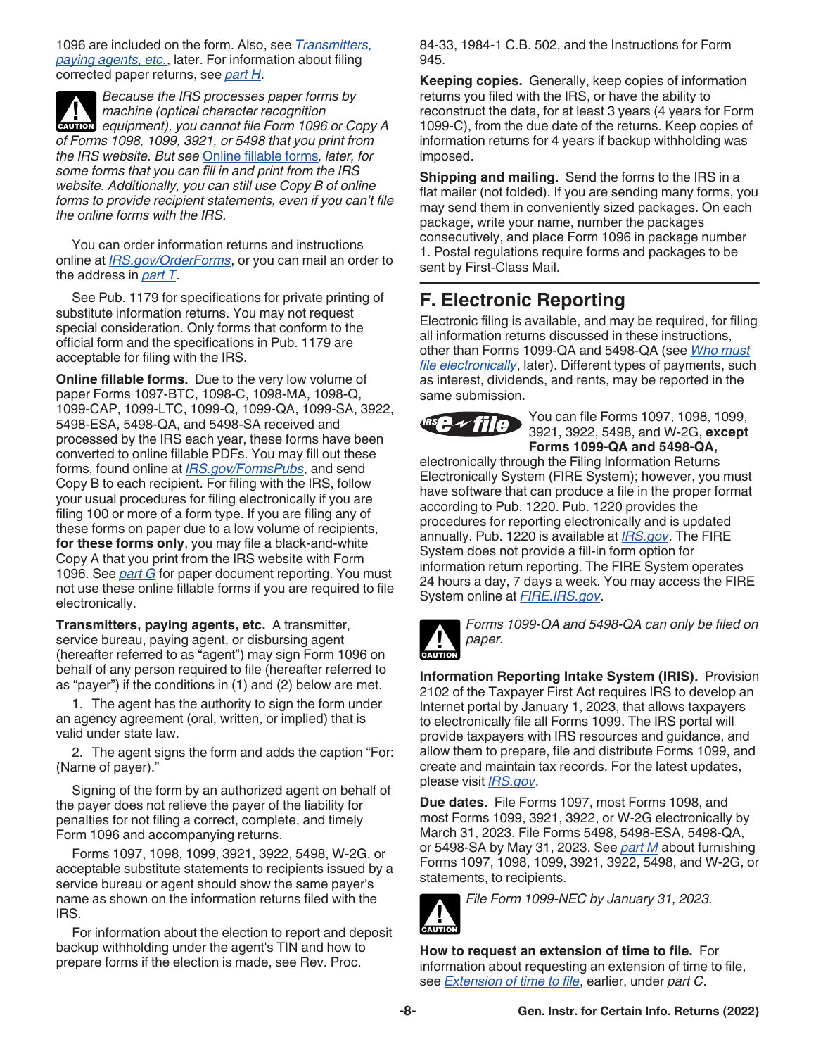<span id="page-7-0"></span>1096 are included on the form. Also, see *Transmitters, paying agents, etc.*, later. For information about filing corrected paper returns, see *[part H](#page-9-0)*.

*Because the IRS processes paper forms by machine (optical character recognition*  **Properties Analysis of Contracts and CAUTION**<br> **CAUTION** equipment), you cannot file Form 1096 or Copy A *of Forms 1098, 1099, 3921, or 5498 that you print from the IRS website. But see* Online fillable forms*, later, for some forms that you can fill in and print from the IRS website. Additionally, you can still use Copy B of online forms to provide recipient statements, even if you can't file the online forms with the IRS.*

You can order information returns and instructions online at *[IRS.gov/OrderForms](https://www.irs.gov/orderforms)*, or you can mail an order to the address in *[part T](#page-22-0)*.

See Pub. 1179 for specifications for private printing of substitute information returns. You may not request special consideration. Only forms that conform to the official form and the specifications in Pub. 1179 are acceptable for filing with the IRS.

**Online fillable forms.** Due to the very low volume of paper Forms 1097-BTC, 1098-C, 1098-MA, 1098-Q, 1099-CAP, 1099-LTC, 1099-Q, 1099-QA, 1099-SA, 3922, 5498-ESA, 5498-QA, and 5498-SA received and processed by the IRS each year, these forms have been converted to online fillable PDFs. You may fill out these forms, found online at *[IRS.gov/FormsPubs](https://www.irs.gov/formspubs)*, and send Copy B to each recipient. For filing with the IRS, follow your usual procedures for filing electronically if you are filing 100 or more of a form type. If you are filing any of these forms on paper due to a low volume of recipients, **for these forms only**, you may file a black-and-white Copy A that you print from the IRS website with Form 1096. See *[part G](#page-8-0)* for paper document reporting. You must not use these online fillable forms if you are required to file electronically.

**Transmitters, paying agents, etc.** A transmitter, service bureau, paying agent, or disbursing agent (hereafter referred to as "agent") may sign Form 1096 on behalf of any person required to file (hereafter referred to as "payer") if the conditions in (1) and (2) below are met.

1. The agent has the authority to sign the form under an agency agreement (oral, written, or implied) that is valid under state law.

2. The agent signs the form and adds the caption "For: (Name of payer)."

Signing of the form by an authorized agent on behalf of the payer does not relieve the payer of the liability for penalties for not filing a correct, complete, and timely Form 1096 and accompanying returns.

Forms 1097, 1098, 1099, 3921, 3922, 5498, W-2G, or acceptable substitute statements to recipients issued by a service bureau or agent should show the same payer's name as shown on the information returns filed with the IRS.

For information about the election to report and deposit backup withholding under the agent's TIN and how to prepare forms if the election is made, see Rev. Proc.

84-33, 1984-1 C.B. 502, and the Instructions for Form 945.

**Keeping copies.** Generally, keep copies of information returns you filed with the IRS, or have the ability to reconstruct the data, for at least 3 years (4 years for Form 1099-C), from the due date of the returns. Keep copies of information returns for 4 years if backup withholding was imposed.

**Shipping and mailing.** Send the forms to the IRS in a flat mailer (not folded). If you are sending many forms, you may send them in conveniently sized packages. On each package, write your name, number the packages consecutively, and place Form 1096 in package number 1. Postal regulations require forms and packages to be sent by First-Class Mail.

# **F. Electronic Reporting**

Electronic filing is available, and may be required, for filing all information returns discussed in these instructions, other than Forms 1099-QA and 5498-QA (see *[Who must](#page-8-0)  [file electronically](#page-8-0)*, later). Different types of payments, such as interest, dividends, and rents, may be reported in the same submission.



You can file Forms 1097, 1098, 1099, 3921, 3922, 5498, and W-2G, **except Forms 1099-QA and 5498-QA,** 

electronically through the Filing Information Returns Electronically System (FIRE System); however, you must have software that can produce a file in the proper format according to Pub. 1220. Pub. 1220 provides the procedures for reporting electronically and is updated annually. Pub. 1220 is available at *[IRS.gov](https://www.irs.gov)*. The FIRE System does not provide a fill-in form option for information return reporting. The FIRE System operates 24 hours a day, 7 days a week. You may access the FIRE System online at *[FIRE.IRS.gov](https://fire.irs.gov/)*.



*Forms 1099-QA and 5498-QA can only be filed on paper.*

**Information Reporting Intake System (IRIS).** Provision 2102 of the Taxpayer First Act requires IRS to develop an Internet portal by January 1, 2023, that allows taxpayers to electronically file all Forms 1099. The IRS portal will provide taxpayers with IRS resources and guidance, and allow them to prepare, file and distribute Forms 1099, and create and maintain tax records. For the latest updates, please visit *[IRS.gov](https://www.irs.gov)*.

**Due dates.** File Forms 1097, most Forms 1098, and most Forms 1099, 3921, 3922, or W-2G electronically by March 31, 2023. File Forms 5498, 5498-ESA, 5498-QA, or 5498-SA by May 31, 2023. See *[part M](#page-14-0)* about furnishing Forms 1097, 1098, 1099, 3921, 3922, 5498, and W-2G, or statements, to recipients.

*File Form 1099-NEC by January 31, 2023.* **!**

**How to request an extension of time to file.** For information about requesting an extension of time to file, see *[Extension of time to file](#page-6-0)*, earlier, under *part C*.

**CAUTION**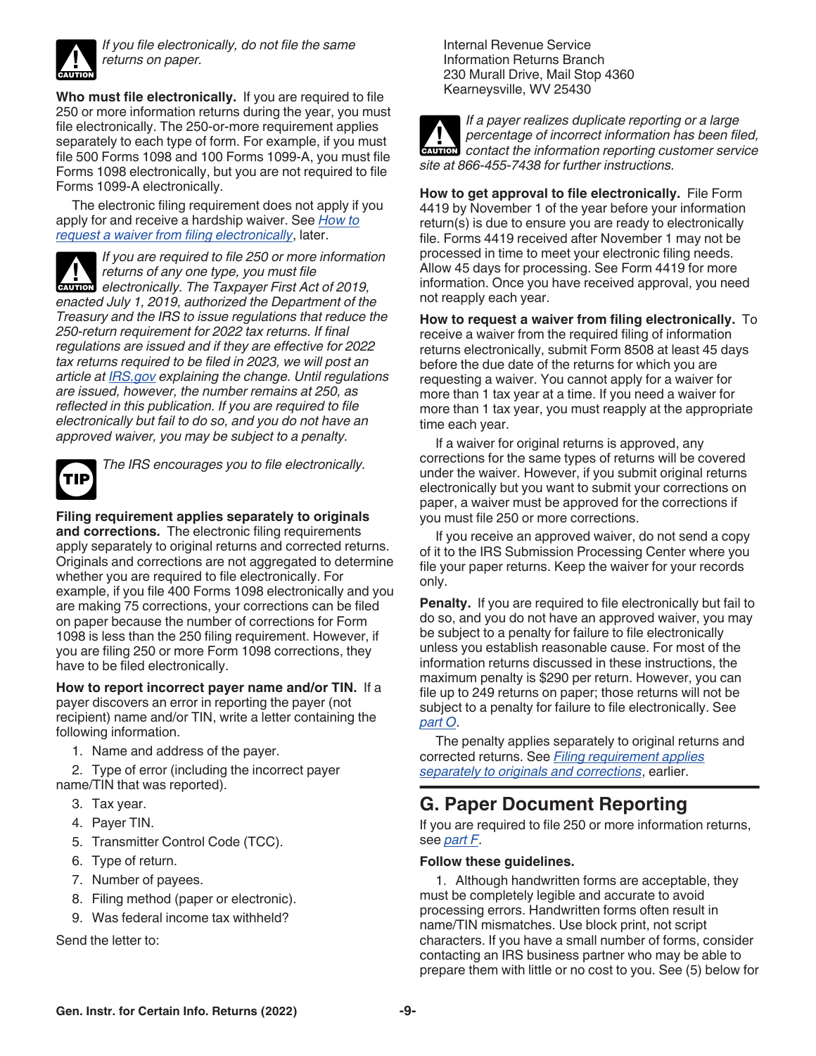<span id="page-8-0"></span>

*If you file electronically, do not file the same returns on paper.*

**Who must file electronically.** If you are required to file 250 or more information returns during the year, you must file electronically. The 250-or-more requirement applies separately to each type of form. For example, if you must file 500 Forms 1098 and 100 Forms 1099-A, you must file Forms 1098 electronically, but you are not required to file Forms 1099-A electronically.

The electronic filing requirement does not apply if you apply for and receive a hardship waiver. See *How to request a waiver from filing electronically*, later.

*If you are required to file 250 or more information returns of any one type, you must file*  **Products** *electronically. The Taxpayer First Act of 2019, enacted July 1, 2019, authorized the Department of the Treasury and the IRS to issue regulations that reduce the 250-return requirement for 2022 tax returns. If final regulations are issued and if they are effective for 2022 tax returns required to be filed in 2023, we will post an article at [IRS.gov](https://www.irs.gov) explaining the change. Until regulations are issued, however, the number remains at 250, as reflected in this publication. If you are required to file electronically but fail to do so, and you do not have an approved waiver, you may be subject to a penalty.*



*The IRS encourages you to file electronically.*

**Filing requirement applies separately to originals and corrections.** The electronic filing requirements apply separately to original returns and corrected returns. Originals and corrections are not aggregated to determine whether you are required to file electronically. For example, if you file 400 Forms 1098 electronically and you are making 75 corrections, your corrections can be filed on paper because the number of corrections for Form 1098 is less than the 250 filing requirement. However, if you are filing 250 or more Form 1098 corrections, they have to be filed electronically.

**How to report incorrect payer name and/or TIN.** If a payer discovers an error in reporting the payer (not recipient) name and/or TIN, write a letter containing the following information.

1. Name and address of the payer.

2. Type of error (including the incorrect payer name/TIN that was reported).

- 3. Tax year.
- 4. Payer TIN.
- 5. Transmitter Control Code (TCC).
- 6. Type of return.
- 7. Number of payees.
- 8. Filing method (paper or electronic).
- 9. Was federal income tax withheld?

Send the letter to:

Internal Revenue Service Information Returns Branch 230 Murall Drive, Mail Stop 4360 Kearneysville, WV 25430



*If a payer realizes duplicate reporting or a large percentage of incorrect information has been filed,*  **Percentage of incorrect information has been filed, contact the information reporting customer service** *site at 866-455-7438 for further instructions.*

**How to get approval to file electronically.** File Form 4419 by November 1 of the year before your information return(s) is due to ensure you are ready to electronically file. Forms 4419 received after November 1 may not be processed in time to meet your electronic filing needs. Allow 45 days for processing. See Form 4419 for more information. Once you have received approval, you need not reapply each year.

**How to request a waiver from filing electronically.** To receive a waiver from the required filing of information returns electronically, submit Form 8508 at least 45 days before the due date of the returns for which you are requesting a waiver. You cannot apply for a waiver for more than 1 tax year at a time. If you need a waiver for more than 1 tax year, you must reapply at the appropriate time each year.

If a waiver for original returns is approved, any corrections for the same types of returns will be covered under the waiver. However, if you submit original returns electronically but you want to submit your corrections on paper, a waiver must be approved for the corrections if you must file 250 or more corrections.

If you receive an approved waiver, do not send a copy of it to the IRS Submission Processing Center where you file your paper returns. Keep the waiver for your records only.

**Penalty.** If you are required to file electronically but fail to do so, and you do not have an approved waiver, you may be subject to a penalty for failure to file electronically unless you establish reasonable cause. For most of the information returns discussed in these instructions, the maximum penalty is \$290 per return. However, you can file up to 249 returns on paper; those returns will not be subject to a penalty for failure to file electronically. See *[part O](#page-18-0)*.

The penalty applies separately to original returns and corrected returns. See *Filing requirement applies separately to originals and corrections*, earlier.

# **G. Paper Document Reporting**

If you are required to file 250 or more information returns, see *[part F](#page-7-0)*.

#### **Follow these guidelines.**

1. Although handwritten forms are acceptable, they must be completely legible and accurate to avoid processing errors. Handwritten forms often result in name/TIN mismatches. Use block print, not script characters. If you have a small number of forms, consider contacting an IRS business partner who may be able to prepare them with little or no cost to you. See (5) below for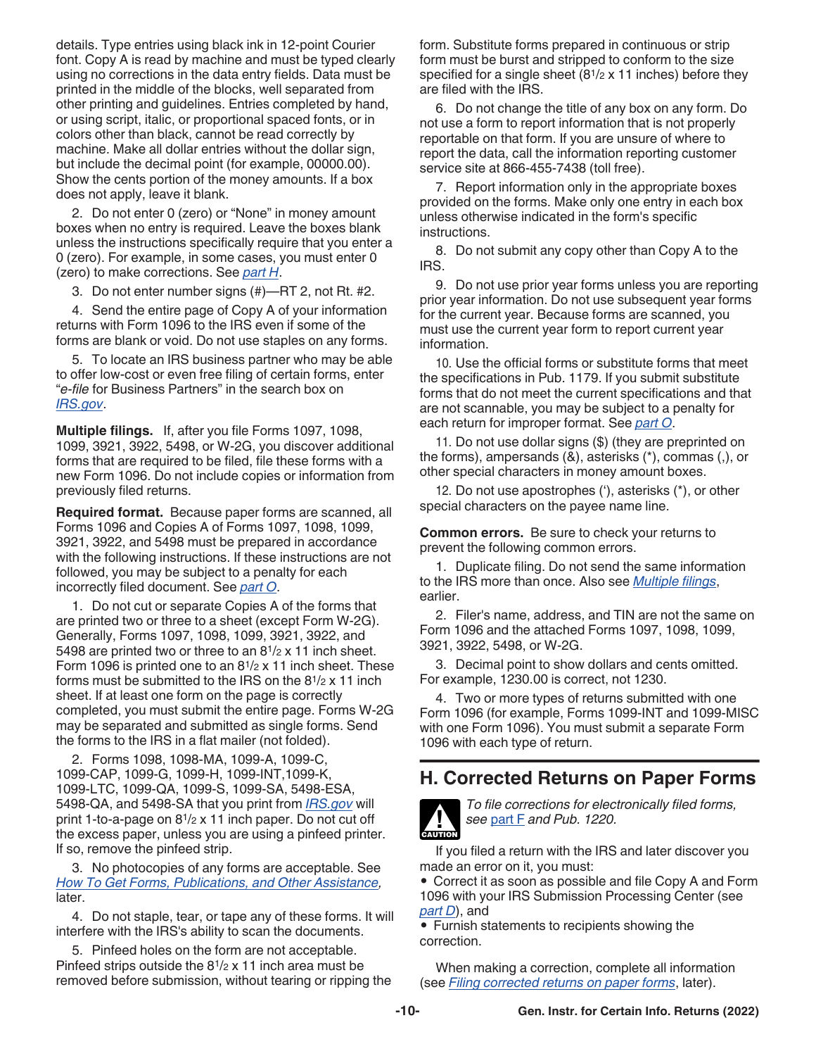<span id="page-9-0"></span>details. Type entries using black ink in 12-point Courier font. Copy A is read by machine and must be typed clearly using no corrections in the data entry fields. Data must be printed in the middle of the blocks, well separated from other printing and guidelines. Entries completed by hand, or using script, italic, or proportional spaced fonts, or in colors other than black, cannot be read correctly by machine. Make all dollar entries without the dollar sign, but include the decimal point (for example, 00000.00). Show the cents portion of the money amounts. If a box does not apply, leave it blank.

2. Do not enter 0 (zero) or "None" in money amount boxes when no entry is required. Leave the boxes blank unless the instructions specifically require that you enter a 0 (zero). For example, in some cases, you must enter 0 (zero) to make corrections. See *part H*.

3. Do not enter number signs (#)—RT 2, not Rt. #2.

4. Send the entire page of Copy A of your information returns with Form 1096 to the IRS even if some of the forms are blank or void. Do not use staples on any forms.

5. To locate an IRS business partner who may be able to offer low-cost or even free filing of certain forms, enter "*e-file* for Business Partners" in the search box on *[IRS.gov](https://www.irs.gov)*.

**Multiple filings.** If, after you file Forms 1097, 1098, 1099, 3921, 3922, 5498, or W-2G, you discover additional forms that are required to be filed, file these forms with a new Form 1096. Do not include copies or information from previously filed returns.

**Required format.** Because paper forms are scanned, all Forms 1096 and Copies A of Forms 1097, 1098, 1099, 3921, 3922, and 5498 must be prepared in accordance with the following instructions. If these instructions are not followed, you may be subject to a penalty for each incorrectly filed document. See *[part O](#page-18-0)*.

1. Do not cut or separate Copies A of the forms that are printed two or three to a sheet (except Form W-2G). Generally, Forms 1097, 1098, 1099, 3921, 3922, and 5498 are printed two or three to an 81/2 x 11 inch sheet. Form 1096 is printed one to an  $8^{1/2}$  x 11 inch sheet. These forms must be submitted to the IRS on the 81/2 x 11 inch sheet. If at least one form on the page is correctly completed, you must submit the entire page. Forms W-2G may be separated and submitted as single forms. Send the forms to the IRS in a flat mailer (not folded).

2. Forms 1098, 1098-MA, 1099-A, 1099-C, 1099-CAP, 1099-G, 1099-H, 1099-INT,1099-K, 1099-LTC, 1099-QA, 1099-S, 1099-SA, 5498-ESA, 5498-QA, and 5498-SA that you print from *[IRS.gov](https://www.irs.gov)* will print 1-to-a-page on 81/2 x 11 inch paper. Do not cut off the excess paper, unless you are using a pinfeed printer. If so, remove the pinfeed strip.

3. No photocopies of any forms are acceptable. See *[How To Get Forms, Publications, and Other Assistance](#page-23-0),*  later.

4. Do not staple, tear, or tape any of these forms. It will interfere with the IRS's ability to scan the documents.

5. Pinfeed holes on the form are not acceptable. Pinfeed strips outside the 81/2 x 11 inch area must be removed before submission, without tearing or ripping the form. Substitute forms prepared in continuous or strip form must be burst and stripped to conform to the size specified for a single sheet (81/2 x 11 inches) before they are filed with the IRS.

6. Do not change the title of any box on any form. Do not use a form to report information that is not properly reportable on that form. If you are unsure of where to report the data, call the information reporting customer service site at 866-455-7438 (toll free).

7. Report information only in the appropriate boxes provided on the forms. Make only one entry in each box unless otherwise indicated in the form's specific instructions.

8. Do not submit any copy other than Copy A to the IRS.

9. Do not use prior year forms unless you are reporting prior year information. Do not use subsequent year forms for the current year. Because forms are scanned, you must use the current year form to report current year information.

10. Use the official forms or substitute forms that meet the specifications in Pub. 1179. If you submit substitute forms that do not meet the current specifications and that are not scannable, you may be subject to a penalty for each return for improper format. See *[part O](#page-18-0)*.

11. Do not use dollar signs (\$) (they are preprinted on the forms), ampersands (&), asterisks (\*), commas (,), or other special characters in money amount boxes.

12. Do not use apostrophes ('), asterisks (\*), or other special characters on the payee name line.

**Common errors.** Be sure to check your returns to prevent the following common errors.

1. Duplicate filing. Do not send the same information to the IRS more than once. Also see *Multiple filings*, earlier.

2. Filer's name, address, and TIN are not the same on Form 1096 and the attached Forms 1097, 1098, 1099, 3921, 3922, 5498, or W-2G.

3. Decimal point to show dollars and cents omitted. For example, 1230.00 is correct, not 1230.

4. Two or more types of returns submitted with one Form 1096 (for example, Forms 1099-INT and 1099-MISC with one Form 1096). You must submit a separate Form 1096 with each type of return.

### **H. Corrected Returns on Paper Forms**



*To file corrections for electronically filed forms, see* [part F](#page-7-0) *and Pub. 1220.*

If you filed a return with the IRS and later discover you made an error on it, you must:

• Correct it as soon as possible and file Copy A and Form 1096 with your IRS Submission Processing Center (see *[part D](#page-6-0)*), and

• Furnish statements to recipients showing the correction.

When making a correction, complete all information (see *[Filing corrected returns on paper forms](#page-10-0)*, later).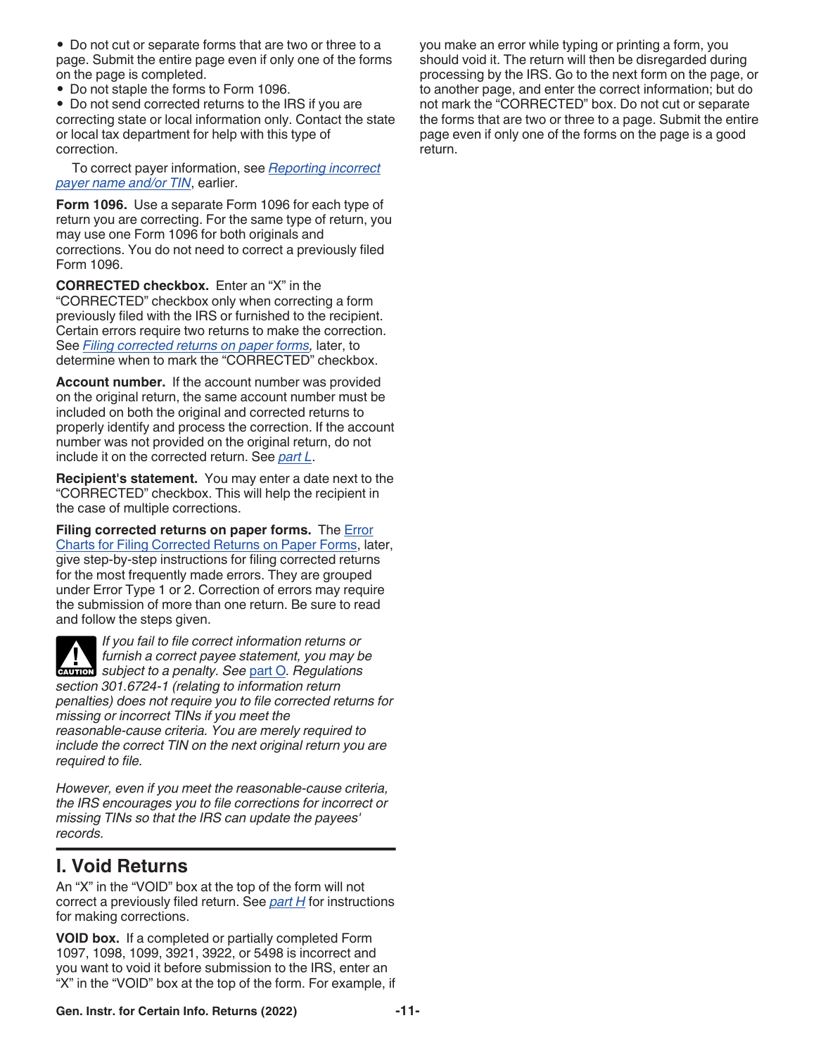<span id="page-10-0"></span>• Do not cut or separate forms that are two or three to a page. Submit the entire page even if only one of the forms on the page is completed.

• Do not staple the forms to Form 1096.

• Do not send corrected returns to the IRS if you are correcting state or local information only. Contact the state or local tax department for help with this type of correction.

To correct payer information, see *[Reporting incorrect](#page-8-0)  [payer name and/or TIN](#page-8-0)*, earlier.

**Form 1096.** Use a separate Form 1096 for each type of return you are correcting. For the same type of return, you may use one Form 1096 for both originals and corrections. You do not need to correct a previously filed Form 1096.

**CORRECTED checkbox.** Enter an "X" in the "CORRECTED" checkbox only when correcting a form previously filed with the IRS or furnished to the recipient. Certain errors require two returns to make the correction. See *Filing corrected returns on paper forms,* later, to determine when to mark the "CORRECTED" checkbox.

**Account number.** If the account number was provided on the original return, the same account number must be included on both the original and corrected returns to properly identify and process the correction. If the account number was not provided on the original return, do not include it on the corrected return. See *[part L](#page-13-0)*.

**Recipient's statement.** You may enter a date next to the "CORRECTED" checkbox. This will help the recipient in the case of multiple corrections.

**Filing corrected returns on paper forms.** The [Error](#page-11-0) [Charts for Filing Corrected Returns on Paper Forms](#page-11-0), later, give step-by-step instructions for filing corrected returns for the most frequently made errors. They are grouped under Error Type 1 or 2. Correction of errors may require the submission of more than one return. Be sure to read and follow the steps given.

*If you fail to file correct information returns or furnish a correct payee statement, you may be*  furnish a correct payee statement, you may be a subject to a penalty. See [part O](#page-18-0). Regulations *section 301.6724-1 (relating to information return penalties) does not require you to file corrected returns for missing or incorrect TINs if you meet the reasonable-cause criteria. You are merely required to include the correct TIN on the next original return you are required to file.*

*However, even if you meet the reasonable-cause criteria, the IRS encourages you to file corrections for incorrect or missing TINs so that the IRS can update the payees' records.*

# **I. Void Returns**

An "X" in the "VOID" box at the top of the form will not correct a previously filed return. See *[part H](#page-9-0)* for instructions for making corrections.

**VOID box.** If a completed or partially completed Form 1097, 1098, 1099, 3921, 3922, or 5498 is incorrect and you want to void it before submission to the IRS, enter an "X" in the "VOID" box at the top of the form. For example, if you make an error while typing or printing a form, you should void it. The return will then be disregarded during processing by the IRS. Go to the next form on the page, or to another page, and enter the correct information; but do not mark the "CORRECTED" box. Do not cut or separate the forms that are two or three to a page. Submit the entire page even if only one of the forms on the page is a good return.

**Gen. Instr. for Certain Info. Returns (2022) -11-**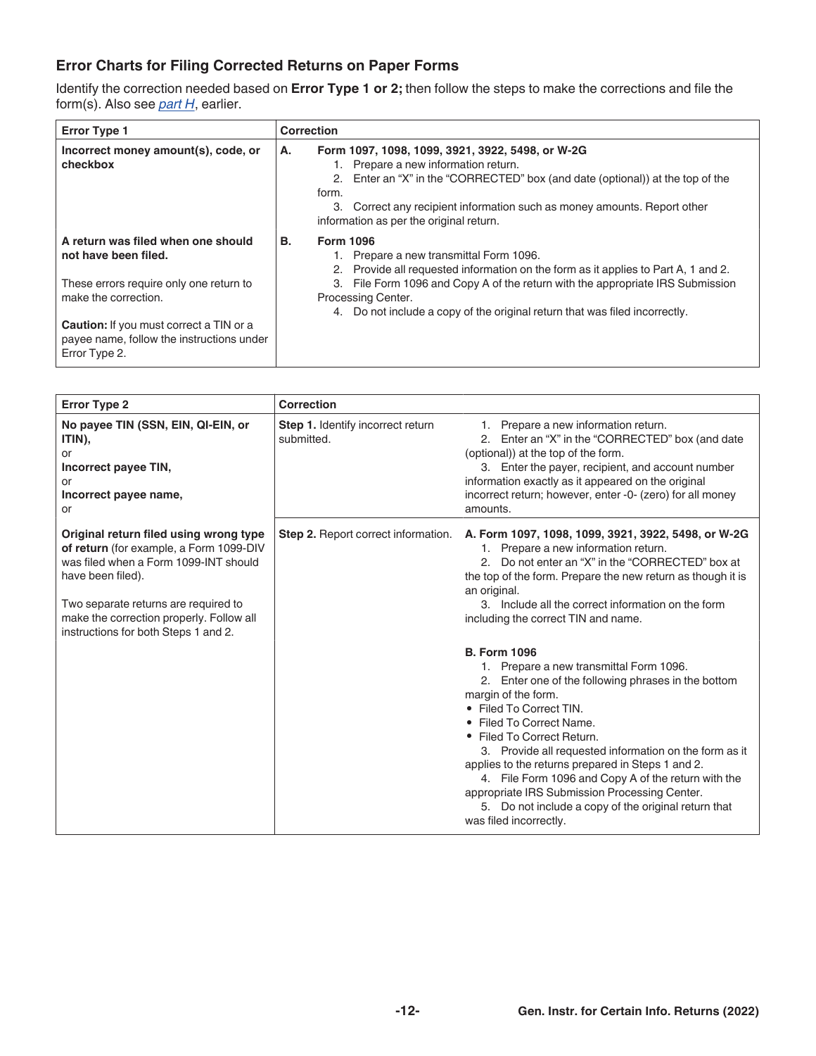### <span id="page-11-0"></span>**Error Charts for Filing Corrected Returns on Paper Forms**

Identify the correction needed based on **Error Type 1 or 2;** then follow the steps to make the corrections and file the form(s). Also see *[part H](#page-9-0)*, earlier.

| <b>Error Type 1</b>                                                                                                           | <b>Correction</b>                                                                                                                                                                                                                                                                                                                                        |
|-------------------------------------------------------------------------------------------------------------------------------|----------------------------------------------------------------------------------------------------------------------------------------------------------------------------------------------------------------------------------------------------------------------------------------------------------------------------------------------------------|
| Incorrect money amount(s), code, or<br>checkbox                                                                               | Form 1097, 1098, 1099, 3921, 3922, 5498, or W-2G<br>А.<br>Prepare a new information return.<br>2. Enter an "X" in the "CORRECTED" box (and date (optional)) at the top of the<br>form.<br>Correct any recipient information such as money amounts. Report other<br>3.<br>information as per the original return.                                         |
| A return was filed when one should<br>not have been filed.<br>These errors require only one return to<br>make the correction. | <b>B.</b><br><b>Form 1096</b><br>Prepare a new transmittal Form 1096.<br>Provide all requested information on the form as it applies to Part A, 1 and 2.<br>2.<br>File Form 1096 and Copy A of the return with the appropriate IRS Submission<br>3.<br>Processing Center.<br>4. Do not include a copy of the original return that was filed incorrectly. |
| <b>Caution:</b> If you must correct a TIN or a<br>payee name, follow the instructions under<br>Error Type 2.                  |                                                                                                                                                                                                                                                                                                                                                          |

| <b>Error Type 2</b>                                                                                                                                                                                                                                                         | Correction                                      |                                                                                                                                                                                                                                                                                                                                                                                                                                                                                                                                          |
|-----------------------------------------------------------------------------------------------------------------------------------------------------------------------------------------------------------------------------------------------------------------------------|-------------------------------------------------|------------------------------------------------------------------------------------------------------------------------------------------------------------------------------------------------------------------------------------------------------------------------------------------------------------------------------------------------------------------------------------------------------------------------------------------------------------------------------------------------------------------------------------------|
| No payee TIN (SSN, EIN, QI-EIN, or<br>ITIN),<br>or<br>Incorrect payee TIN,<br>or<br>Incorrect payee name,<br>or                                                                                                                                                             | Step 1. Identify incorrect return<br>submitted. | 1. Prepare a new information return.<br>2. Enter an "X" in the "CORRECTED" box (and date<br>(optional)) at the top of the form.<br>3. Enter the payer, recipient, and account number<br>information exactly as it appeared on the original<br>incorrect return; however, enter -0- (zero) for all money<br>amounts.                                                                                                                                                                                                                      |
| Original return filed using wrong type<br>of return (for example, a Form 1099-DIV<br>was filed when a Form 1099-INT should<br>have been filed).<br>Two separate returns are required to<br>make the correction properly. Follow all<br>instructions for both Steps 1 and 2. | <b>Step 2.</b> Report correct information.      | A. Form 1097, 1098, 1099, 3921, 3922, 5498, or W-2G<br>1. Prepare a new information return.<br>2. Do not enter an "X" in the "CORRECTED" box at<br>the top of the form. Prepare the new return as though it is<br>an original.<br>3. Include all the correct information on the form<br>including the correct TIN and name.                                                                                                                                                                                                              |
|                                                                                                                                                                                                                                                                             |                                                 | <b>B. Form 1096</b><br>1. Prepare a new transmittal Form 1096.<br>2. Enter one of the following phrases in the bottom<br>margin of the form.<br>• Filed To Correct TIN.<br>Filed To Correct Name.<br>• Filed To Correct Return.<br>3. Provide all requested information on the form as it<br>applies to the returns prepared in Steps 1 and 2.<br>4. File Form 1096 and Copy A of the return with the<br>appropriate IRS Submission Processing Center.<br>5. Do not include a copy of the original return that<br>was filed incorrectly. |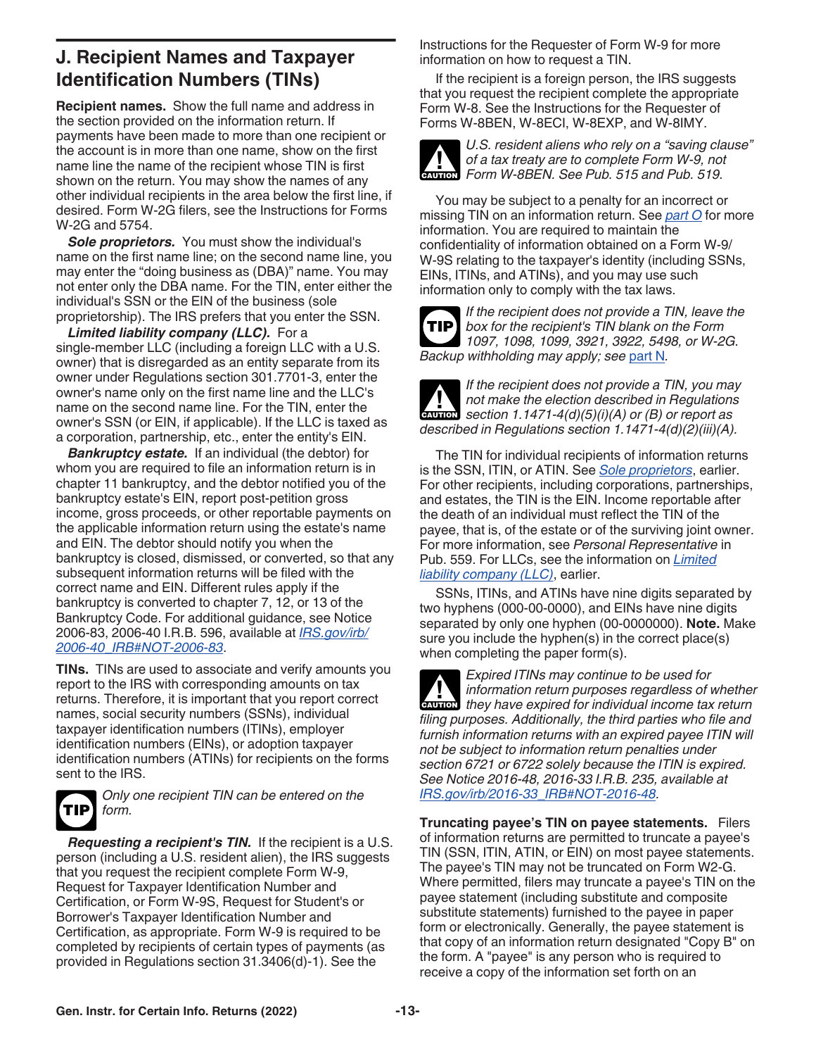# <span id="page-12-0"></span>**J. Recipient Names and Taxpayer Identification Numbers (TINs)**

**Recipient names.** Show the full name and address in the section provided on the information return. If payments have been made to more than one recipient or the account is in more than one name, show on the first name line the name of the recipient whose TIN is first shown on the return. You may show the names of any other individual recipients in the area below the first line, if desired. Form W-2G filers, see the Instructions for Forms W-2G and 5754.

*Sole proprietors.* You must show the individual's name on the first name line; on the second name line, you may enter the "doing business as (DBA)" name. You may not enter only the DBA name. For the TIN, enter either the individual's SSN or the EIN of the business (sole proprietorship). The IRS prefers that you enter the SSN.

*Limited liability company (LLC).* For a single-member LLC (including a foreign LLC with a U.S. owner) that is disregarded as an entity separate from its owner under Regulations section 301.7701-3, enter the owner's name only on the first name line and the LLC's name on the second name line. For the TIN, enter the owner's SSN (or EIN, if applicable). If the LLC is taxed as a corporation, partnership, etc., enter the entity's EIN.

*Bankruptcy estate.* If an individual (the debtor) for whom you are required to file an information return is in chapter 11 bankruptcy, and the debtor notified you of the bankruptcy estate's EIN, report post-petition gross income, gross proceeds, or other reportable payments on the applicable information return using the estate's name and EIN. The debtor should notify you when the bankruptcy is closed, dismissed, or converted, so that any subsequent information returns will be filed with the correct name and EIN. Different rules apply if the bankruptcy is converted to chapter 7, 12, or 13 of the Bankruptcy Code. For additional guidance, see Notice 2006-83, 2006-40 I.R.B. 596, available at *[IRS.gov/irb/](https://www.irs.gov/irb/2006-40_IRB#NOT-2006-83) [2006-40\\_IRB#NOT-2006-83](https://www.irs.gov/irb/2006-40_IRB#NOT-2006-83)*.

**TINs.** TINs are used to associate and verify amounts you report to the IRS with corresponding amounts on tax returns. Therefore, it is important that you report correct names, social security numbers (SSNs), individual taxpayer identification numbers (ITINs), employer identification numbers (EINs), or adoption taxpayer identification numbers (ATINs) for recipients on the forms sent to the IRS.



*Only one recipient TIN can be entered on the form.*

*Requesting a recipient's TIN.* If the recipient is a U.S. person (including a U.S. resident alien), the IRS suggests that you request the recipient complete Form W-9, Request for Taxpayer Identification Number and Certification, or Form W-9S, Request for Student's or Borrower's Taxpayer Identification Number and Certification, as appropriate. Form W-9 is required to be completed by recipients of certain types of payments (as provided in Regulations section 31.3406(d)-1). See the

Instructions for the Requester of Form W-9 for more information on how to request a TIN.

If the recipient is a foreign person, the IRS suggests that you request the recipient complete the appropriate Form W-8. See the Instructions for the Requester of Forms W-8BEN, W-8ECI, W-8EXP, and W-8IMY.



*U.S. resident aliens who rely on a "saving clause" of a tax treaty are to complete Form W-9, not*  of a tax treaty are to complete Form W-9, no

You may be subject to a penalty for an incorrect or missing TIN on an information return. See *[part O](#page-18-0)* for more information. You are required to maintain the confidentiality of information obtained on a Form W-9/ W-9S relating to the taxpayer's identity (including SSNs, EINs, ITINs, and ATINs), and you may use such information only to comply with the tax laws.

*If the recipient does not provide a TIN, leave the box for the recipient's TIN blank on the Form 1097, 1098, 1099, 3921, 3922, 5498, or W-2G. Backup withholding may apply; see* [part N](#page-17-0)*.* **TIP**



*If the recipient does not provide a TIN, you may not make the election described in Regulations section 1.1471-4(d)(5)(i)(A) or (B) or report as described in Regulations section 1.1471-4(d)(2)(iii)(A).*

The TIN for individual recipients of information returns is the SSN, ITIN, or ATIN. See *Sole proprietors*, earlier. For other recipients, including corporations, partnerships, and estates, the TIN is the EIN. Income reportable after the death of an individual must reflect the TIN of the payee, that is, of the estate or of the surviving joint owner. For more information, see *Personal Representative* in Pub. 559. For LLCs, see the information on *Limited liability company (LLC)*, earlier.

SSNs, ITINs, and ATINs have nine digits separated by two hyphens (000-00-0000), and EINs have nine digits separated by only one hyphen (00-0000000). **Note.** Make sure you include the hyphen(s) in the correct place(s) when completing the paper form(s).

*Expired ITINs may continue to be used for information return purposes regardless of whether they have expired for individual income tax return purposes regardless of whether filing purposes. Additionally, the third parties who file and furnish information returns with an expired payee ITIN will not be subject to information return penalties under section 6721 or 6722 solely because the ITIN is expired. See Notice 2016-48, 2016-33 I.R.B. 235, available at [IRS.gov/irb/2016-33\\_IRB#NOT-2016-48](https://www.irs.gov/irb/2016-33_IRB#NOT-2016-48).*

**Truncating payee's TIN on payee statements.** Filers of information returns are permitted to truncate a payee's TIN (SSN, ITIN, ATIN, or EIN) on most payee statements. The payee's TIN may not be truncated on Form W2-G. Where permitted, filers may truncate a payee's TIN on the payee statement (including substitute and composite substitute statements) furnished to the payee in paper form or electronically. Generally, the payee statement is that copy of an information return designated "Copy B" on the form. A "payee" is any person who is required to receive a copy of the information set forth on an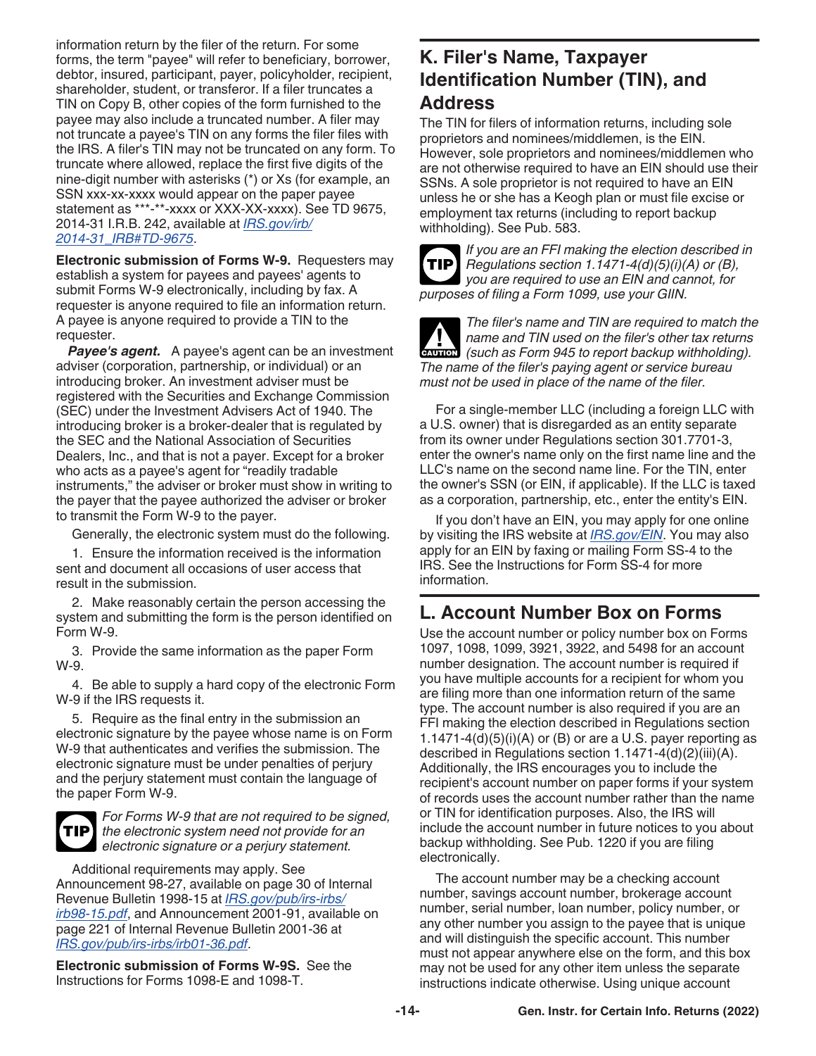<span id="page-13-0"></span>information return by the filer of the return. For some forms, the term "payee" will refer to beneficiary, borrower, debtor, insured, participant, payer, policyholder, recipient, shareholder, student, or transferor. If a filer truncates a TIN on Copy B, other copies of the form furnished to the payee may also include a truncated number. A filer may not truncate a payee's TIN on any forms the filer files with the IRS. A filer's TIN may not be truncated on any form. To truncate where allowed, replace the first five digits of the nine-digit number with asterisks (\*) or Xs (for example, an SSN xxx-xx-xxxx would appear on the paper payee statement as \*\*\*-\*\*-xxxx or XXX-XX-xxxx). See TD 9675, 2014-31 I.R.B. 242, available at *[IRS.gov/irb/](https://www.irs.gov/irb/2014-31_IRB#TD-9675) [2014-31\\_IRB#TD-9675](https://www.irs.gov/irb/2014-31_IRB#TD-9675)*.

**Electronic submission of Forms W-9.** Requesters may establish a system for payees and payees' agents to submit Forms W-9 electronically, including by fax. A requester is anyone required to file an information return. A payee is anyone required to provide a TIN to the requester.

*Payee's agent.* A payee's agent can be an investment adviser (corporation, partnership, or individual) or an introducing broker. An investment adviser must be registered with the Securities and Exchange Commission (SEC) under the Investment Advisers Act of 1940. The introducing broker is a broker-dealer that is regulated by the SEC and the National Association of Securities Dealers, Inc., and that is not a payer. Except for a broker who acts as a payee's agent for "readily tradable instruments," the adviser or broker must show in writing to the payer that the payee authorized the adviser or broker to transmit the Form W-9 to the payer.

Generally, the electronic system must do the following.

1. Ensure the information received is the information sent and document all occasions of user access that result in the submission.

2. Make reasonably certain the person accessing the system and submitting the form is the person identified on Form W-9.

3. Provide the same information as the paper Form W-9.

4. Be able to supply a hard copy of the electronic Form W-9 if the IRS requests it.

5. Require as the final entry in the submission an electronic signature by the payee whose name is on Form W-9 that authenticates and verifies the submission. The electronic signature must be under penalties of perjury and the perjury statement must contain the language of the paper Form W-9.



*For Forms W-9 that are not required to be signed, the electronic system need not provide for an electronic signature or a perjury statement.*

Additional requirements may apply. See Announcement 98-27, available on page 30 of Internal Revenue Bulletin 1998-15 at *[IRS.gov/pub/irs-irbs/](https://www.irs.gov/pub/irs-irbs/irb98-15.pdf) [irb98-15.pdf](https://www.irs.gov/pub/irs-irbs/irb98-15.pdf)*, and Announcement 2001-91, available on page 221 of Internal Revenue Bulletin 2001-36 at *[IRS.gov/pub/irs-irbs/irb01-36.pdf](https://www.irs.gov/pub/irs-irbs/irb01-36.pdf)*.

**Electronic submission of Forms W-9S.** See the Instructions for Forms 1098-E and 1098-T.

### **K. Filer's Name, Taxpayer Identification Number (TIN), and Address**

The TIN for filers of information returns, including sole proprietors and nominees/middlemen, is the EIN. However, sole proprietors and nominees/middlemen who are not otherwise required to have an EIN should use their SSNs. A sole proprietor is not required to have an EIN unless he or she has a Keogh plan or must file excise or employment tax returns (including to report backup withholding). See Pub. 583.



*If you are an FFI making the election described in*  **TIP** Regulations section 1.1471-4(d)(5)(i)(A) or (B), *you are required to use an EIN and cannot, for purposes of filing a Form 1099, use your GIIN.*

*The filer's name and TIN are required to match the name and TIN used on the filer's other tax returns (such as Form 945 to report backup withholding). The name of the filer's paying agent or service bureau must not be used in place of the name of the filer.* **CAUTION !**

For a single-member LLC (including a foreign LLC with a U.S. owner) that is disregarded as an entity separate from its owner under Regulations section 301.7701-3, enter the owner's name only on the first name line and the LLC's name on the second name line. For the TIN, enter the owner's SSN (or EIN, if applicable). If the LLC is taxed as a corporation, partnership, etc., enter the entity's EIN.

If you don't have an EIN, you may apply for one online by visiting the IRS website at *[IRS.gov/EIN](https://www.irs.gov/ein)*. You may also apply for an EIN by faxing or mailing Form SS-4 to the IRS. See the Instructions for Form SS-4 for more information.

### **L. Account Number Box on Forms**

Use the account number or policy number box on Forms 1097, 1098, 1099, 3921, 3922, and 5498 for an account number designation. The account number is required if you have multiple accounts for a recipient for whom you are filing more than one information return of the same type. The account number is also required if you are an FFI making the election described in Regulations section  $1.1471-4(d)(5)(i)(A)$  or (B) or are a U.S. payer reporting as described in Regulations section 1.1471-4(d)(2)(iii)(A). Additionally, the IRS encourages you to include the recipient's account number on paper forms if your system of records uses the account number rather than the name or TIN for identification purposes. Also, the IRS will include the account number in future notices to you about backup withholding. See Pub. 1220 if you are filing electronically.

The account number may be a checking account number, savings account number, brokerage account number, serial number, loan number, policy number, or any other number you assign to the payee that is unique and will distinguish the specific account. This number must not appear anywhere else on the form, and this box may not be used for any other item unless the separate instructions indicate otherwise. Using unique account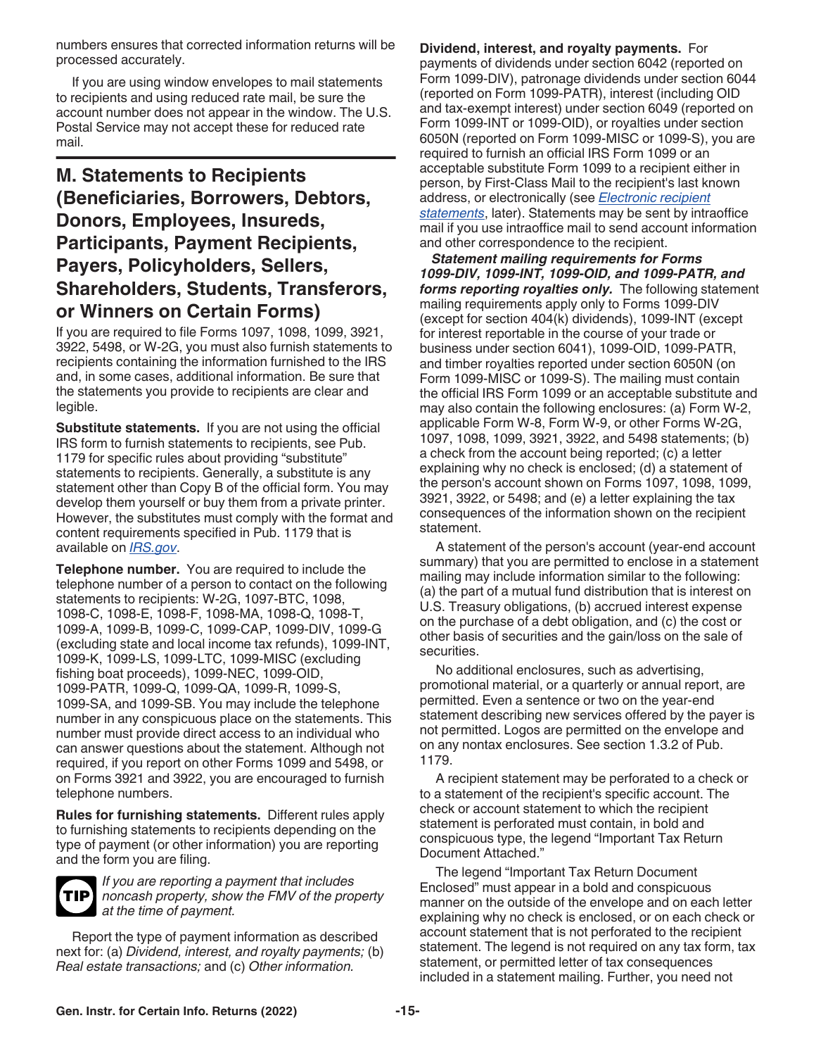<span id="page-14-0"></span>numbers ensures that corrected information returns will be processed accurately.

If you are using window envelopes to mail statements to recipients and using reduced rate mail, be sure the account number does not appear in the window. The U.S. Postal Service may not accept these for reduced rate mail.

# **M. Statements to Recipients (Beneficiaries, Borrowers, Debtors, Donors, Employees, Insureds, Participants, Payment Recipients, Payers, Policyholders, Sellers, Shareholders, Students, Transferors, or Winners on Certain Forms)**

If you are required to file Forms 1097, 1098, 1099, 3921, 3922, 5498, or W-2G, you must also furnish statements to recipients containing the information furnished to the IRS and, in some cases, additional information. Be sure that the statements you provide to recipients are clear and legible.

**Substitute statements.** If you are not using the official IRS form to furnish statements to recipients, see Pub. 1179 for specific rules about providing "substitute" statements to recipients. Generally, a substitute is any statement other than Copy B of the official form. You may develop them yourself or buy them from a private printer. However, the substitutes must comply with the format and content requirements specified in Pub. 1179 that is available on *[IRS.gov](https://www.irs.gov)*.

**Telephone number.** You are required to include the telephone number of a person to contact on the following statements to recipients: W-2G, 1097-BTC, 1098, 1098-C, 1098-E, 1098-F, 1098-MA, 1098-Q, 1098-T, 1099-A, 1099-B, 1099-C, 1099-CAP, 1099-DIV, 1099-G (excluding state and local income tax refunds), 1099-INT, 1099-K, 1099-LS, 1099-LTC, 1099-MISC (excluding fishing boat proceeds), 1099-NEC, 1099-OID, 1099-PATR, 1099-Q, 1099-QA, 1099-R, 1099-S, 1099-SA, and 1099-SB. You may include the telephone number in any conspicuous place on the statements. This number must provide direct access to an individual who can answer questions about the statement. Although not required, if you report on other Forms 1099 and 5498, or on Forms 3921 and 3922, you are encouraged to furnish telephone numbers.

**Rules for furnishing statements.** Different rules apply to furnishing statements to recipients depending on the type of payment (or other information) you are reporting and the form you are filing.



*If you are reporting a payment that includes noncash property, show the FMV of the property at the time of payment.*

Report the type of payment information as described next for: (a) *Dividend, interest, and royalty payments;* (b) *Real estate transactions;* and (c) *Other information.*

**Dividend, interest, and royalty payments.** For payments of dividends under section 6042 (reported on Form 1099-DIV), patronage dividends under section 6044 (reported on Form 1099-PATR), interest (including OID and tax-exempt interest) under section 6049 (reported on Form 1099-INT or 1099-OID), or royalties under section 6050N (reported on Form 1099-MISC or 1099-S), you are required to furnish an official IRS Form 1099 or an acceptable substitute Form 1099 to a recipient either in person, by First-Class Mail to the recipient's last known address, or electronically (see *[Electronic recipient](#page-16-0) [statements](#page-16-0)*, later). Statements may be sent by intraoffice mail if you use intraoffice mail to send account information and other correspondence to the recipient.

*Statement mailing requirements for Forms 1099-DIV, 1099-INT, 1099-OID, and 1099-PATR, and forms reporting royalties only.* The following statement mailing requirements apply only to Forms 1099-DIV (except for section 404(k) dividends), 1099-INT (except for interest reportable in the course of your trade or business under section 6041), 1099-OID, 1099-PATR, and timber royalties reported under section 6050N (on Form 1099-MISC or 1099-S). The mailing must contain the official IRS Form 1099 or an acceptable substitute and may also contain the following enclosures: (a) Form W-2, applicable Form W-8, Form W-9, or other Forms W-2G, 1097, 1098, 1099, 3921, 3922, and 5498 statements; (b) a check from the account being reported; (c) a letter explaining why no check is enclosed; (d) a statement of the person's account shown on Forms 1097, 1098, 1099, 3921, 3922, or 5498; and (e) a letter explaining the tax consequences of the information shown on the recipient statement.

A statement of the person's account (year-end account summary) that you are permitted to enclose in a statement mailing may include information similar to the following: (a) the part of a mutual fund distribution that is interest on U.S. Treasury obligations, (b) accrued interest expense on the purchase of a debt obligation, and (c) the cost or other basis of securities and the gain/loss on the sale of securities.

No additional enclosures, such as advertising, promotional material, or a quarterly or annual report, are permitted. Even a sentence or two on the year-end statement describing new services offered by the payer is not permitted. Logos are permitted on the envelope and on any nontax enclosures. See section 1.3.2 of Pub. 1179.

A recipient statement may be perforated to a check or to a statement of the recipient's specific account. The check or account statement to which the recipient statement is perforated must contain, in bold and conspicuous type, the legend "Important Tax Return Document Attached."

The legend "Important Tax Return Document Enclosed" must appear in a bold and conspicuous manner on the outside of the envelope and on each letter explaining why no check is enclosed, or on each check or account statement that is not perforated to the recipient statement. The legend is not required on any tax form, tax statement, or permitted letter of tax consequences included in a statement mailing. Further, you need not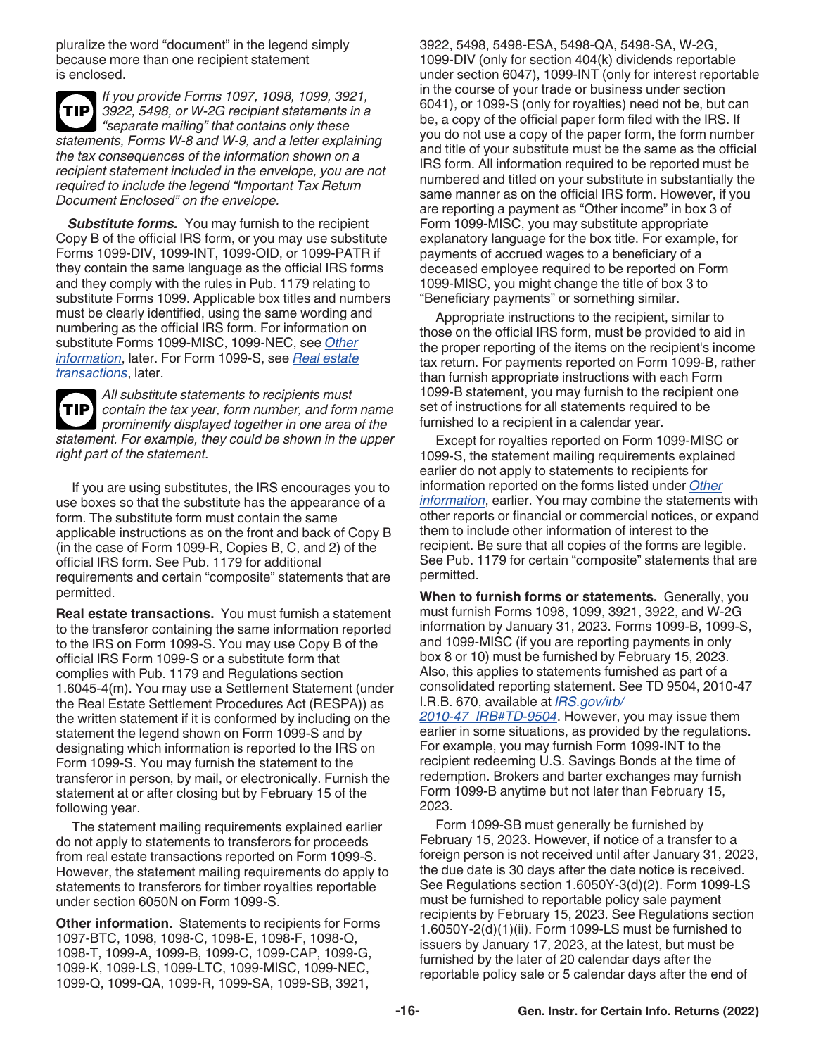<span id="page-15-0"></span>pluralize the word "document" in the legend simply because more than one recipient statement is enclosed.

*If you provide Forms 1097, 1098, 1099, 3921, 3922, 5498, or W-2G recipient statements in a "separate mailing" that contains only these statements, Forms W-8 and W-9, and a letter explaining the tax consequences of the information shown on a recipient statement included in the envelope, you are not required to include the legend "Important Tax Return Document Enclosed" on the envelope.* **TIP**

**Substitute forms.** You may furnish to the recipient Copy B of the official IRS form, or you may use substitute Forms 1099-DIV, 1099-INT, 1099-OID, or 1099-PATR if they contain the same language as the official IRS forms and they comply with the rules in Pub. 1179 relating to substitute Forms 1099. Applicable box titles and numbers must be clearly identified, using the same wording and numbering as the official IRS form. For information on substitute Forms 1099-MISC, 1099-NEC, see *Other information*, later. For Form 1099-S, see *Real estate transactions*, later.

*All substitute statements to recipients must contain the tax year, form number, and form name prominently displayed together in one area of the statement. For example, they could be shown in the upper right part of the statement.* **TIP**

If you are using substitutes, the IRS encourages you to use boxes so that the substitute has the appearance of a form. The substitute form must contain the same applicable instructions as on the front and back of Copy B (in the case of Form 1099-R, Copies B, C, and 2) of the official IRS form. See Pub. 1179 for additional requirements and certain "composite" statements that are permitted.

**Real estate transactions.** You must furnish a statement to the transferor containing the same information reported to the IRS on Form 1099-S. You may use Copy B of the official IRS Form 1099-S or a substitute form that complies with Pub. 1179 and Regulations section 1.6045-4(m). You may use a Settlement Statement (under the Real Estate Settlement Procedures Act (RESPA)) as the written statement if it is conformed by including on the statement the legend shown on Form 1099-S and by designating which information is reported to the IRS on Form 1099-S. You may furnish the statement to the transferor in person, by mail, or electronically. Furnish the statement at or after closing but by February 15 of the following year.

The statement mailing requirements explained earlier do not apply to statements to transferors for proceeds from real estate transactions reported on Form 1099-S. However, the statement mailing requirements do apply to statements to transferors for timber royalties reportable under section 6050N on Form 1099-S.

**Other information.** Statements to recipients for Forms 1097-BTC, 1098, 1098-C, 1098-E, 1098-F, 1098-Q, 1098-T, 1099-A, 1099-B, 1099-C, 1099-CAP, 1099-G, 1099-K, 1099-LS, 1099-LTC, 1099-MISC, 1099-NEC, 1099-Q, 1099-QA, 1099-R, 1099-SA, 1099-SB, 3921,

3922, 5498, 5498-ESA, 5498-QA, 5498-SA, W-2G, 1099-DIV (only for section 404(k) dividends reportable under section 6047), 1099-INT (only for interest reportable in the course of your trade or business under section 6041), or 1099-S (only for royalties) need not be, but can be, a copy of the official paper form filed with the IRS. If you do not use a copy of the paper form, the form number and title of your substitute must be the same as the official IRS form. All information required to be reported must be numbered and titled on your substitute in substantially the same manner as on the official IRS form. However, if you are reporting a payment as "Other income" in box 3 of Form 1099-MISC, you may substitute appropriate explanatory language for the box title. For example, for payments of accrued wages to a beneficiary of a deceased employee required to be reported on Form 1099-MISC, you might change the title of box 3 to "Beneficiary payments" or something similar.

Appropriate instructions to the recipient, similar to those on the official IRS form, must be provided to aid in the proper reporting of the items on the recipient's income tax return. For payments reported on Form 1099-B, rather than furnish appropriate instructions with each Form 1099-B statement, you may furnish to the recipient one set of instructions for all statements required to be furnished to a recipient in a calendar year.

Except for royalties reported on Form 1099-MISC or 1099-S, the statement mailing requirements explained earlier do not apply to statements to recipients for information reported on the forms listed under *Other information*, earlier. You may combine the statements with other reports or financial or commercial notices, or expand them to include other information of interest to the recipient. Be sure that all copies of the forms are legible. See Pub. 1179 for certain "composite" statements that are permitted.

**When to furnish forms or statements.** Generally, you must furnish Forms 1098, 1099, 3921, 3922, and W-2G information by January 31, 2023. Forms 1099-B, 1099-S, and 1099-MISC (if you are reporting payments in only box 8 or 10) must be furnished by February 15, 2023. Also, this applies to statements furnished as part of a consolidated reporting statement. See TD 9504, 2010-47 I.R.B. 670, available at *[IRS.gov/irb/](https://www.irs.gov/irb/2010-47_IRB#TD-9504)*

*[2010-47\\_IRB#TD-9504](https://www.irs.gov/irb/2010-47_IRB#TD-9504)*. However, you may issue them earlier in some situations, as provided by the regulations. For example, you may furnish Form 1099-INT to the recipient redeeming U.S. Savings Bonds at the time of redemption. Brokers and barter exchanges may furnish Form 1099-B anytime but not later than February 15, 2023.

Form 1099-SB must generally be furnished by February 15, 2023. However, if notice of a transfer to a foreign person is not received until after January 31, 2023, the due date is 30 days after the date notice is received. See Regulations section 1.6050Y-3(d)(2). Form 1099-LS must be furnished to reportable policy sale payment recipients by February 15, 2023. See Regulations section 1.6050Y-2(d)(1)(ii). Form 1099-LS must be furnished to issuers by January 17, 2023, at the latest, but must be furnished by the later of 20 calendar days after the reportable policy sale or 5 calendar days after the end of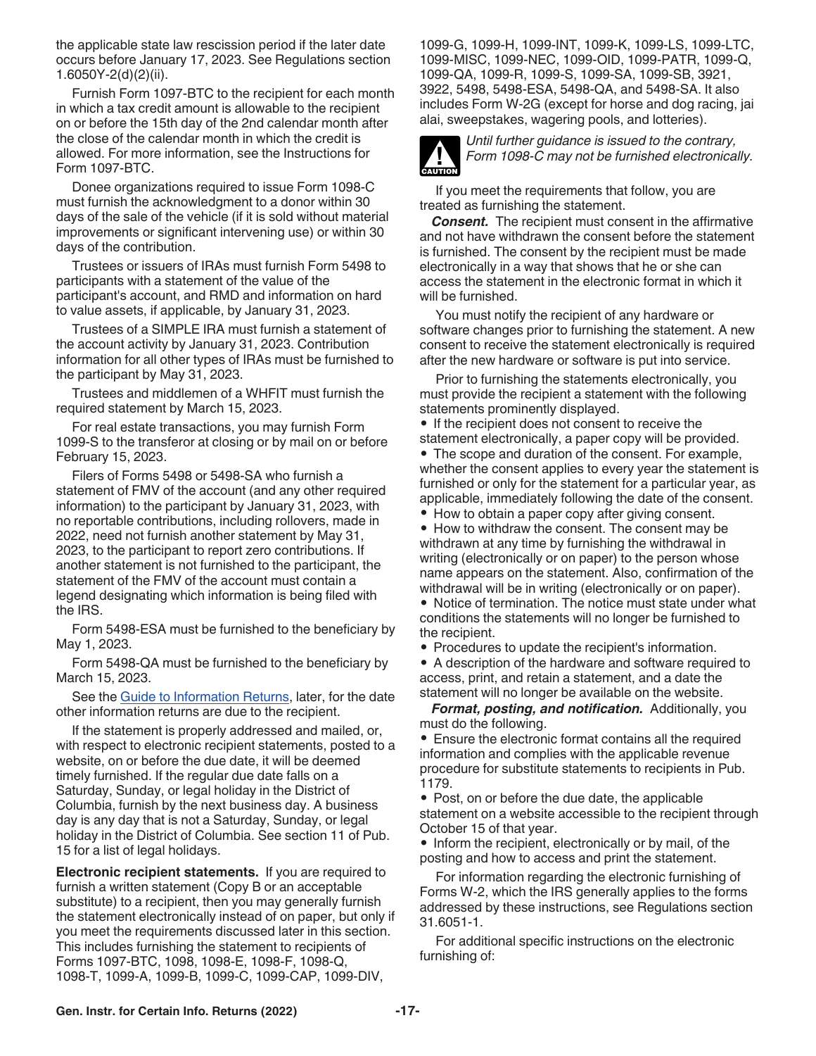<span id="page-16-0"></span>the applicable state law rescission period if the later date occurs before January 17, 2023. See Regulations section 1.6050Y-2(d)(2)(ii).

Furnish Form 1097-BTC to the recipient for each month in which a tax credit amount is allowable to the recipient on or before the 15th day of the 2nd calendar month after the close of the calendar month in which the credit is allowed. For more information, see the Instructions for Form 1097-BTC.

Donee organizations required to issue Form 1098-C must furnish the acknowledgment to a donor within 30 days of the sale of the vehicle (if it is sold without material improvements or significant intervening use) or within 30 days of the contribution.

Trustees or issuers of IRAs must furnish Form 5498 to participants with a statement of the value of the participant's account, and RMD and information on hard to value assets, if applicable, by January 31, 2023.

Trustees of a SIMPLE IRA must furnish a statement of the account activity by January 31, 2023. Contribution information for all other types of IRAs must be furnished to the participant by May 31, 2023.

Trustees and middlemen of a WHFIT must furnish the required statement by March 15, 2023.

For real estate transactions, you may furnish Form 1099-S to the transferor at closing or by mail on or before February 15, 2023.

Filers of Forms 5498 or 5498-SA who furnish a statement of FMV of the account (and any other required information) to the participant by January 31, 2023, with no reportable contributions, including rollovers, made in 2022, need not furnish another statement by May 31, 2023, to the participant to report zero contributions. If another statement is not furnished to the participant, the statement of the FMV of the account must contain a legend designating which information is being filed with the IRS.

Form 5498-ESA must be furnished to the beneficiary by May 1, 2023.

Form 5498-QA must be furnished to the beneficiary by March 15, 2023.

See the [Guide to Information Returns](#page-25-0), later, for the date other information returns are due to the recipient.

If the statement is properly addressed and mailed, or, with respect to electronic recipient statements, posted to a website, on or before the due date, it will be deemed timely furnished. If the regular due date falls on a Saturday, Sunday, or legal holiday in the District of Columbia, furnish by the next business day. A business day is any day that is not a Saturday, Sunday, or legal holiday in the District of Columbia. See section 11 of Pub. 15 for a list of legal holidays.

**Electronic recipient statements.** If you are required to furnish a written statement (Copy B or an acceptable substitute) to a recipient, then you may generally furnish the statement electronically instead of on paper, but only if you meet the requirements discussed later in this section. This includes furnishing the statement to recipients of Forms 1097-BTC, 1098, 1098-E, 1098-F, 1098-Q, 1098-T, 1099-A, 1099-B, 1099-C, 1099-CAP, 1099-DIV,

1099-G, 1099-H, 1099-INT, 1099-K, 1099-LS, 1099-LTC, 1099-MISC, 1099-NEC, 1099-OID, 1099-PATR, 1099-Q, 1099-QA, 1099-R, 1099-S, 1099-SA, 1099-SB, 3921, 3922, 5498, 5498-ESA, 5498-QA, and 5498-SA. It also includes Form W-2G (except for horse and dog racing, jai alai, sweepstakes, wagering pools, and lotteries).



*Until further guidance is issued to the contrary, Form 1098-C may not be furnished electronically.*

If you meet the requirements that follow, you are treated as furnishing the statement.

*Consent.* The recipient must consent in the affirmative and not have withdrawn the consent before the statement is furnished. The consent by the recipient must be made electronically in a way that shows that he or she can access the statement in the electronic format in which it will be furnished.

You must notify the recipient of any hardware or software changes prior to furnishing the statement. A new consent to receive the statement electronically is required after the new hardware or software is put into service.

Prior to furnishing the statements electronically, you must provide the recipient a statement with the following statements prominently displayed.

• If the recipient does not consent to receive the

statement electronically, a paper copy will be provided. • The scope and duration of the consent. For example, whether the consent applies to every year the statement is furnished or only for the statement for a particular year, as applicable, immediately following the date of the consent.

• How to obtain a paper copy after giving consent.

• How to withdraw the consent. The consent may be withdrawn at any time by furnishing the withdrawal in writing (electronically or on paper) to the person whose name appears on the statement. Also, confirmation of the withdrawal will be in writing (electronically or on paper).

• Notice of termination. The notice must state under what conditions the statements will no longer be furnished to the recipient.

• Procedures to update the recipient's information.

• A description of the hardware and software required to access, print, and retain a statement, and a date the statement will no longer be available on the website.

*Format, posting, and notification.* Additionally, you must do the following.

• Ensure the electronic format contains all the required information and complies with the applicable revenue procedure for substitute statements to recipients in Pub. 1179.

• Post, on or before the due date, the applicable statement on a website accessible to the recipient through October 15 of that year.

• Inform the recipient, electronically or by mail, of the posting and how to access and print the statement.

For information regarding the electronic furnishing of Forms W-2, which the IRS generally applies to the forms addressed by these instructions, see Regulations section 31.6051-1.

For additional specific instructions on the electronic furnishing of: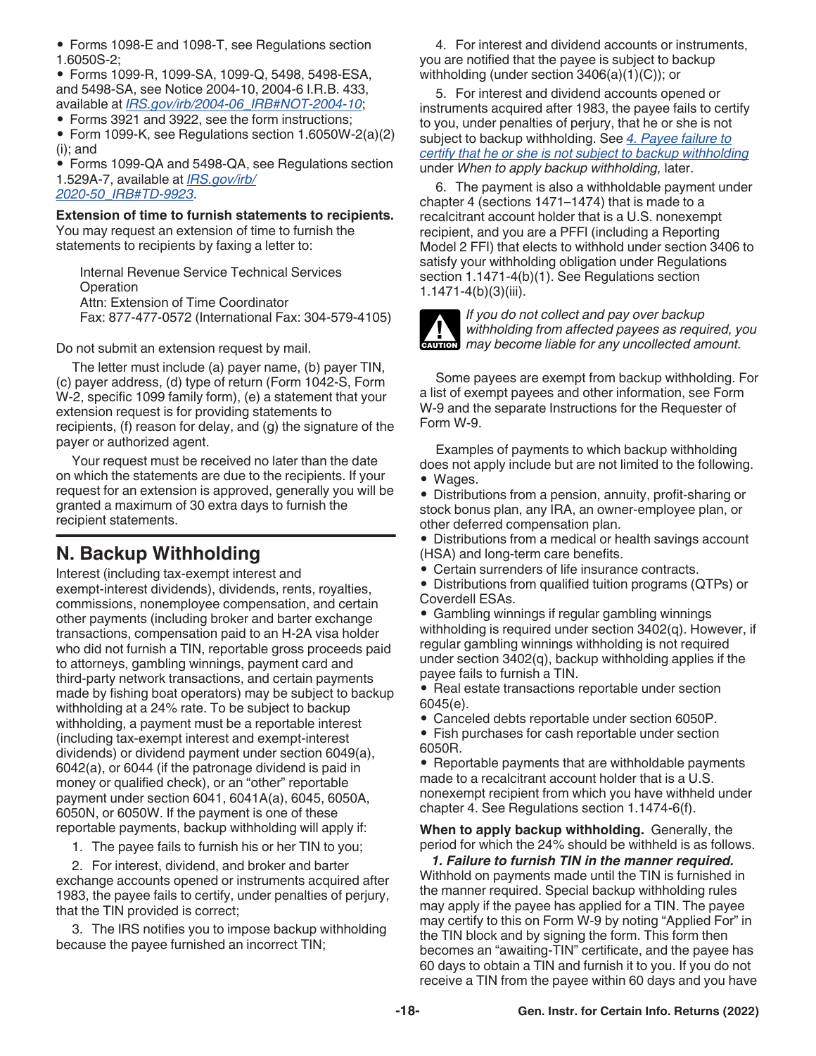- <span id="page-17-0"></span>• Forms 1098-E and 1098-T, see Regulations section 1.6050S-2;
- Forms 1099-R, 1099-SA, 1099-Q, 5498, 5498-ESA, and 5498-SA, see Notice 2004-10, 2004-6 I.R.B. 433, available at *[IRS.gov/irb/2004-06\\_IRB#NOT-2004-10](https://www.irs.gov/irb/2004-06_IRB#NOT-2004-10)*;
- Forms 3921 and 3922, see the form instructions;
- Form 1099-K, see Regulations section 1.6050W-2(a)(2) (i); and

• Forms 1099-QA and 5498-QA, see Regulations section 1.529A-7, available at *[IRS.gov/irb/](https://www.irs.gov/irb/2020-50_IRB#TD-9923) [2020-50\\_IRB#TD-9923](https://www.irs.gov/irb/2020-50_IRB#TD-9923)*.

#### **Extension of time to furnish statements to recipients.**

You may request an extension of time to furnish the statements to recipients by faxing a letter to:

Internal Revenue Service Technical Services **Operation** Attn: Extension of Time Coordinator Fax: 877-477-0572 (International Fax: 304-579-4105)

Do not submit an extension request by mail.

The letter must include (a) payer name, (b) payer TIN, (c) payer address, (d) type of return (Form 1042-S, Form W-2, specific 1099 family form), (e) a statement that your extension request is for providing statements to recipients, (f) reason for delay, and (g) the signature of the payer or authorized agent.

Your request must be received no later than the date on which the statements are due to the recipients. If your request for an extension is approved, generally you will be granted a maximum of 30 extra days to furnish the recipient statements.

# **N. Backup Withholding**

Interest (including tax-exempt interest and exempt-interest dividends), dividends, rents, royalties, commissions, nonemployee compensation, and certain other payments (including broker and barter exchange transactions, compensation paid to an H-2A visa holder who did not furnish a TIN, reportable gross proceeds paid to attorneys, gambling winnings, payment card and third-party network transactions, and certain payments made by fishing boat operators) may be subject to backup withholding at a 24% rate. To be subject to backup withholding, a payment must be a reportable interest (including tax-exempt interest and exempt-interest dividends) or dividend payment under section 6049(a), 6042(a), or 6044 (if the patronage dividend is paid in money or qualified check), or an "other" reportable payment under section 6041, 6041A(a), 6045, 6050A, 6050N, or 6050W. If the payment is one of these reportable payments, backup withholding will apply if:

1. The payee fails to furnish his or her TIN to you;

2. For interest, dividend, and broker and barter exchange accounts opened or instruments acquired after 1983, the payee fails to certify, under penalties of perjury, that the TIN provided is correct;

3. The IRS notifies you to impose backup withholding because the payee furnished an incorrect TIN;

4. For interest and dividend accounts or instruments, you are notified that the payee is subject to backup withholding (under section 3406(a)(1)(C)); or

5. For interest and dividend accounts opened or instruments acquired after 1983, the payee fails to certify to you, under penalties of perjury, that he or she is not subject to backup withholding. See *[4. Payee failure to](#page-18-0) [certify that he or she is not subject to backup withholding](#page-18-0)*  under *When to apply backup withholding,* later.

6. The payment is also a withholdable payment under chapter 4 (sections 1471–1474) that is made to a recalcitrant account holder that is a U.S. nonexempt recipient, and you are a PFFI (including a Reporting Model 2 FFI) that elects to withhold under section 3406 to satisfy your withholding obligation under Regulations section 1.1471-4(b)(1). See Regulations section 1.1471-4(b)(3)(iii).



*If you do not collect and pay over backup withholding from affected payees as required, you*  withholding from affected payees as required, y<br>
may become liable for any uncollected amount.

Some payees are exempt from backup withholding. For a list of exempt payees and other information, see Form W-9 and the separate Instructions for the Requester of Form W-9.

Examples of payments to which backup withholding does not apply include but are not limited to the following. • Wages.

• Distributions from a pension, annuity, profit-sharing or stock bonus plan, any IRA, an owner-employee plan, or other deferred compensation plan.

• Distributions from a medical or health savings account (HSA) and long-term care benefits.

• Certain surrenders of life insurance contracts.

• Distributions from qualified tuition programs (QTPs) or Coverdell ESAs.

• Gambling winnings if regular gambling winnings withholding is required under section 3402(q). However, if regular gambling winnings withholding is not required under section 3402(q), backup withholding applies if the payee fails to furnish a TIN.

• Real estate transactions reportable under section 6045(e).

• Canceled debts reportable under section 6050P.

• Fish purchases for cash reportable under section 6050R.

• Reportable payments that are withholdable payments made to a recalcitrant account holder that is a U.S. nonexempt recipient from which you have withheld under chapter 4. See Regulations section 1.1474-6(f).

**When to apply backup withholding.** Generally, the period for which the 24% should be withheld is as follows.

*1. Failure to furnish TIN in the manner required.*  Withhold on payments made until the TIN is furnished in the manner required. Special backup withholding rules may apply if the payee has applied for a TIN. The payee may certify to this on Form W-9 by noting "Applied For" in the TIN block and by signing the form. This form then becomes an "awaiting-TIN" certificate, and the payee has 60 days to obtain a TIN and furnish it to you. If you do not receive a TIN from the payee within 60 days and you have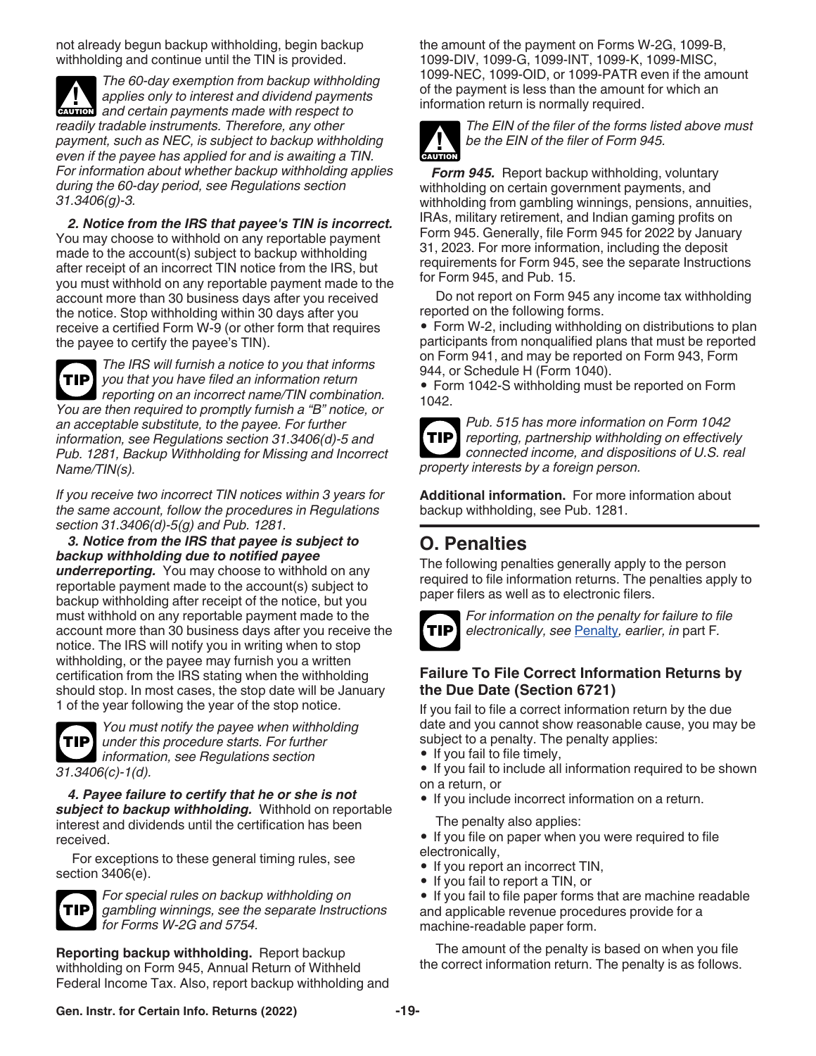<span id="page-18-0"></span>not already begun backup withholding, begin backup withholding and continue until the TIN is provided.

*The 60-day exemption from backup withholding applies only to interest and dividend payments*  **z** applies only to interest and dividend payments made with respect to *readily tradable instruments. Therefore, any other payment, such as NEC, is subject to backup withholding even if the payee has applied for and is awaiting a TIN. For information about whether backup withholding applies during the 60-day period, see Regulations section 31.3406(g)-3.*

*2. Notice from the IRS that payee's TIN is incorrect.*  You may choose to withhold on any reportable payment made to the account(s) subject to backup withholding after receipt of an incorrect TIN notice from the IRS, but you must withhold on any reportable payment made to the account more than 30 business days after you received the notice. Stop withholding within 30 days after you receive a certified Form W-9 (or other form that requires the payee to certify the payee's TIN).

*The IRS will furnish a notice to you that informs you that you have filed an information return reporting on an incorrect name/TIN combination. You are then required to promptly furnish a "B" notice, or an acceptable substitute, to the payee. For further information, see Regulations section 31.3406(d)-5 and Pub. 1281, Backup Withholding for Missing and Incorrect Name/TIN(s).* **TIP**

*If you receive two incorrect TIN notices within 3 years for the same account, follow the procedures in Regulations section 31.3406(d)-5(g) and Pub. 1281.*

*3. Notice from the IRS that payee is subject to backup withholding due to notified payee underreporting.* You may choose to withhold on any reportable payment made to the account(s) subject to backup withholding after receipt of the notice, but you must withhold on any reportable payment made to the account more than 30 business days after you receive the notice. The IRS will notify you in writing when to stop withholding, or the payee may furnish you a written certification from the IRS stating when the withholding should stop. In most cases, the stop date will be January 1 of the year following the year of the stop notice.



*You must notify the payee when withholding under this procedure starts. For further*  **TIP** *information, see Regulations section 31.3406(c)-1(d).*

*4. Payee failure to certify that he or she is not subject to backup withholding.* Withhold on reportable interest and dividends until the certification has been received.

For exceptions to these general timing rules, see section 3406(e).



*For special rules on backup withholding on gambling winnings, see the separate Instructions for Forms W-2G and 5754.*

**Reporting backup withholding.** Report backup withholding on Form 945, Annual Return of Withheld Federal Income Tax. Also, report backup withholding and the amount of the payment on Forms W-2G, 1099-B, 1099-DIV, 1099-G, 1099-INT, 1099-K, 1099-MISC, 1099-NEC, 1099-OID, or 1099-PATR even if the amount of the payment is less than the amount for which an information return is normally required.



*The EIN of the filer of the forms listed above must be the EIN of the filer of Form 945.*

*Form 945.* Report backup withholding, voluntary withholding on certain government payments, and withholding from gambling winnings, pensions, annuities, IRAs, military retirement, and Indian gaming profits on Form 945. Generally, file Form 945 for 2022 by January 31, 2023. For more information, including the deposit requirements for Form 945, see the separate Instructions for Form 945, and Pub. 15.

Do not report on Form 945 any income tax withholding reported on the following forms.

• Form W-2, including withholding on distributions to plan participants from nonqualified plans that must be reported on Form 941, and may be reported on Form 943, Form 944, or Schedule H (Form 1040).

• Form 1042-S withholding must be reported on Form 1042.



*Pub. 515 has more information on Form 1042 reporting, partnership withholding on effectively connected income, and dispositions of U.S. real property interests by a foreign person.*

**Additional information.** For more information about backup withholding, see Pub. 1281.

# **O. Penalties**

The following penalties generally apply to the person required to file information returns. The penalties apply to paper filers as well as to electronic filers.



*For information on the penalty for failure to file electronically, see* [Penalty](#page-8-0)*, earlier, in* part F*.*

### **Failure To File Correct Information Returns by the Due Date (Section 6721)**

If you fail to file a correct information return by the due date and you cannot show reasonable cause, you may be subject to a penalty. The penalty applies:

- If you fail to file timely,
- If you fail to include all information required to be shown on a return, or
- If you include incorrect information on a return.

The penalty also applies:

• If you file on paper when you were required to file electronically,

- If you report an incorrect TIN,
- If you fail to report a TIN, or

• If you fail to file paper forms that are machine readable and applicable revenue procedures provide for a machine-readable paper form.

The amount of the penalty is based on when you file the correct information return. The penalty is as follows.

**Gen. Instr. for Certain Info. Returns (2022) -19-**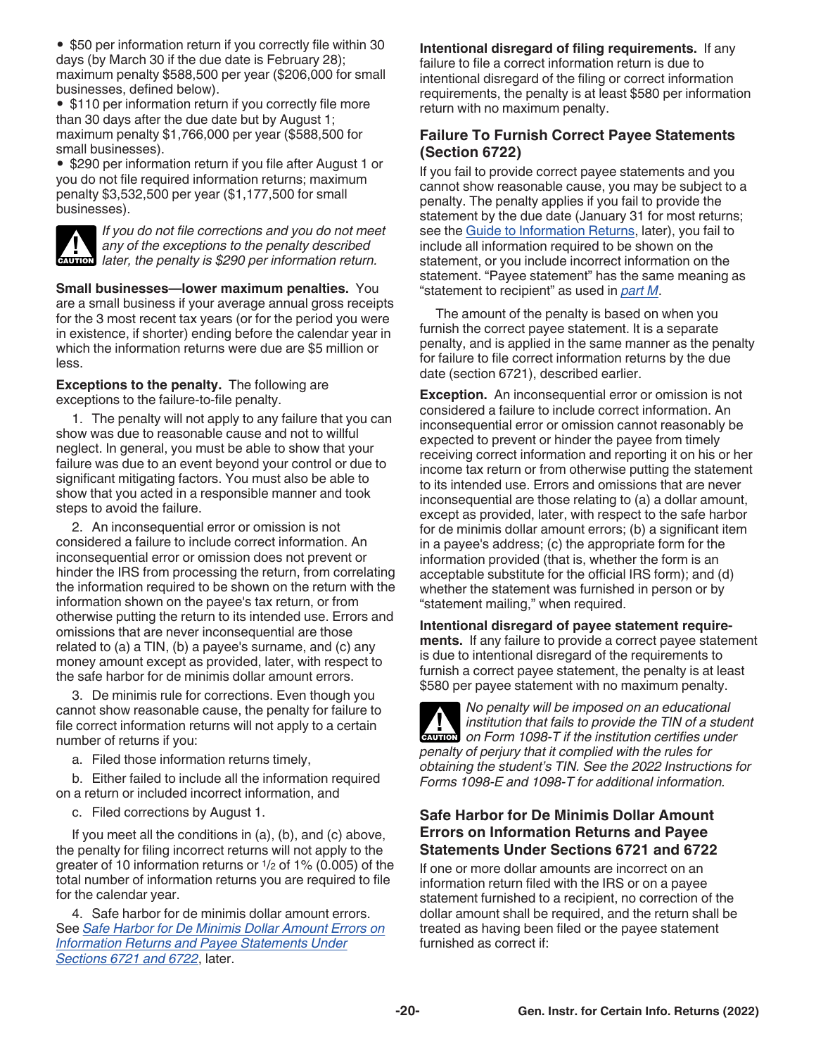• \$50 per information return if you correctly file within 30 days (by March 30 if the due date is February 28); maximum penalty \$588,500 per year (\$206,000 for small businesses, defined below).

• \$110 per information return if you correctly file more than 30 days after the due date but by August 1; maximum penalty \$1,766,000 per year (\$588,500 for small businesses).

• \$290 per information return if you file after August 1 or you do not file required information returns; maximum penalty \$3,532,500 per year (\$1,177,500 for small businesses).



*If you do not file corrections and you do not meet any of the exceptions to the penalty described*  **later, the penalty is \$290 per information return.**<br> **CAUTION** later, the penalty is \$290 per information return.

**Small businesses—lower maximum penalties.** You are a small business if your average annual gross receipts for the 3 most recent tax years (or for the period you were in existence, if shorter) ending before the calendar year in which the information returns were due are \$5 million or less.

**Exceptions to the penalty.** The following are exceptions to the failure-to-file penalty.

1. The penalty will not apply to any failure that you can show was due to reasonable cause and not to willful neglect. In general, you must be able to show that your failure was due to an event beyond your control or due to significant mitigating factors. You must also be able to show that you acted in a responsible manner and took steps to avoid the failure.

2. An inconsequential error or omission is not considered a failure to include correct information. An inconsequential error or omission does not prevent or hinder the IRS from processing the return, from correlating the information required to be shown on the return with the information shown on the payee's tax return, or from otherwise putting the return to its intended use. Errors and omissions that are never inconsequential are those related to (a) a TIN, (b) a payee's surname, and (c) any money amount except as provided, later, with respect to the safe harbor for de minimis dollar amount errors.

3. De minimis rule for corrections. Even though you cannot show reasonable cause, the penalty for failure to file correct information returns will not apply to a certain number of returns if you:

a. Filed those information returns timely,

b. Either failed to include all the information required on a return or included incorrect information, and

c. Filed corrections by August 1.

If you meet all the conditions in (a), (b), and (c) above, the penalty for filing incorrect returns will not apply to the greater of 10 information returns or 1/2 of 1% (0.005) of the total number of information returns you are required to file for the calendar year.

4. Safe harbor for de minimis dollar amount errors. See *Safe Harbor for De Minimis Dollar Amount Errors on Information Returns and Payee Statements Under Sections 6721 and 6722*, later.

**Intentional disregard of filing requirements.** If any failure to file a correct information return is due to intentional disregard of the filing or correct information requirements, the penalty is at least \$580 per information return with no maximum penalty.

### **Failure To Furnish Correct Payee Statements (Section 6722)**

If you fail to provide correct payee statements and you cannot show reasonable cause, you may be subject to a penalty. The penalty applies if you fail to provide the statement by the due date (January 31 for most returns; see the [Guide to Information Returns](#page-25-0), later), you fail to include all information required to be shown on the statement, or you include incorrect information on the statement. "Payee statement" has the same meaning as "statement to recipient" as used in *[part M](#page-14-0)*.

The amount of the penalty is based on when you furnish the correct payee statement. It is a separate penalty, and is applied in the same manner as the penalty for failure to file correct information returns by the due date (section 6721), described earlier.

**Exception.** An inconsequential error or omission is not considered a failure to include correct information. An inconsequential error or omission cannot reasonably be expected to prevent or hinder the payee from timely receiving correct information and reporting it on his or her income tax return or from otherwise putting the statement to its intended use. Errors and omissions that are never inconsequential are those relating to (a) a dollar amount, except as provided, later, with respect to the safe harbor for de minimis dollar amount errors; (b) a significant item in a payee's address; (c) the appropriate form for the information provided (that is, whether the form is an acceptable substitute for the official IRS form); and (d) whether the statement was furnished in person or by "statement mailing," when required.

**Intentional disregard of payee statement requirements.** If any failure to provide a correct payee statement is due to intentional disregard of the requirements to furnish a correct payee statement, the penalty is at least \$580 per payee statement with no maximum penalty.



*No penalty will be imposed on an educational institution that fails to provide the TIN of a student on Form 1098-T if the institution certifies under penalty of perjury that it complied with the rules for obtaining the student's TIN. See the 2022 Instructions for Forms 1098-E and 1098-T for additional information.*

#### **Safe Harbor for De Minimis Dollar Amount Errors on Information Returns and Payee Statements Under Sections 6721 and 6722**

If one or more dollar amounts are incorrect on an information return filed with the IRS or on a payee statement furnished to a recipient, no correction of the dollar amount shall be required, and the return shall be treated as having been filed or the payee statement furnished as correct if: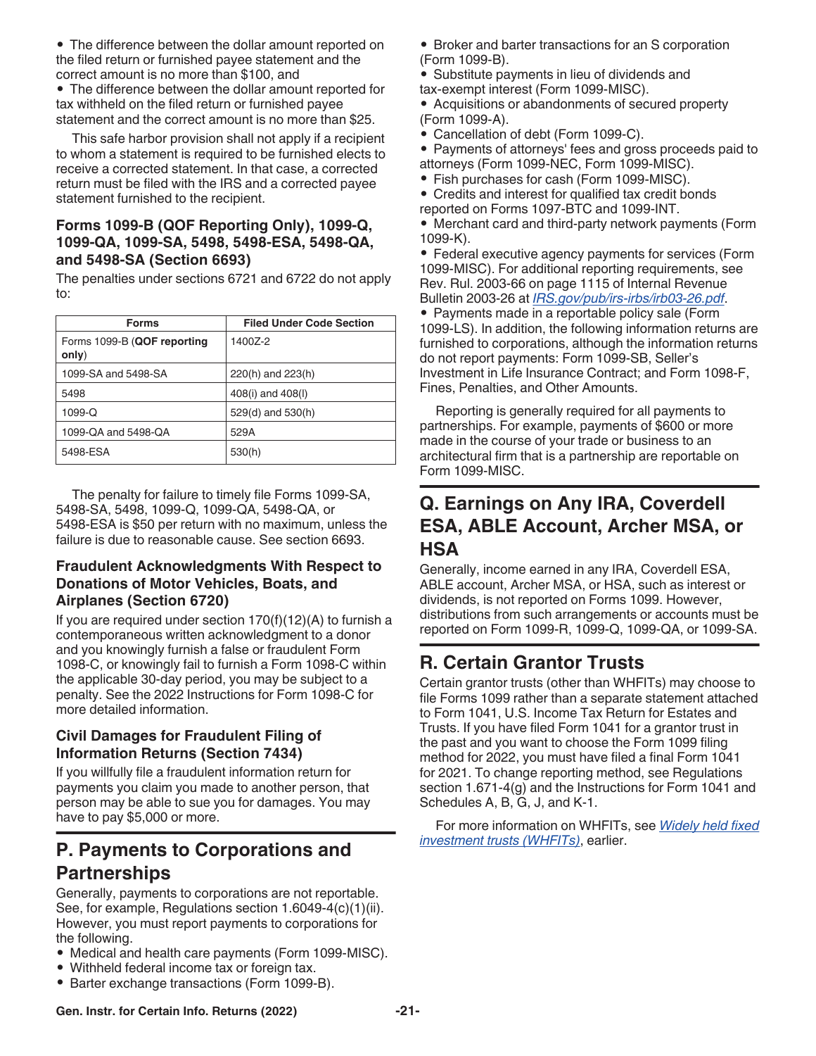<span id="page-20-0"></span>• The difference between the dollar amount reported on the filed return or furnished payee statement and the correct amount is no more than \$100, and

• The difference between the dollar amount reported for tax withheld on the filed return or furnished payee statement and the correct amount is no more than \$25.

This safe harbor provision shall not apply if a recipient to whom a statement is required to be furnished elects to receive a corrected statement. In that case, a corrected return must be filed with the IRS and a corrected payee statement furnished to the recipient.

### **Forms 1099-B (QOF Reporting Only), 1099-Q, 1099-QA, 1099-SA, 5498, 5498-ESA, 5498-QA, and 5498-SA (Section 6693)**

The penalties under sections 6721 and 6722 do not apply to:

| <b>Forms</b>                         | <b>Filed Under Code Section</b> |
|--------------------------------------|---------------------------------|
| Forms 1099-B (QOF reporting<br>only) | 14007-2                         |
| 1099-SA and 5498-SA                  | 220(h) and 223(h)               |
| 5498                                 | 408(i) and 408(l)               |
| 1099-Q                               | 529(d) and 530(h)               |
| 1099-QA and 5498-QA                  | 529A                            |
| 5498-ESA                             | 530(h)                          |

The penalty for failure to timely file Forms 1099-SA, 5498-SA, 5498, 1099-Q, 1099-QA, 5498-QA, or 5498-ESA is \$50 per return with no maximum, unless the failure is due to reasonable cause. See section 6693.

### **Fraudulent Acknowledgments With Respect to Donations of Motor Vehicles, Boats, and Airplanes (Section 6720)**

If you are required under section  $170(f)(12)(A)$  to furnish a contemporaneous written acknowledgment to a donor and you knowingly furnish a false or fraudulent Form 1098-C, or knowingly fail to furnish a Form 1098-C within the applicable 30-day period, you may be subject to a penalty. See the 2022 Instructions for Form 1098-C for more detailed information.

### **Civil Damages for Fraudulent Filing of Information Returns (Section 7434)**

If you willfully file a fraudulent information return for payments you claim you made to another person, that person may be able to sue you for damages. You may have to pay \$5,000 or more.

# **P. Payments to Corporations and Partnerships**

Generally, payments to corporations are not reportable. See, for example, Regulations section 1.6049-4(c)(1)(ii). However, you must report payments to corporations for the following.

- Medical and health care payments (Form 1099-MISC).
- Withheld federal income tax or foreign tax.
- Barter exchange transactions (Form 1099-B).
- Broker and barter transactions for an S corporation (Form 1099-B).
- Substitute payments in lieu of dividends and tax-exempt interest (Form 1099-MISC).

• Acquisitions or abandonments of secured property (Form 1099-A).

• Cancellation of debt (Form 1099-C).

• Payments of attorneys' fees and gross proceeds paid to attorneys (Form 1099-NEC, Form 1099-MISC).

- Fish purchases for cash (Form 1099-MISC).
- Credits and interest for qualified tax credit bonds reported on Forms 1097-BTC and 1099-INT.
- Merchant card and third-party network payments (Form 1099-K).

• Federal executive agency payments for services (Form 1099-MISC). For additional reporting requirements, see Rev. Rul. 2003-66 on page 1115 of Internal Revenue Bulletin 2003-26 at *[IRS.gov/pub/irs-irbs/irb03-26.pdf](https://www.irs.gov/pub/irs-irbs/irb03-26.pdf)*.

• Payments made in a reportable policy sale (Form 1099-LS). In addition, the following information returns are furnished to corporations, although the information returns do not report payments: Form 1099-SB, Seller's Investment in Life Insurance Contract; and Form 1098-F, Fines, Penalties, and Other Amounts.

Reporting is generally required for all payments to partnerships. For example, payments of \$600 or more made in the course of your trade or business to an architectural firm that is a partnership are reportable on Form 1099-MISC.

### **Q. Earnings on Any IRA, Coverdell ESA, ABLE Account, Archer MSA, or HSA**

Generally, income earned in any IRA, Coverdell ESA, ABLE account, Archer MSA, or HSA, such as interest or dividends, is not reported on Forms 1099. However, distributions from such arrangements or accounts must be reported on Form 1099-R, 1099-Q, 1099-QA, or 1099-SA.

# **R. Certain Grantor Trusts**

Certain grantor trusts (other than WHFITs) may choose to file Forms 1099 rather than a separate statement attached to Form 1041, U.S. Income Tax Return for Estates and Trusts. If you have filed Form 1041 for a grantor trust in the past and you want to choose the Form 1099 filing method for 2022, you must have filed a final Form 1041 for 2021. To change reporting method, see Regulations section 1.671-4(g) and the Instructions for Form 1041 and Schedules A, B, G, J, and K-1.

For more information on WHFITs, see *[Widely held fixed](#page-3-0)  [investment trusts \(WHFITs\)](#page-3-0)*, earlier.

#### **Gen. Instr. for Certain Info. Returns (2022) -21-**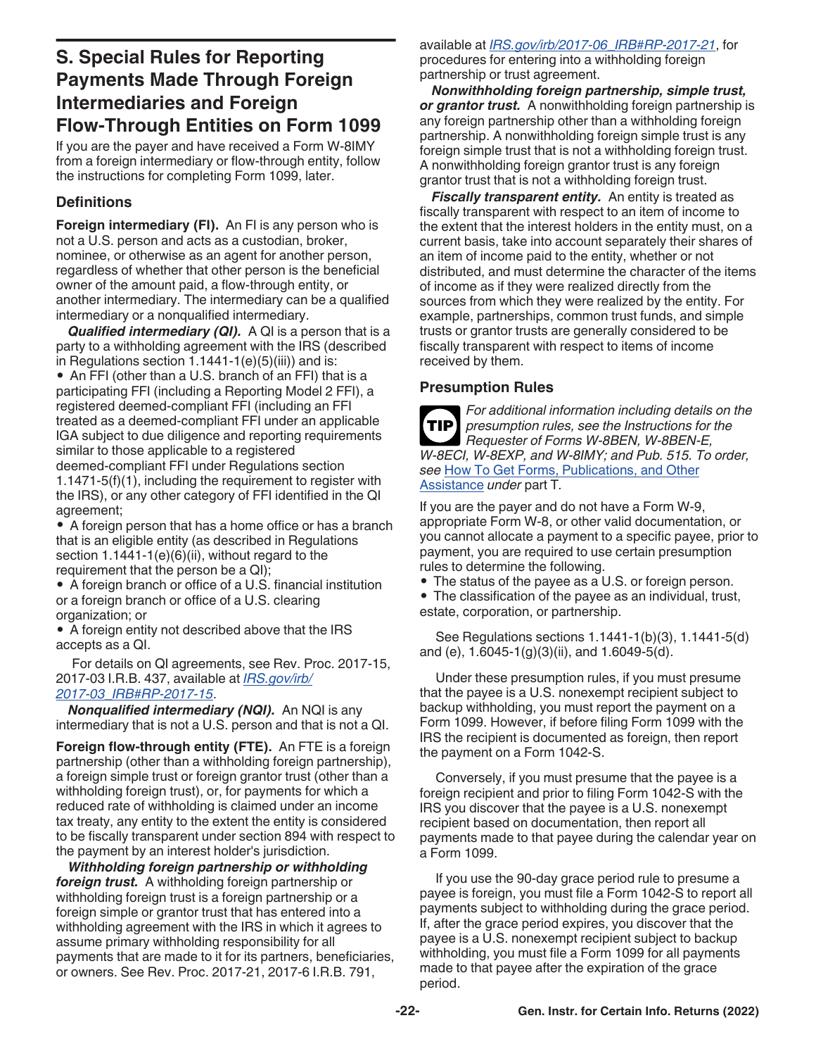# <span id="page-21-0"></span>**S. Special Rules for Reporting Payments Made Through Foreign Intermediaries and Foreign Flow-Through Entities on Form 1099**

If you are the payer and have received a Form W-8IMY from a foreign intermediary or flow-through entity, follow the instructions for completing Form 1099, later.

### **Definitions**

**Foreign intermediary (FI).** An FI is any person who is not a U.S. person and acts as a custodian, broker, nominee, or otherwise as an agent for another person, regardless of whether that other person is the beneficial owner of the amount paid, a flow-through entity, or another intermediary. The intermediary can be a qualified intermediary or a nonqualified intermediary.

*Qualified intermediary (QI).* A QI is a person that is a party to a withholding agreement with the IRS (described in Regulations section  $1.1441 - 1(e)(5)(iii)$  and is:

• An FFI (other than a U.S. branch of an FFI) that is a participating FFI (including a Reporting Model 2 FFI), a registered deemed-compliant FFI (including an FFI treated as a deemed-compliant FFI under an applicable IGA subject to due diligence and reporting requirements similar to those applicable to a registered deemed-compliant FFI under Regulations section 1.1471-5(f)(1), including the requirement to register with the IRS), or any other category of FFI identified in the QI agreement;

• A foreign person that has a home office or has a branch that is an eligible entity (as described in Regulations section 1.1441-1(e)(6)(ii), without regard to the requirement that the person be a QI);

• A foreign branch or office of a U.S. financial institution or a foreign branch or office of a U.S. clearing organization; or

• A foreign entity not described above that the IRS accepts as a QI.

For details on QI agreements, see Rev. Proc. 2017-15, 2017-03 I.R.B. 437, available at *[IRS.gov/irb/](https://www.irs.gov/irb/2017-03_IRB#RP-2017-15) [2017-03\\_IRB#RP-2017-15](https://www.irs.gov/irb/2017-03_IRB#RP-2017-15)*.

*Nonqualified intermediary (NQI).* An NQI is any intermediary that is not a U.S. person and that is not a QI.

**Foreign flow-through entity (FTE).** An FTE is a foreign partnership (other than a withholding foreign partnership), a foreign simple trust or foreign grantor trust (other than a withholding foreign trust), or, for payments for which a reduced rate of withholding is claimed under an income tax treaty, any entity to the extent the entity is considered to be fiscally transparent under section 894 with respect to the payment by an interest holder's jurisdiction.

*Withholding foreign partnership or withholding foreign trust.* A withholding foreign partnership or withholding foreign trust is a foreign partnership or a foreign simple or grantor trust that has entered into a withholding agreement with the IRS in which it agrees to assume primary withholding responsibility for all payments that are made to it for its partners, beneficiaries, or owners. See Rev. Proc. 2017-21, 2017-6 I.R.B. 791,

available at *[IRS.gov/irb/2017-06\\_IRB#RP-2017-21](https://www.irs.gov/irb/2017-06_IRB#RP-2017-21)*, for procedures for entering into a withholding foreign partnership or trust agreement.

*Nonwithholding foreign partnership, simple trust, or grantor trust.* A nonwithholding foreign partnership is any foreign partnership other than a withholding foreign partnership. A nonwithholding foreign simple trust is any foreign simple trust that is not a withholding foreign trust. A nonwithholding foreign grantor trust is any foreign grantor trust that is not a withholding foreign trust.

*Fiscally transparent entity.* An entity is treated as fiscally transparent with respect to an item of income to the extent that the interest holders in the entity must, on a current basis, take into account separately their shares of an item of income paid to the entity, whether or not distributed, and must determine the character of the items of income as if they were realized directly from the sources from which they were realized by the entity. For example, partnerships, common trust funds, and simple trusts or grantor trusts are generally considered to be fiscally transparent with respect to items of income received by them.

#### **Presumption Rules**

*For additional information including details on the presumption rules, see the Instructions for the Requester of Forms W-8BEN, W-8BEN-E, W-8ECI, W-8EXP, and W-8IMY; and Pub. 515. To order, see* [How To Get Forms, Publications, and Other](#page-23-0)  [Assistance](#page-23-0) *under* part T*.* **TIP**

If you are the payer and do not have a Form W-9, appropriate Form W-8, or other valid documentation, or you cannot allocate a payment to a specific payee, prior to payment, you are required to use certain presumption rules to determine the following.

- The status of the payee as a U.S. or foreign person.
- The classification of the payee as an individual, trust, estate, corporation, or partnership.

See Regulations sections 1.1441-1(b)(3), 1.1441-5(d) and (e), 1.6045-1(g)(3)(ii), and 1.6049-5(d).

Under these presumption rules, if you must presume that the payee is a U.S. nonexempt recipient subject to backup withholding, you must report the payment on a Form 1099. However, if before filing Form 1099 with the IRS the recipient is documented as foreign, then report the payment on a Form 1042-S.

Conversely, if you must presume that the payee is a foreign recipient and prior to filing Form 1042-S with the IRS you discover that the payee is a U.S. nonexempt recipient based on documentation, then report all payments made to that payee during the calendar year on a Form 1099.

If you use the 90-day grace period rule to presume a payee is foreign, you must file a Form 1042-S to report all payments subject to withholding during the grace period. If, after the grace period expires, you discover that the payee is a U.S. nonexempt recipient subject to backup withholding, you must file a Form 1099 for all payments made to that payee after the expiration of the grace period.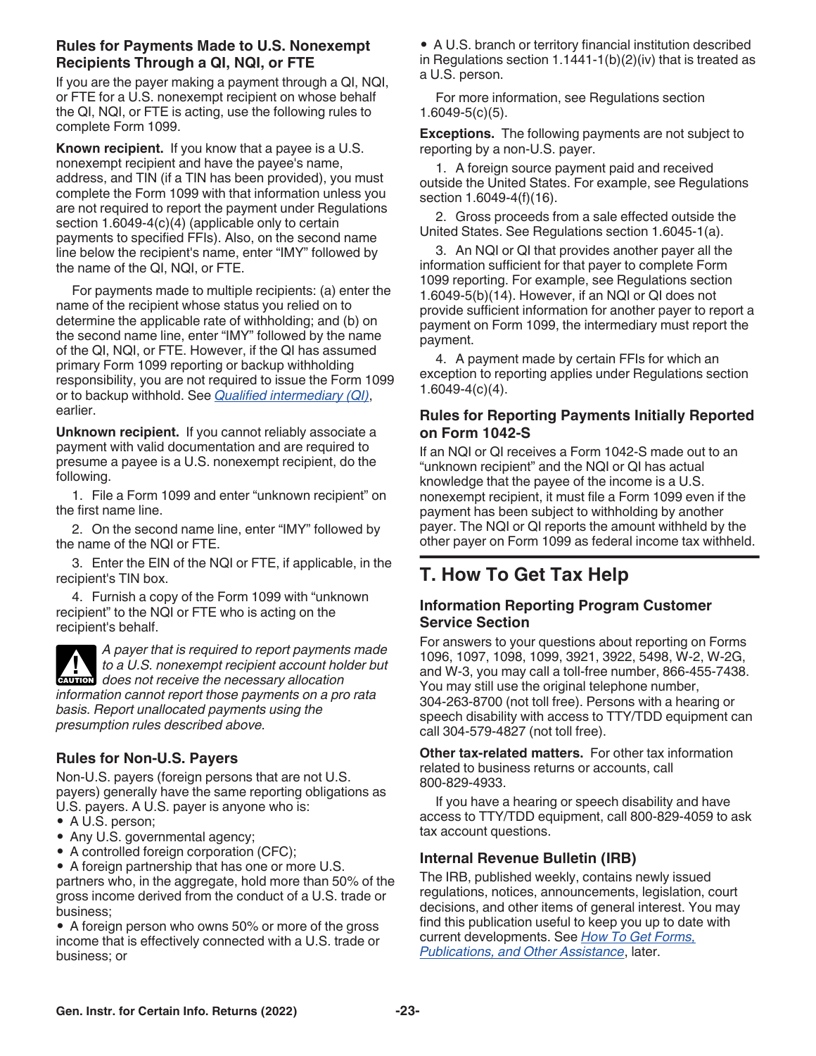#### <span id="page-22-0"></span>**Rules for Payments Made to U.S. Nonexempt Recipients Through a QI, NQI, or FTE**

If you are the payer making a payment through a QI, NQI, or FTE for a U.S. nonexempt recipient on whose behalf the QI, NQI, or FTE is acting, use the following rules to complete Form 1099.

**Known recipient.** If you know that a payee is a U.S. nonexempt recipient and have the payee's name, address, and TIN (if a TIN has been provided), you must complete the Form 1099 with that information unless you are not required to report the payment under Regulations section 1.6049-4(c)(4) (applicable only to certain payments to specified FFIs). Also, on the second name line below the recipient's name, enter "IMY" followed by the name of the QI, NQI, or FTE.

For payments made to multiple recipients: (a) enter the name of the recipient whose status you relied on to determine the applicable rate of withholding; and (b) on the second name line, enter "IMY" followed by the name of the QI, NQI, or FTE. However, if the QI has assumed primary Form 1099 reporting or backup withholding responsibility, you are not required to issue the Form 1099 or to backup withhold. See *[Qualified intermediary \(QI\)](#page-21-0)*, earlier.

**Unknown recipient.** If you cannot reliably associate a payment with valid documentation and are required to presume a payee is a U.S. nonexempt recipient, do the following.

1. File a Form 1099 and enter "unknown recipient" on the first name line.

2. On the second name line, enter "IMY" followed by the name of the NQI or FTE.

3. Enter the EIN of the NQI or FTE, if applicable, in the recipient's TIN box.

4. Furnish a copy of the Form 1099 with "unknown recipient" to the NQI or FTE who is acting on the recipient's behalf.

*A payer that is required to report payments made to a U.S. nonexempt recipient account holder but*  **does** not receive the necessary allocation **counting** *information cannot report those payments on a pro rata basis. Report unallocated payments using the* 

*presumption rules described above.*

### **Rules for Non-U.S. Payers**

Non-U.S. payers (foreign persons that are not U.S. payers) generally have the same reporting obligations as U.S. payers. A U.S. payer is anyone who is:

- A U.S. person;
- Any U.S. governmental agency;
- A controlled foreign corporation (CFC);

• A foreign partnership that has one or more U.S. partners who, in the aggregate, hold more than 50% of the gross income derived from the conduct of a U.S. trade or business;

• A foreign person who owns 50% or more of the gross income that is effectively connected with a U.S. trade or business; or

• A U.S. branch or territory financial institution described in Regulations section  $1.1441-1(b)(2)(iv)$  that is treated as a U.S. person.

For more information, see Regulations section 1.6049-5(c)(5).

**Exceptions.** The following payments are not subject to reporting by a non-U.S. payer.

1. A foreign source payment paid and received outside the United States. For example, see Regulations section 1.6049-4(f)(16).

2. Gross proceeds from a sale effected outside the United States. See Regulations section 1.6045-1(a).

3. An NQI or QI that provides another payer all the information sufficient for that payer to complete Form 1099 reporting. For example, see Regulations section 1.6049-5(b)(14). However, if an NQI or QI does not provide sufficient information for another payer to report a payment on Form 1099, the intermediary must report the payment.

4. A payment made by certain FFIs for which an exception to reporting applies under Regulations section 1.6049-4(c)(4).

#### **Rules for Reporting Payments Initially Reported on Form 1042-S**

If an NQI or QI receives a Form 1042-S made out to an "unknown recipient" and the NQI or QI has actual knowledge that the payee of the income is a U.S. nonexempt recipient, it must file a Form 1099 even if the payment has been subject to withholding by another payer. The NQI or QI reports the amount withheld by the other payer on Form 1099 as federal income tax withheld.

# **T. How To Get Tax Help**

#### **Information Reporting Program Customer Service Section**

For answers to your questions about reporting on Forms 1096, 1097, 1098, 1099, 3921, 3922, 5498, W-2, W-2G, and W-3, you may call a toll-free number, 866-455-7438. You may still use the original telephone number, 304-263-8700 (not toll free). Persons with a hearing or speech disability with access to TTY/TDD equipment can call 304-579-4827 (not toll free).

**Other tax-related matters.** For other tax information related to business returns or accounts, call 800-829-4933.

If you have a hearing or speech disability and have access to TTY/TDD equipment, call 800-829-4059 to ask tax account questions.

#### **Internal Revenue Bulletin (IRB)**

The IRB, published weekly, contains newly issued regulations, notices, announcements, legislation, court decisions, and other items of general interest. You may find this publication useful to keep you up to date with current developments. See *[How To Get Forms,](#page-23-0) [Publications, and Other Assistance](#page-23-0)*, later.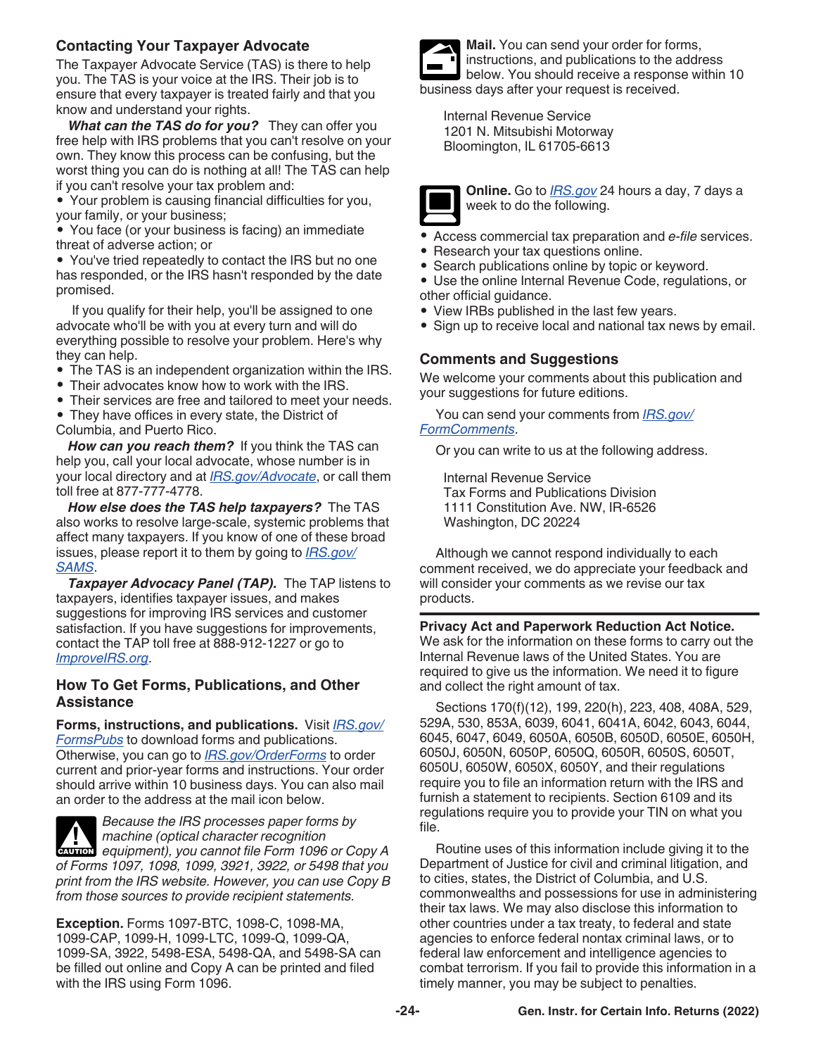### <span id="page-23-0"></span>**Contacting Your Taxpayer Advocate**

The Taxpayer Advocate Service (TAS) is there to help you. The TAS is your voice at the IRS. Their job is to ensure that every taxpayer is treated fairly and that you know and understand your rights.

*What can the TAS do for you?* They can offer you free help with IRS problems that you can't resolve on your own. They know this process can be confusing, but the worst thing you can do is nothing at all! The TAS can help if you can't resolve your tax problem and:

• Your problem is causing financial difficulties for you, your family, or your business;

• You face (or your business is facing) an immediate threat of adverse action; or

• You've tried repeatedly to contact the IRS but no one has responded, or the IRS hasn't responded by the date promised.

If you qualify for their help, you'll be assigned to one advocate who'll be with you at every turn and will do everything possible to resolve your problem. Here's why they can help.

- The TAS is an independent organization within the IRS.
- Their advocates know how to work with the IRS.
- Their services are free and tailored to meet your needs.

• They have offices in every state, the District of Columbia, and Puerto Rico.

*How can you reach them?* If you think the TAS can help you, call your local advocate, whose number is in your local directory and at *[IRS.gov/Advocate](https://www.irs.gov/uac/Taxpayer-Advocate-Service-6)*, or call them toll free at 877-777-4778.

*How else does the TAS help taxpayers?* The TAS also works to resolve large-scale, systemic problems that affect many taxpayers. If you know of one of these broad issues, please report it to them by going to *[IRS.gov/](https://www.irs.gov/Advocate/Systemic-Advocacy-Management-System-SAMS) [SAMS](https://www.irs.gov/Advocate/Systemic-Advocacy-Management-System-SAMS)*.

*Taxpayer Advocacy Panel (TAP).* The TAP listens to taxpayers, identifies taxpayer issues, and makes suggestions for improving IRS services and customer satisfaction. If you have suggestions for improvements, contact the TAP toll free at 888-912-1227 or go to *[ImproveIRS.org](https://improveirs.org/)*.

#### **How To Get Forms, Publications, and Other Assistance**

**Forms, instructions, and publications.** Visit *[IRS.gov/](https://www.irs.gov/formspubs) [FormsPubs](https://www.irs.gov/formspubs)* to download forms and publications. Otherwise, you can go to *[IRS.gov/OrderForms](https://www.irs.gov/orderforms)* to order current and prior-year forms and instructions. Your order should arrive within 10 business days. You can also mail an order to the address at the mail icon below.

*Because the IRS processes paper forms by machine (optical character recognition*  **Properties Analysis of the** *equipment*), you cannot file Form 1096 or Copy A *of Forms 1097, 1098, 1099, 3921, 3922, or 5498 that you print from the IRS website. However, you can use Copy B from those sources to provide recipient statements.*

**Exception.** Forms 1097-BTC, 1098-C, 1098-MA, 1099-CAP, 1099-H, 1099-LTC, 1099-Q, 1099-QA, 1099-SA, 3922, 5498-ESA, 5498-QA, and 5498-SA can be filled out online and Copy A can be printed and filed with the IRS using Form 1096.



**Mail.** You can send your order for forms, instructions, and publications to the address below. You should receive a response within 10 business days after your request is received.

Internal Revenue Service 1201 N. Mitsubishi Motorway Bloomington, IL 61705-6613



**Online.** Go to *[IRS.gov](https://www.irs.gov)* 24 hours a day, 7 days a week to do the following.

- Access commercial tax preparation and *e-file* services.
- Research your tax questions online.
- Search publications online by topic or keyword.
- Use the online Internal Revenue Code, regulations, or other official guidance.
- View IRBs published in the last few years.
- Sign up to receive local and national tax news by email.

#### **Comments and Suggestions**

We welcome your comments about this publication and your suggestions for future editions.

You can send your comments from *[IRS.gov/](https://www.irs.gov/FormComment) [FormComments](https://www.irs.gov/FormComment)*.

Or you can write to us at the following address.

Internal Revenue Service Tax Forms and Publications Division 1111 Constitution Ave. NW, IR-6526 Washington, DC 20224

Although we cannot respond individually to each comment received, we do appreciate your feedback and will consider your comments as we revise our tax products.

**Privacy Act and Paperwork Reduction Act Notice.**  We ask for the information on these forms to carry out the Internal Revenue laws of the United States. You are required to give us the information. We need it to figure and collect the right amount of tax.

Sections 170(f)(12), 199, 220(h), 223, 408, 408A, 529, 529A, 530, 853A, 6039, 6041, 6041A, 6042, 6043, 6044, 6045, 6047, 6049, 6050A, 6050B, 6050D, 6050E, 6050H, 6050J, 6050N, 6050P, 6050Q, 6050R, 6050S, 6050T, 6050U, 6050W, 6050X, 6050Y, and their regulations require you to file an information return with the IRS and furnish a statement to recipients. Section 6109 and its regulations require you to provide your TIN on what you file.

Routine uses of this information include giving it to the Department of Justice for civil and criminal litigation, and to cities, states, the District of Columbia, and U.S. commonwealths and possessions for use in administering their tax laws. We may also disclose this information to other countries under a tax treaty, to federal and state agencies to enforce federal nontax criminal laws, or to federal law enforcement and intelligence agencies to combat terrorism. If you fail to provide this information in a timely manner, you may be subject to penalties.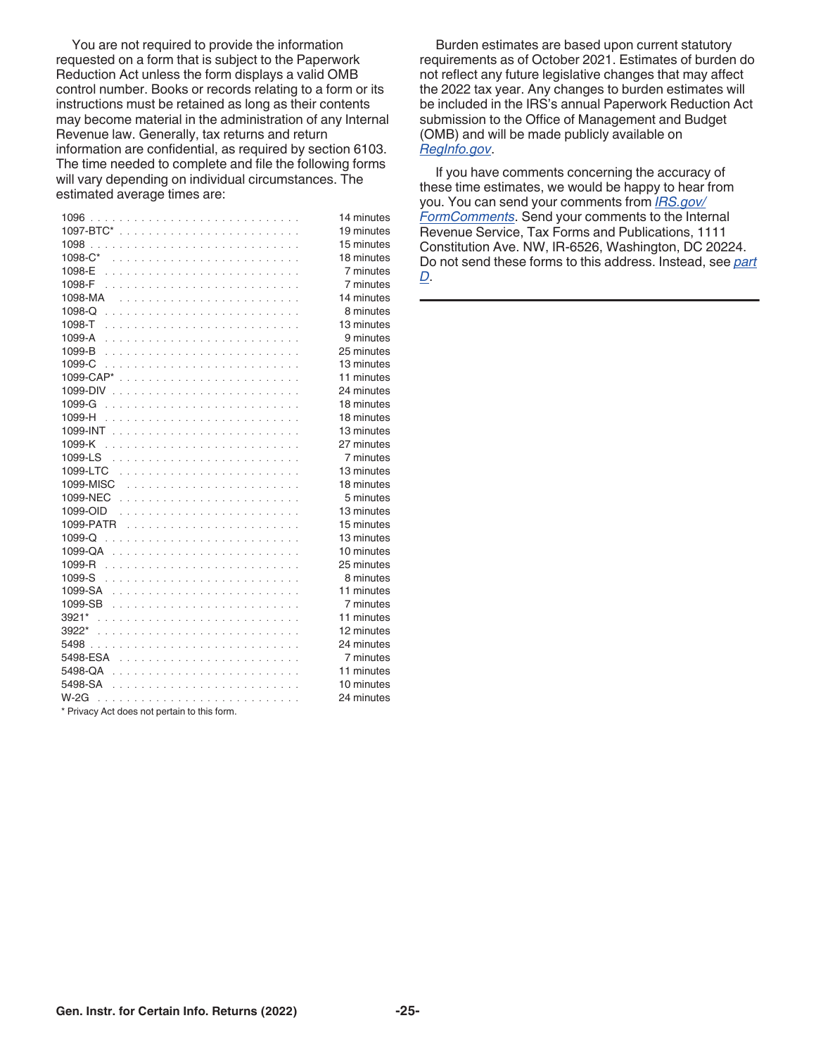You are not required to provide the information requested on a form that is subject to the Paperwork Reduction Act unless the form displays a valid OMB control number. Books or records relating to a form or its instructions must be retained as long as their contents may become material in the administration of any Internal Revenue law. Generally, tax returns and return information are confidential, as required by section 6103. The time needed to complete and file the following forms will vary depending on individual circumstances. The estimated average times are:

|                                               | 14 minutes |
|-----------------------------------------------|------------|
|                                               | 19 minutes |
|                                               | 15 minutes |
|                                               | 18 minutes |
|                                               | 7 minutes  |
|                                               | 7 minutes  |
|                                               | 14 minutes |
|                                               | 8 minutes  |
|                                               | 13 minutes |
|                                               | 9 minutes  |
|                                               | 25 minutes |
|                                               | 13 minutes |
|                                               | 11 minutes |
|                                               | 24 minutes |
|                                               | 18 minutes |
|                                               | 18 minutes |
|                                               | 13 minutes |
|                                               | 27 minutes |
|                                               | 7 minutes  |
|                                               | 13 minutes |
|                                               | 18 minutes |
|                                               | 5 minutes  |
|                                               | 13 minutes |
|                                               | 15 minutes |
| 1099- $Q$ ,                                   | 13 minutes |
|                                               | 10 minutes |
|                                               | 25 minutes |
|                                               | 8 minutes  |
|                                               | 11 minutes |
|                                               | 7 minutes  |
|                                               | 11 minutes |
| 3922*                                         | 12 minutes |
|                                               | 24 minutes |
|                                               | 7 minutes  |
|                                               | 11 minutes |
|                                               | 10 minutes |
| $W-2G$                                        | 24 minutes |
| $*$ Primary Act does not pertain to this form |            |

Privacy Act does not pertain to this form.

Burden estimates are based upon current statutory requirements as of October 2021. Estimates of burden do not reflect any future legislative changes that may affect the 2022 tax year. Any changes to burden estimates will be included in the IRS's annual Paperwork Reduction Act submission to the Office of Management and Budget (OMB) and will be made publicly available on *[RegInfo.gov](http://www.reginfo.gov)*.

If you have comments concerning the accuracy of these time estimates, we would be happy to hear from you. You can send your comments from *[IRS.gov/](https://www.irs.gov/formcomments) [FormComments](https://www.irs.gov/formcomments)*. Send your comments to the Internal Revenue Service, Tax Forms and Publications, 1111 Constitution Ave. NW, IR-6526, Washington, DC 20224. Do not send these forms to this address. Instead, see *[part](#page-6-0) [D](#page-6-0)*.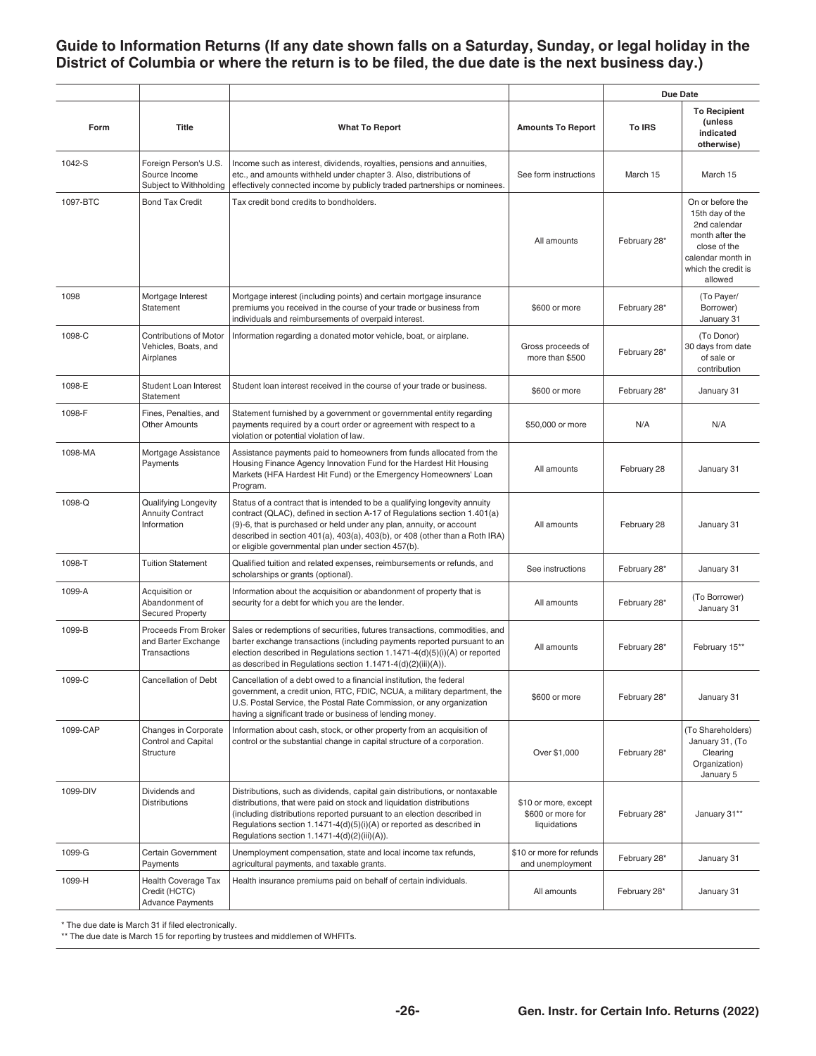#### <span id="page-25-0"></span>**Guide to Information Returns (If any date shown falls on a Saturday, Sunday, or legal holiday in the District of Columbia or where the return is to be filed, the due date is the next business day.)**

|          |                                                                    |                                                                                                                                                                                                                                                                                                                                                                      |                                                           | Due Date     |                                                                                                                                               |
|----------|--------------------------------------------------------------------|----------------------------------------------------------------------------------------------------------------------------------------------------------------------------------------------------------------------------------------------------------------------------------------------------------------------------------------------------------------------|-----------------------------------------------------------|--------------|-----------------------------------------------------------------------------------------------------------------------------------------------|
| Form     | <b>Title</b>                                                       | <b>What To Report</b>                                                                                                                                                                                                                                                                                                                                                | <b>Amounts To Report</b>                                  | To IRS       | <b>To Recipient</b><br>(unless<br>indicated<br>otherwise)                                                                                     |
| 1042-S   | Foreign Person's U.S.<br>Source Income<br>Subject to Withholding   | Income such as interest, dividends, royalties, pensions and annuities,<br>etc., and amounts withheld under chapter 3. Also, distributions of<br>effectively connected income by publicly traded partnerships or nominees.                                                                                                                                            | See form instructions                                     | March 15     | March 15                                                                                                                                      |
| 1097-BTC | <b>Bond Tax Credit</b>                                             | Tax credit bond credits to bondholders.                                                                                                                                                                                                                                                                                                                              | All amounts                                               | February 28* | On or before the<br>15th day of the<br>2nd calendar<br>month after the<br>close of the<br>calendar month in<br>which the credit is<br>allowed |
| 1098     | Mortgage Interest<br>Statement                                     | Mortgage interest (including points) and certain mortgage insurance<br>premiums you received in the course of your trade or business from<br>individuals and reimbursements of overpaid interest.                                                                                                                                                                    | \$600 or more                                             | February 28* | (To Payer/<br>Borrower)<br>January 31                                                                                                         |
| 1098-C   | <b>Contributions of Motor</b><br>Vehicles, Boats, and<br>Airplanes | Information regarding a donated motor vehicle, boat, or airplane.                                                                                                                                                                                                                                                                                                    | Gross proceeds of<br>more than \$500                      | February 28* | (To Donor)<br>30 days from date<br>of sale or<br>contribution                                                                                 |
| 1098-E   | Student Loan Interest<br>Statement                                 | Student loan interest received in the course of your trade or business.                                                                                                                                                                                                                                                                                              | \$600 or more                                             | February 28* | January 31                                                                                                                                    |
| 1098-F   | Fines, Penalties, and<br><b>Other Amounts</b>                      | Statement furnished by a government or governmental entity regarding<br>payments required by a court order or agreement with respect to a<br>violation or potential violation of law.                                                                                                                                                                                | \$50,000 or more                                          | N/A          | N/A                                                                                                                                           |
| 1098-MA  | Mortgage Assistance<br>Payments                                    | Assistance payments paid to homeowners from funds allocated from the<br>Housing Finance Agency Innovation Fund for the Hardest Hit Housing<br>Markets (HFA Hardest Hit Fund) or the Emergency Homeowners' Loan<br>Program.                                                                                                                                           | All amounts                                               | February 28  | January 31                                                                                                                                    |
| 1098-Q   | Qualifying Longevity<br><b>Annuity Contract</b><br>Information     | Status of a contract that is intended to be a qualifying longevity annuity<br>contract (QLAC), defined in section A-17 of Regulations section 1.401(a)<br>(9)-6, that is purchased or held under any plan, annuity, or account<br>described in section 401(a), 403(a), 403(b), or 408 (other than a Roth IRA)<br>or eligible governmental plan under section 457(b). | All amounts                                               | February 28  | January 31                                                                                                                                    |
| 1098-T   | <b>Tuition Statement</b>                                           | Qualified tuition and related expenses, reimbursements or refunds, and<br>scholarships or grants (optional).                                                                                                                                                                                                                                                         | See instructions                                          | February 28* | January 31                                                                                                                                    |
| 1099-A   | Acquisition or<br>Abandonment of<br><b>Secured Property</b>        | Information about the acquisition or abandonment of property that is<br>security for a debt for which you are the lender.                                                                                                                                                                                                                                            | All amounts                                               | February 28* | (To Borrower)<br>January 31                                                                                                                   |
| 1099-B   | Proceeds From Broker<br>and Barter Exchange<br>Transactions        | Sales or redemptions of securities, futures transactions, commodities, and<br>barter exchange transactions (including payments reported pursuant to an<br>election described in Regulations section 1.1471-4(d)(5)(i)(A) or reported<br>as described in Regulations section $1.1471-4(d)(2)(iii)(A)).$                                                               | All amounts                                               | February 28* | February 15**                                                                                                                                 |
| 1099-C   | Cancellation of Debt                                               | Cancellation of a debt owed to a financial institution, the federal<br>government, a credit union, RTC, FDIC, NCUA, a military department, the<br>U.S. Postal Service, the Postal Rate Commission, or any organization<br>having a significant trade or business of lending money.                                                                                   | \$600 or more                                             | February 28* | January 31                                                                                                                                    |
| 1099-CAP | Changes in Corporate<br><b>Control and Capital</b><br>Structure    | Information about cash, stock, or other property from an acquisition of<br>control or the substantial change in capital structure of a corporation.                                                                                                                                                                                                                  | Over \$1,000                                              | February 28* | (To Shareholders)<br>January 31, (To<br>Clearing<br>Organization)<br>January 5                                                                |
| 1099-DIV | Dividends and<br><b>Distributions</b>                              | Distributions, such as dividends, capital gain distributions, or nontaxable<br>distributions, that were paid on stock and liquidation distributions<br>(including distributions reported pursuant to an election described in<br>Regulations section 1.1471-4(d)(5)(i)(A) or reported as described in<br>Regulations section 1.1471-4(d)(2)(iii)(A)).                | \$10 or more, except<br>\$600 or more for<br>liquidations | February 28* | January 31**                                                                                                                                  |
| 1099-G   | Certain Government<br>Payments                                     | Unemployment compensation, state and local income tax refunds,<br>agricultural payments, and taxable grants.                                                                                                                                                                                                                                                         | \$10 or more for refunds<br>and unemployment              | February 28* | January 31                                                                                                                                    |
| 1099-H   | Health Coverage Tax<br>Credit (HCTC)<br><b>Advance Payments</b>    | Health insurance premiums paid on behalf of certain individuals.                                                                                                                                                                                                                                                                                                     | All amounts                                               | February 28* | January 31                                                                                                                                    |

\* The due date is March 31 if filed electronically.

\*\* The due date is March 15 for reporting by trustees and middlemen of WHFITs.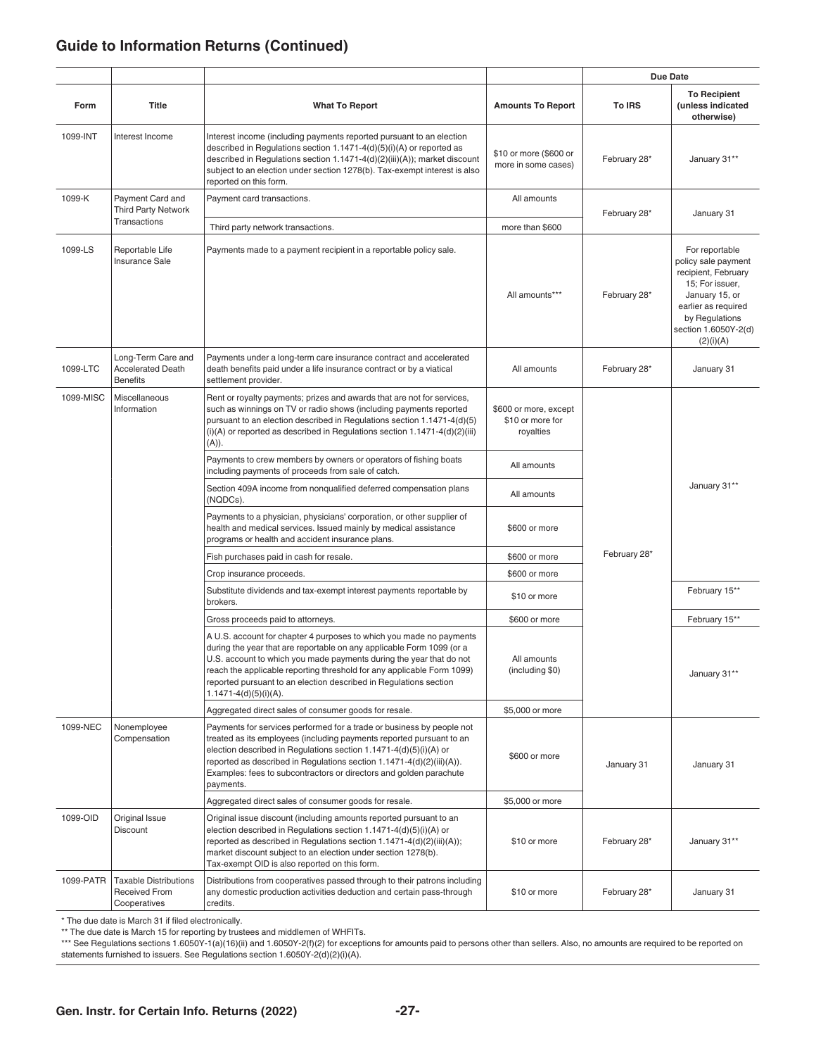### **Guide to Information Returns (Continued)**

|           |                                                                      |                                                                                                                                                                                                                                                                                                                                                                                                  |                                                        | <b>Due Date</b> |                                                                                                                                                                                 |
|-----------|----------------------------------------------------------------------|--------------------------------------------------------------------------------------------------------------------------------------------------------------------------------------------------------------------------------------------------------------------------------------------------------------------------------------------------------------------------------------------------|--------------------------------------------------------|-----------------|---------------------------------------------------------------------------------------------------------------------------------------------------------------------------------|
| Form      | Title                                                                | <b>What To Report</b>                                                                                                                                                                                                                                                                                                                                                                            | <b>Amounts To Report</b>                               | <b>To IRS</b>   | <b>To Recipient</b><br>(unless indicated<br>otherwise)                                                                                                                          |
| 1099-INT  | Interest Income                                                      | Interest income (including payments reported pursuant to an election<br>described in Regulations section 1.1471-4(d)(5)(i)(A) or reported as<br>described in Regulations section 1.1471-4(d)(2)(iii)(A)); market discount<br>subject to an election under section 1278(b). Tax-exempt interest is also<br>reported on this form.                                                                 | \$10 or more (\$600 or<br>more in some cases)          | February 28*    | January 31**                                                                                                                                                                    |
| 1099-K    | Payment Card and<br><b>Third Party Network</b>                       | Payment card transactions.                                                                                                                                                                                                                                                                                                                                                                       | All amounts                                            |                 |                                                                                                                                                                                 |
|           | <b>Transactions</b>                                                  | Third party network transactions.                                                                                                                                                                                                                                                                                                                                                                | more than \$600                                        | February 28*    | January 31                                                                                                                                                                      |
| 1099-LS   | Reportable Life<br>Insurance Sale                                    | Payments made to a payment recipient in a reportable policy sale.                                                                                                                                                                                                                                                                                                                                | All amounts***                                         | February 28*    | For reportable<br>policy sale payment<br>recipient, February<br>15; For issuer,<br>January 15, or<br>earlier as required<br>by Regulations<br>section 1.6050Y-2(d)<br>(2)(i)(A) |
| 1099-LTC  | Long-Term Care and<br><b>Accelerated Death</b><br><b>Benefits</b>    | Payments under a long-term care insurance contract and accelerated<br>death benefits paid under a life insurance contract or by a viatical<br>settlement provider.                                                                                                                                                                                                                               | All amounts                                            | February 28*    | January 31                                                                                                                                                                      |
| 1099-MISC | Miscellaneous<br>Information                                         | Rent or royalty payments; prizes and awards that are not for services,<br>such as winnings on TV or radio shows (including payments reported<br>pursuant to an election described in Regulations section 1.1471-4(d)(5)<br>$(i)(A)$ or reported as described in Regulations section 1.1471-4 $(d)(2)(iii)$<br>(A)).                                                                              | \$600 or more, except<br>\$10 or more for<br>royalties |                 |                                                                                                                                                                                 |
|           |                                                                      | Payments to crew members by owners or operators of fishing boats<br>including payments of proceeds from sale of catch.                                                                                                                                                                                                                                                                           | All amounts                                            |                 |                                                                                                                                                                                 |
|           |                                                                      | Section 409A income from nonqualified deferred compensation plans<br>(NQDCs).                                                                                                                                                                                                                                                                                                                    | All amounts                                            |                 | January 31**                                                                                                                                                                    |
|           |                                                                      | Payments to a physician, physicians' corporation, or other supplier of<br>health and medical services. Issued mainly by medical assistance<br>programs or health and accident insurance plans.                                                                                                                                                                                                   | \$600 or more                                          |                 |                                                                                                                                                                                 |
|           |                                                                      | Fish purchases paid in cash for resale.                                                                                                                                                                                                                                                                                                                                                          | \$600 or more                                          | February 28*    |                                                                                                                                                                                 |
|           |                                                                      | Crop insurance proceeds.                                                                                                                                                                                                                                                                                                                                                                         | \$600 or more                                          |                 |                                                                                                                                                                                 |
|           |                                                                      | Substitute dividends and tax-exempt interest payments reportable by<br>brokers.                                                                                                                                                                                                                                                                                                                  | \$10 or more                                           |                 | February 15**                                                                                                                                                                   |
|           |                                                                      | Gross proceeds paid to attorneys.                                                                                                                                                                                                                                                                                                                                                                | \$600 or more                                          |                 | February 15**                                                                                                                                                                   |
|           |                                                                      | A U.S. account for chapter 4 purposes to which you made no payments<br>during the year that are reportable on any applicable Form 1099 (or a<br>U.S. account to which you made payments during the year that do not<br>reach the applicable reporting threshold for any applicable Form 1099)<br>reported pursuant to an election described in Regulations section<br>$1.1471 - 4(d)(5)(i)(A)$ . | All amounts<br>(including \$0)                         |                 | January 31**                                                                                                                                                                    |
|           |                                                                      | Aggregated direct sales of consumer goods for resale.                                                                                                                                                                                                                                                                                                                                            | \$5,000 or more                                        |                 |                                                                                                                                                                                 |
| 1099-NEC  | Nonemployee<br>Compensation                                          | Payments for services performed for a trade or business by people not<br>treated as its employees (including payments reported pursuant to an<br>election described in Regulations section 1.1471-4(d)(5)(i)(A) or<br>reported as described in Regulations section 1.1471-4(d)(2)(iii)(A)).<br>Examples: fees to subcontractors or directors and golden parachute<br>payments.                   | \$600 or more                                          | January 31      | January 31                                                                                                                                                                      |
|           |                                                                      | Aggregated direct sales of consumer goods for resale.                                                                                                                                                                                                                                                                                                                                            | \$5,000 or more                                        |                 |                                                                                                                                                                                 |
| 1099-OID  | Original Issue<br><b>Discount</b>                                    | Original issue discount (including amounts reported pursuant to an<br>election described in Regulations section 1.1471-4(d)(5)(i)(A) or<br>reported as described in Regulations section 1.1471-4(d)(2)(iii)(A));<br>market discount subject to an election under section 1278(b).<br>Tax-exempt OID is also reported on this form.                                                               | \$10 or more                                           | February 28*    | January 31**                                                                                                                                                                    |
| 1099-PATR | <b>Taxable Distributions</b><br><b>Received From</b><br>Cooperatives | Distributions from cooperatives passed through to their patrons including<br>any domestic production activities deduction and certain pass-through<br>credits.                                                                                                                                                                                                                                   | \$10 or more                                           | February 28*    | January 31                                                                                                                                                                      |

\* The due date is March 31 if filed electronically.

\*\* The due date is March 15 for reporting by trustees and middlemen of WHFITs.

\*\*\* See Regulations sections 1.6050Y-1(a)(16)(ii) and 1.6050Y-2(f)(2) for exceptions for amounts paid to persons other than sellers. Also, no amounts are required to be reported on statements furnished to issuers. See Regulations section 1.6050Y-2(d)(2)(i)(A).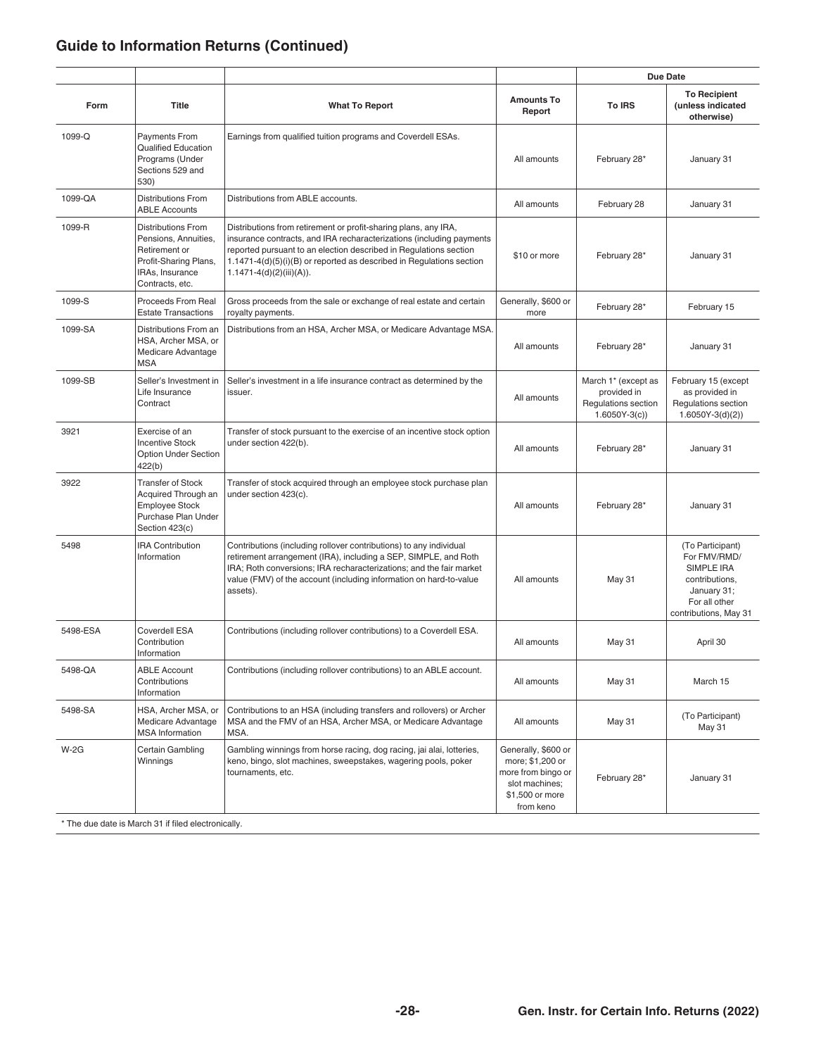### **Guide to Information Returns (Continued)**

|          |                                                                                                                                   |                                                                                                                                                                                                                                                                                                                    |                                                                                                                 | <b>Due Date</b>                                                             |                                                                                                                           |
|----------|-----------------------------------------------------------------------------------------------------------------------------------|--------------------------------------------------------------------------------------------------------------------------------------------------------------------------------------------------------------------------------------------------------------------------------------------------------------------|-----------------------------------------------------------------------------------------------------------------|-----------------------------------------------------------------------------|---------------------------------------------------------------------------------------------------------------------------|
| Form     | <b>Title</b>                                                                                                                      | <b>What To Report</b>                                                                                                                                                                                                                                                                                              | <b>Amounts To</b><br>Report                                                                                     | <b>To IRS</b>                                                               | <b>To Recipient</b><br>(unless indicated<br>otherwise)                                                                    |
| 1099-Q   | Payments From<br><b>Qualified Education</b><br>Programs (Under<br>Sections 529 and<br>530)                                        | Earnings from qualified tuition programs and Coverdell ESAs.                                                                                                                                                                                                                                                       | All amounts                                                                                                     | February 28*                                                                | January 31                                                                                                                |
| 1099-QA  | <b>Distributions From</b><br><b>ABLE Accounts</b>                                                                                 | Distributions from ABLE accounts.                                                                                                                                                                                                                                                                                  | All amounts                                                                                                     | February 28                                                                 | January 31                                                                                                                |
| 1099-R   | <b>Distributions From</b><br>Pensions, Annuities,<br>Retirement or<br>Profit-Sharing Plans,<br>IRAs, Insurance<br>Contracts, etc. | Distributions from retirement or profit-sharing plans, any IRA,<br>insurance contracts, and IRA recharacterizations (including payments<br>reported pursuant to an election described in Regulations section<br>1.1471-4(d)(5)(i)(B) or reported as described in Regulations section<br>$1.1471-4(d)(2)(iii)(A)).$ | \$10 or more                                                                                                    | February 28*                                                                | January 31                                                                                                                |
| 1099-S   | <b>Proceeds From Real</b><br><b>Estate Transactions</b>                                                                           | Gross proceeds from the sale or exchange of real estate and certain<br>royalty payments.                                                                                                                                                                                                                           | Generally, \$600 or<br>more                                                                                     | February 28*                                                                | February 15                                                                                                               |
| 1099-SA  | Distributions From an<br>HSA, Archer MSA, or<br>Medicare Advantage<br><b>MSA</b>                                                  | Distributions from an HSA, Archer MSA, or Medicare Advantage MSA.                                                                                                                                                                                                                                                  | All amounts                                                                                                     | February 28*                                                                | January 31                                                                                                                |
| 1099-SB  | Seller's Investment in<br>Life Insurance<br>Contract                                                                              | Seller's investment in a life insurance contract as determined by the<br>issuer.                                                                                                                                                                                                                                   | All amounts                                                                                                     | March 1* (except as<br>provided in<br>Regulations section<br>$1.6050Y-3(c)$ | February 15 (except<br>as provided in<br>Regulations section<br>$1.6050Y-3(d)(2)$                                         |
| 3921     | Exercise of an<br><b>Incentive Stock</b><br><b>Option Under Section</b><br>422(b)                                                 | Transfer of stock pursuant to the exercise of an incentive stock option<br>under section 422(b).                                                                                                                                                                                                                   | All amounts                                                                                                     | February 28*                                                                | January 31                                                                                                                |
| 3922     | <b>Transfer of Stock</b><br>Acquired Through an<br><b>Employee Stock</b><br>Purchase Plan Under<br>Section 423(c)                 | Transfer of stock acquired through an employee stock purchase plan<br>under section 423(c).                                                                                                                                                                                                                        | All amounts                                                                                                     | February 28*                                                                | January 31                                                                                                                |
| 5498     | <b>IRA Contribution</b><br>Information                                                                                            | Contributions (including rollover contributions) to any individual<br>retirement arrangement (IRA), including a SEP, SIMPLE, and Roth<br>IRA; Roth conversions; IRA recharacterizations; and the fair market<br>value (FMV) of the account (including information on hard-to-value<br>assets).                     | All amounts                                                                                                     | <b>May 31</b>                                                               | (To Participant)<br>For FMV/RMD/<br>SIMPLE IRA<br>contributions,<br>January 31;<br>For all other<br>contributions, May 31 |
| 5498-ESA | Coverdell ESA<br>Contribution<br>Information                                                                                      | Contributions (including rollover contributions) to a Coverdell ESA.                                                                                                                                                                                                                                               | All amounts                                                                                                     | <b>May 31</b>                                                               | April 30                                                                                                                  |
| 5498-QA  | <b>ABLE Account</b><br>Contributions<br>Information                                                                               | Contributions (including rollover contributions) to an ABLE account.                                                                                                                                                                                                                                               | All amounts                                                                                                     | <b>May 31</b>                                                               | March 15                                                                                                                  |
| 5498-SA  | HSA, Archer MSA, or<br>Medicare Advantage<br><b>MSA</b> Information                                                               | Contributions to an HSA (including transfers and rollovers) or Archer<br>MSA and the FMV of an HSA, Archer MSA, or Medicare Advantage<br>MSA.                                                                                                                                                                      | All amounts                                                                                                     | May 31                                                                      | (To Participant)<br>May 31                                                                                                |
| $W-2G$   | Certain Gambling<br>Winnings<br>$-1.04$ : $0.4$                                                                                   | Gambling winnings from horse racing, dog racing, jai alai, lotteries,<br>keno, bingo, slot machines, sweepstakes, wagering pools, poker<br>tournaments, etc.                                                                                                                                                       | Generally, \$600 or<br>more; \$1,200 or<br>more from bingo or<br>slot machines;<br>\$1,500 or more<br>from keno | February 28*                                                                | January 31                                                                                                                |

The due date is March 31 if filed electronically.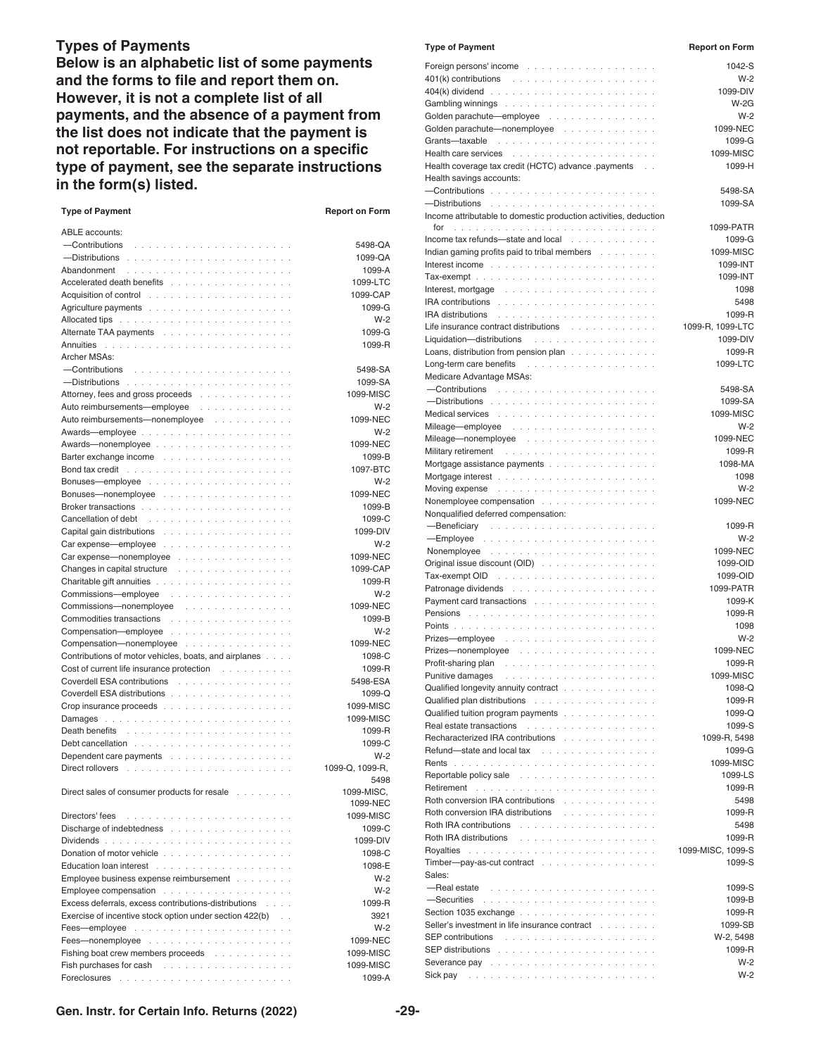#### **Types of Payments**

**Below is an alphabetic list of some payments and the forms to file and report them on. However, it is not a complete list of all payments, and the absence of a payment from the list does not indicate that the payment is not reportable. For instructions on a specific type of payment, see the separate instructions in the form(s) listed.**

| <b>Type of Payment</b>                                                                                                                                                                                                        | <b>Report on Form</b>   |
|-------------------------------------------------------------------------------------------------------------------------------------------------------------------------------------------------------------------------------|-------------------------|
| <b>ABLE</b> accounts:                                                                                                                                                                                                         |                         |
|                                                                                                                                                                                                                               | 5498-QA                 |
|                                                                                                                                                                                                                               | 1099-QA                 |
| Abandonment<br>a dia any kaominina dia kaominina dia 40.000                                                                                                                                                                   | 1099-A                  |
| Accelerated death benefits                                                                                                                                                                                                    | 1099-LTC                |
| Acquisition of control enterstanding to the set of the set of the set of the set of the set of the set of the                                                                                                                 | 1099-CAP                |
|                                                                                                                                                                                                                               | 1099-G                  |
| Allocated tips with a subset of the subset of the subset of the subset of the subset of the subset of the subset                                                                                                              | $W-2$                   |
| Alternate TAA payments                                                                                                                                                                                                        | 1099-G                  |
| Annuities                                                                                                                                                                                                                     | 1099-R                  |
| Archer MSAs:                                                                                                                                                                                                                  |                         |
| -Contributions                                                                                                                                                                                                                | 5498-SA                 |
|                                                                                                                                                                                                                               | 1099-SA                 |
| Attorney, fees and gross proceeds                                                                                                                                                                                             | 1099-MISC               |
| Auto reimbursements-employee<br>ana ana ana                                                                                                                                                                                   | $W-2$                   |
| Auto reimbursements-nonemployee<br><b>Carl Carl Carl</b><br>and a strain                                                                                                                                                      | 1099-NEC                |
| Awards—employee<br>$\ddot{\phantom{a}}$<br>$\sim$ $\sim$ $\sim$<br>$\mathcal{L}$<br>÷<br>$\overline{\phantom{a}}$<br>$\sim$                                                                                                   | $W-2$                   |
| Awards—nonemployee<br>and a series                                                                                                                                                                                            | 1099-NEC                |
| Barter exchange income<br>$\sim$<br>$\ddot{\phantom{a}}$<br>and a strain                                                                                                                                                      | 1099-B                  |
| Bond tax credit enterprise and a series of the series of the series of the series of the series of the series of the series of the series of the series of the series of the series of the series of the series of the series | 1097-BTC                |
|                                                                                                                                                                                                                               | $W-2$                   |
| Bonuses—nonemployee                                                                                                                                                                                                           | 1099-NEC                |
|                                                                                                                                                                                                                               | 1099-B                  |
| Cancellation of debt                                                                                                                                                                                                          | 1099-C                  |
|                                                                                                                                                                                                                               | 1099-DIV                |
| Carexpense—employee                                                                                                                                                                                                           | $W-2$                   |
| Car expense—nonemployee<br>$\sim$ $\sim$ $\sim$                                                                                                                                                                               | 1099-NEC                |
| Changes in capital structure<br>and a contract<br>J.<br>$\sim$ $\sim$ $\sim$<br>and a strain                                                                                                                                  | 1099-CAP                |
|                                                                                                                                                                                                                               | 1099-R                  |
| Commissions-employee<br>.                                                                                                                                                                                                     | $W-2$                   |
| Commissions-nonemployee<br>.                                                                                                                                                                                                  | 1099-NEC                |
| Commodities transactions                                                                                                                                                                                                      | 1099-B                  |
| Compensation-employee                                                                                                                                                                                                         | $W-2$                   |
| Compensation-nonemployee                                                                                                                                                                                                      | 1099-NEC                |
| Contributions of motor vehicles, boats, and airplanes<br><b>Service</b>                                                                                                                                                       | 1098-C                  |
| Cost of current life insurance protection                                                                                                                                                                                     | 1099-R                  |
| Coverdell ESA contributions                                                                                                                                                                                                   | 5498-ESA                |
| Coverdell ESA distributions                                                                                                                                                                                                   | $1099 - Q$              |
|                                                                                                                                                                                                                               | 1099-MISC               |
|                                                                                                                                                                                                                               | 1099-MISC               |
| Death benefits                                                                                                                                                                                                                | 1099-R                  |
|                                                                                                                                                                                                                               | 1099-C                  |
| Dependent care payments                                                                                                                                                                                                       | $W-2$                   |
| Direct rollovers                                                                                                                                                                                                              | 1099-Q, 1099-R,<br>5498 |
| Direct sales of consumer products for resale                                                                                                                                                                                  | 1099-MISC.<br>1099-NEC  |
|                                                                                                                                                                                                                               | 1099-MISC               |
| Discharge of indebtedness                                                                                                                                                                                                     | 1099-C                  |
|                                                                                                                                                                                                                               | 1099-DIV                |
|                                                                                                                                                                                                                               | 1098-C                  |
|                                                                                                                                                                                                                               | 1098-E                  |
| Employee business expense reimbursement                                                                                                                                                                                       | $W-2$                   |
| Employee compensation                                                                                                                                                                                                         | $W-2$                   |
| Excess deferrals, excess contributions-distributions                                                                                                                                                                          | 1099-R                  |
| Exercise of incentive stock option under section 422(b)                                                                                                                                                                       | 3921                    |
|                                                                                                                                                                                                                               | $W-2$                   |
|                                                                                                                                                                                                                               | 1099-NEC                |
| Fishing boat crew members proceeds                                                                                                                                                                                            | 1099-MISC               |
|                                                                                                                                                                                                                               | 1099-MISC               |
|                                                                                                                                                                                                                               | 1099-A                  |

| <b>Type of Payment</b>                                                                                                                                                                                                                                                                                                                                       | <b>Report on Form</b>  |
|--------------------------------------------------------------------------------------------------------------------------------------------------------------------------------------------------------------------------------------------------------------------------------------------------------------------------------------------------------------|------------------------|
|                                                                                                                                                                                                                                                                                                                                                              | 1042-S                 |
|                                                                                                                                                                                                                                                                                                                                                              | $W-2$                  |
|                                                                                                                                                                                                                                                                                                                                                              | 1099-DIV               |
|                                                                                                                                                                                                                                                                                                                                                              | $W-2G$<br>$W-2$        |
| Golden parachute-employee<br>Golden parachute-nonemployee                                                                                                                                                                                                                                                                                                    | 1099-NEC               |
|                                                                                                                                                                                                                                                                                                                                                              | 1099-G                 |
|                                                                                                                                                                                                                                                                                                                                                              | 1099-MISC              |
| Health coverage tax credit (HCTC) advance payments                                                                                                                                                                                                                                                                                                           | 1099-H                 |
| Health savings accounts:                                                                                                                                                                                                                                                                                                                                     |                        |
|                                                                                                                                                                                                                                                                                                                                                              | 5498-SA<br>1099-SA     |
| Income attributable to domestic production activities, deduction                                                                                                                                                                                                                                                                                             |                        |
| for the company of the company of the company of the company of the company of the company of the company of the company of the company of the company of the company of the company of the company of the company of the comp                                                                                                                               | 1099-PATR              |
| Income tax refunds-state and local                                                                                                                                                                                                                                                                                                                           | 1099-G                 |
| Indian gaming profits paid to tribal members                                                                                                                                                                                                                                                                                                                 | 1099-MISC              |
| Interest income enterprise and a series of the series of the series of the series of the series of the series of the series of the series of the series of the series of the series of the series of the series of the series                                                                                                                                | 1099-INT<br>1099-INT   |
| Interest, mortgage $\ldots \ldots \ldots \ldots \ldots \ldots \ldots$                                                                                                                                                                                                                                                                                        | 1098                   |
|                                                                                                                                                                                                                                                                                                                                                              | 5498                   |
| IRA distributions                                                                                                                                                                                                                                                                                                                                            | 1099-R                 |
| Life insurance contract distributions                                                                                                                                                                                                                                                                                                                        | 1099-R. 1099-LTC       |
| Liquidation-distributions                                                                                                                                                                                                                                                                                                                                    | 1099-DIV               |
| Loans, distribution from pension plan                                                                                                                                                                                                                                                                                                                        | 1099-R<br>1099-LTC     |
| Medicare Advantage MSAs:                                                                                                                                                                                                                                                                                                                                     |                        |
| — Contributions <b>contributions</b> and a contract of the contract of the contract of the contract of the contract of                                                                                                                                                                                                                                       | 5498-SA                |
|                                                                                                                                                                                                                                                                                                                                                              | 1099-SA                |
|                                                                                                                                                                                                                                                                                                                                                              | 1099-MISC              |
|                                                                                                                                                                                                                                                                                                                                                              | $W-2$<br>1099-NEC      |
| Mileage-nonemployee<br>Military retirement<br>the contract of the contract of the contract of the                                                                                                                                                                                                                                                            | 1099-R                 |
| Mortgage assistance payments                                                                                                                                                                                                                                                                                                                                 | 1098-MA                |
|                                                                                                                                                                                                                                                                                                                                                              | 1098                   |
| Moving expense response to the contract of the contract of the Moving expense of the contract of the contract of                                                                                                                                                                                                                                             | $W-2$                  |
| Nonemployee compensation<br>Nonqualified deferred compensation:                                                                                                                                                                                                                                                                                              | 1099-NEC               |
|                                                                                                                                                                                                                                                                                                                                                              | 1099-R                 |
| — Employee readers and a contract and a contract of the Employee                                                                                                                                                                                                                                                                                             | $W-2$                  |
|                                                                                                                                                                                                                                                                                                                                                              | 1099-NEC               |
| Original issue discount (OID)                                                                                                                                                                                                                                                                                                                                | 1099-OID               |
|                                                                                                                                                                                                                                                                                                                                                              | 1099-OID<br>1099-PATR  |
| Payment card transactions                                                                                                                                                                                                                                                                                                                                    | 1099-K                 |
| Pensions in the contract of the contract of the contract of the Pension of the contract of the contract of the                                                                                                                                                                                                                                               | 1099-R                 |
|                                                                                                                                                                                                                                                                                                                                                              | 1098                   |
| Prizes-employee<br>the contract of the contract of the contract of the contract of the contract of the contract of the contract of the contract of the contract of the contract of the contract of the contract of the contract of the contract o                                                                                                            | $W-2$<br>1099-NEC      |
| Profit-sharing plan                                                                                                                                                                                                                                                                                                                                          | 1099-R                 |
|                                                                                                                                                                                                                                                                                                                                                              | 1099-MISC              |
| Qualified longevity annuity contract                                                                                                                                                                                                                                                                                                                         | 1098-Q                 |
| Qualified plan distributions                                                                                                                                                                                                                                                                                                                                 | 1099-R                 |
| Qualified tuition program payments                                                                                                                                                                                                                                                                                                                           | 1099-Q                 |
| Recharacterized IRA contributions                                                                                                                                                                                                                                                                                                                            | 1099-S<br>1099-R, 5498 |
| Refund—state and local tax reflection and the contract of the state of the state of the state of the state of                                                                                                                                                                                                                                                | 1099-G                 |
|                                                                                                                                                                                                                                                                                                                                                              | 1099-MISC              |
| Reportable policy sale response to a subset of the selection of the selection of the selection of the selection                                                                                                                                                                                                                                              | 1099-LS                |
|                                                                                                                                                                                                                                                                                                                                                              | 1099-R                 |
| Roth conversion IRA contributions<br>Roth conversion IRA distributions                                                                                                                                                                                                                                                                                       | 5498<br>1099-R         |
|                                                                                                                                                                                                                                                                                                                                                              | 5498                   |
| Roth IRA distributions the contract of the contract of the contract of the contract of the contract of the contract of the contract of the contract of the contract of the contract of the contract of the contract of the con                                                                                                                               | 1099-R                 |
|                                                                                                                                                                                                                                                                                                                                                              | 1099-MISC, 1099-S      |
| Timber-pay-as-cut contract                                                                                                                                                                                                                                                                                                                                   | 1099-S                 |
| Sales:                                                                                                                                                                                                                                                                                                                                                       |                        |
| -Real estate response to the contract of the state of the state of the state of the state of the state of the                                                                                                                                                                                                                                                | 1099-S<br>1099-B       |
|                                                                                                                                                                                                                                                                                                                                                              | 1099-R                 |
| Seller's investment in life insurance contract                                                                                                                                                                                                                                                                                                               | 1099-SB                |
|                                                                                                                                                                                                                                                                                                                                                              | W-2, 5498              |
| SEP distributions to a contract to a contract to a contract of the SEP distributions of the contract of the set                                                                                                                                                                                                                                              | 1099-R                 |
| Severance pay recover and contact the contract of the second second service services and services are services<br>Sick pay<br>the contract of the contract of the contract of the contract of the contract of the contract of the contract of the contract of the contract of the contract of the contract of the contract of the contract of the contract o | $W-2$<br>$W-2$         |
|                                                                                                                                                                                                                                                                                                                                                              |                        |

**Gen. Instr. for Certain Info. Returns (2022) -29-**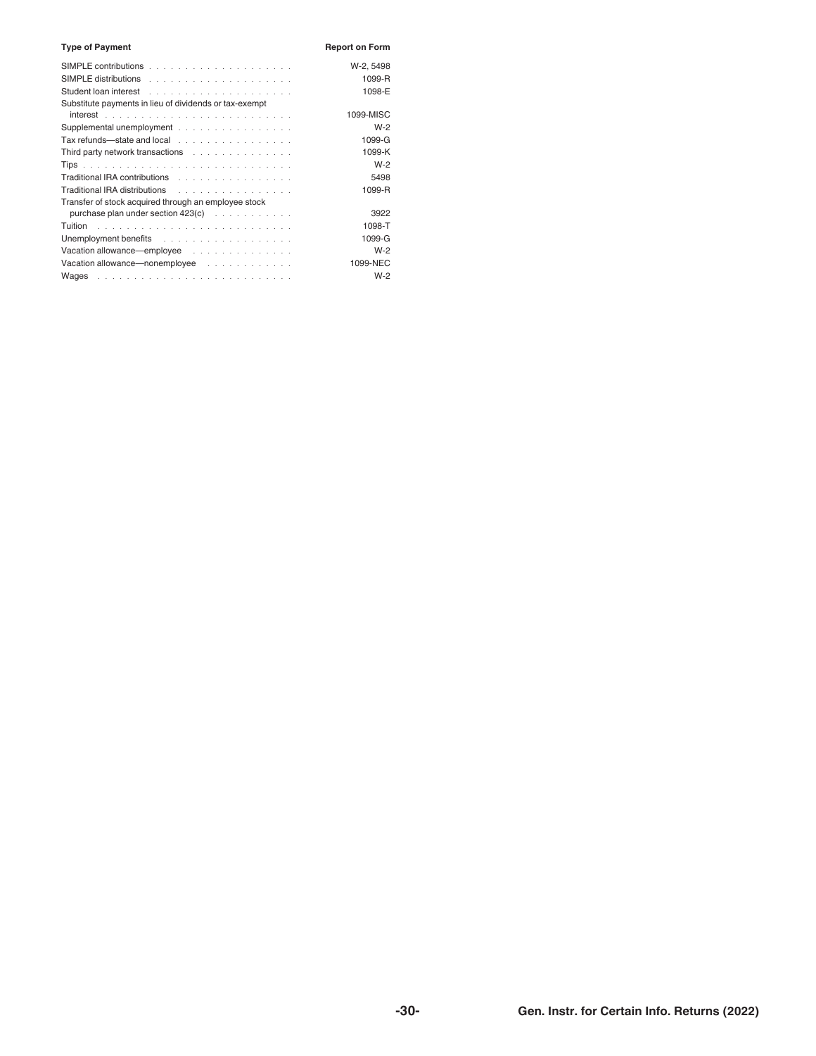| <b>Type of Payment</b>                                                         | <b>Report on Form</b> |
|--------------------------------------------------------------------------------|-----------------------|
|                                                                                | W-2, 5498             |
|                                                                                | 1099-R                |
|                                                                                | 1098-E                |
| Substitute payments in lieu of dividends or tax-exempt                         |                       |
|                                                                                | 1099-MISC             |
| Supplemental unemployment                                                      | $W-2$                 |
| Tax refunds-state and local                                                    | 1099-G                |
| Third party network transactions                                               | 1099-K                |
|                                                                                | $W-2$                 |
| Traditional IRA contributions                                                  | 5498                  |
| Traditional IRA distributions                                                  | 1099-R                |
| Transfer of stock acquired through an employee stock                           |                       |
| purchase plan under section 423(c)                                             | 3922                  |
|                                                                                | 1098-T                |
|                                                                                | 1099-G                |
| Vacation allowance—employee                                                    | $W-2$                 |
| Vacation allowance—nonemployee results and results and results are very leader | 1099-NEC              |
|                                                                                | $W-2$                 |